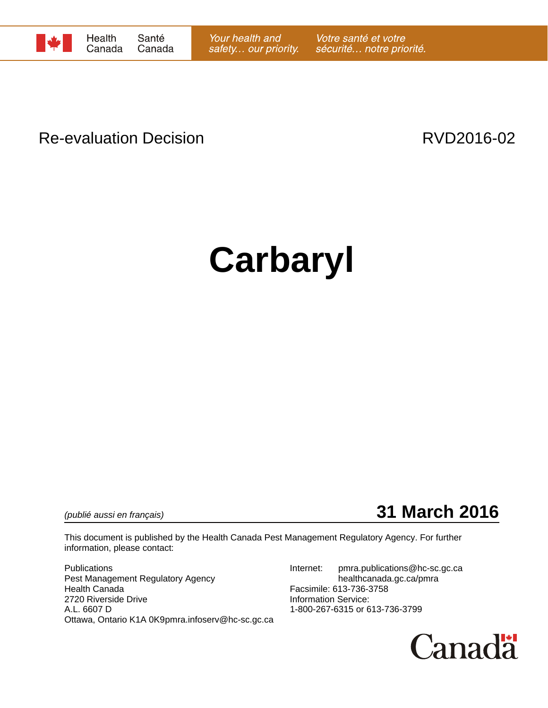

# Re-evaluation Decision **RVD2016-02**

# **Carbaryl**

*(publié aussi en français)* **31 March 2016**

This document is published by the Health Canada Pest Management Regulatory Agency. For further information, please contact:

Publications **Internet:** pmra.publications @hc-sc.gc.ca Pest Management Regulatory Agency healthcanada.gc.ca/pmra Health Canada Facsimile: 613-736-3758 2720 Riverside Drive<br>
A.L. 6607 D<br>
A.L. 6607 D Ottawa, Ontario K1A 0K9pmra.infoserv@hc-sc.gc.ca

1-800-267-6315 or 613-736-3799

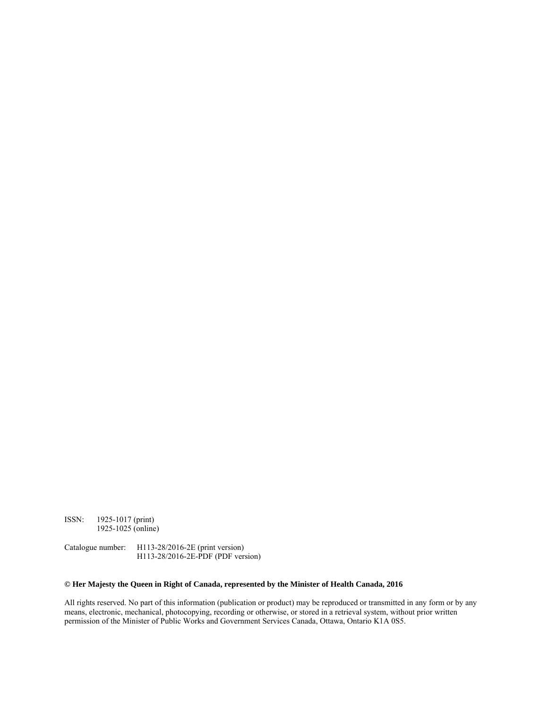ISSN: 1925-1017 (print) 1925-1025 (online)

Catalogue number: H113-28/2016-2E (print version) H113-28/2016-2E-PDF (PDF version)

#### **© Her Majesty the Queen in Right of Canada, represented by the Minister of Health Canada, 2016**

All rights reserved. No part of this information (publication or product) may be reproduced or transmitted in any form or by any means, electronic, mechanical, photocopying, recording or otherwise, or stored in a retrieval system, without prior written permission of the Minister of Public Works and Government Services Canada, Ottawa, Ontario K1A 0S5.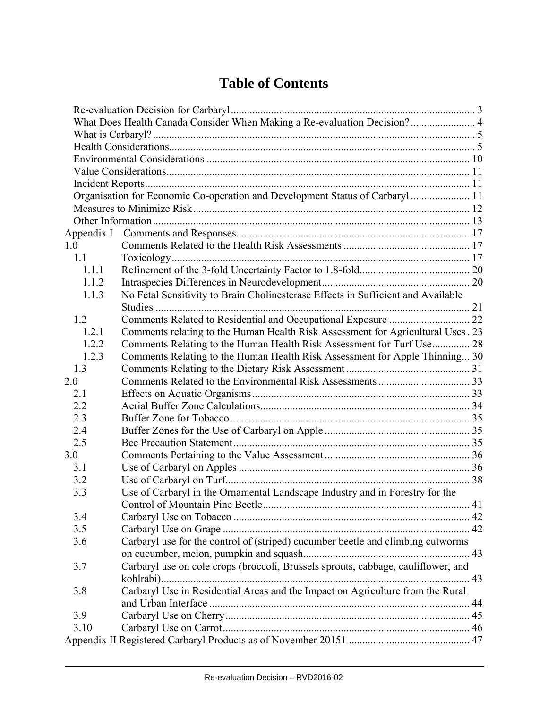# **Table of Contents**

|            | What Does Health Canada Consider When Making a Re-evaluation Decision? 4          |  |
|------------|-----------------------------------------------------------------------------------|--|
|            |                                                                                   |  |
|            |                                                                                   |  |
|            |                                                                                   |  |
|            |                                                                                   |  |
|            |                                                                                   |  |
|            | Organisation for Economic Co-operation and Development Status of Carbaryl 11      |  |
|            |                                                                                   |  |
|            |                                                                                   |  |
| Appendix I |                                                                                   |  |
| 1.0        |                                                                                   |  |
| 1.1        |                                                                                   |  |
| 1.1.1      |                                                                                   |  |
| 1.1.2      |                                                                                   |  |
| 1.1.3      | No Fetal Sensitivity to Brain Cholinesterase Effects in Sufficient and Available  |  |
| 1.2        |                                                                                   |  |
| 1.2.1      | Comments relating to the Human Health Risk Assessment for Agricultural Uses. 23   |  |
| 1.2.2      | Comments Relating to the Human Health Risk Assessment for Turf Use 28             |  |
| 1.2.3      | Comments Relating to the Human Health Risk Assessment for Apple Thinning 30       |  |
| 1.3        |                                                                                   |  |
| 2.0        |                                                                                   |  |
| 2.1        |                                                                                   |  |
| 2.2        |                                                                                   |  |
| 2.3        |                                                                                   |  |
| 2.4        |                                                                                   |  |
| 2.5        |                                                                                   |  |
| 3.0        |                                                                                   |  |
| 3.1        |                                                                                   |  |
| 3.2        |                                                                                   |  |
| 3.3        | Use of Carbaryl in the Ornamental Landscape Industry and in Forestry for the      |  |
|            |                                                                                   |  |
| 3.4        |                                                                                   |  |
| 3.5        |                                                                                   |  |
| 3.6        | Carbaryl use for the control of (striped) cucumber beetle and climbing cutworms   |  |
|            |                                                                                   |  |
| 3.7        | Carbaryl use on cole crops (broccoli, Brussels sprouts, cabbage, cauliflower, and |  |
|            |                                                                                   |  |
| 3.8        | Carbaryl Use in Residential Areas and the Impact on Agriculture from the Rural    |  |
|            |                                                                                   |  |
| 3.9        |                                                                                   |  |
| 3.10       |                                                                                   |  |
|            |                                                                                   |  |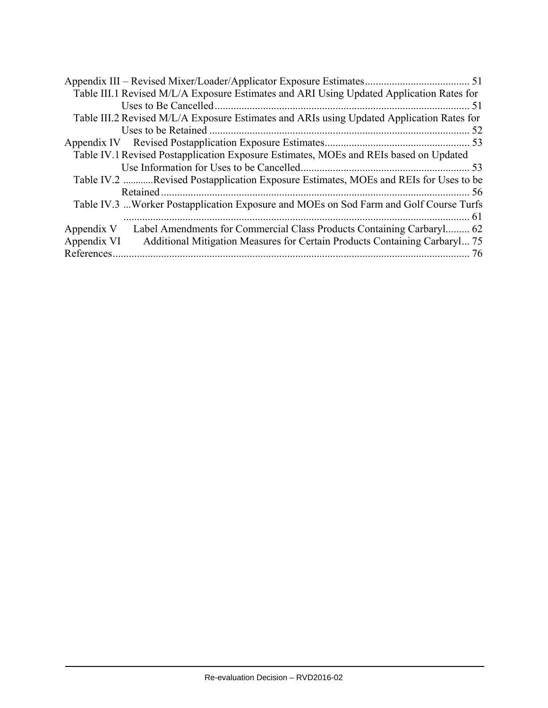| Table III.1 Revised M/L/A Exposure Estimates and ARI Using Updated Application Rates for  |     |
|-------------------------------------------------------------------------------------------|-----|
|                                                                                           |     |
| Table III.2 Revised M/L/A Exposure Estimates and ARIs using Updated Application Rates for |     |
|                                                                                           | .52 |
|                                                                                           |     |
| Table IV.1 Revised Postapplication Exposure Estimates, MOEs and REIs based on Updated     |     |
|                                                                                           |     |
| Table IV.2 Revised Postapplication Exposure Estimates, MOEs and REIs for Uses to be       |     |
|                                                                                           |     |
| Table IV.3 Worker Postapplication Exposure and MOEs on Sod Farm and Golf Course Turfs     |     |
|                                                                                           |     |
| Label Amendments for Commercial Class Products Containing Carbaryl 62<br>Appendix V       |     |
| Additional Mitigation Measures for Certain Products Containing Carbaryl 75<br>Appendix VI |     |
| References.                                                                               | 76  |
|                                                                                           |     |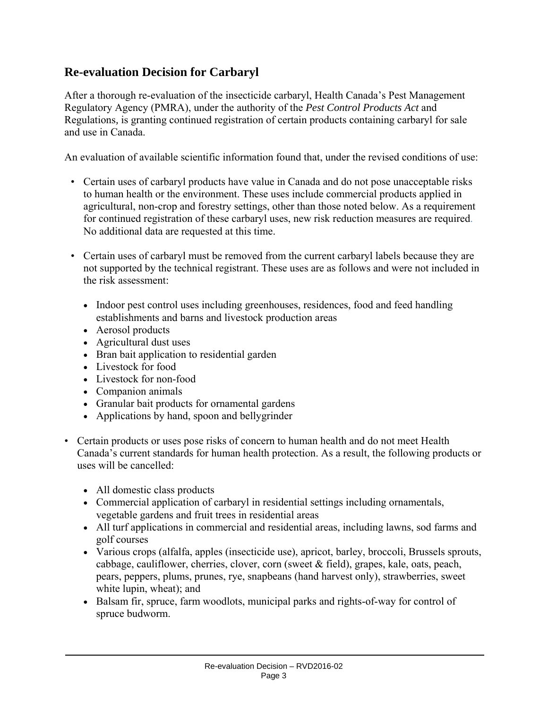# **Re-evaluation Decision for Carbaryl**

After a thorough re-evaluation of the insecticide carbaryl, Health Canada's Pest Management Regulatory Agency (PMRA), under the authority of the *Pest Control Products Act* and Regulations*,* is granting continued registration of certain products containing carbaryl for sale and use in Canada.

An evaluation of available scientific information found that, under the revised conditions of use:

- Certain uses of carbaryl products have value in Canada and do not pose unacceptable risks to human health or the environment. These uses include commercial products applied in agricultural, non-crop and forestry settings, other than those noted below. As a requirement for continued registration of these carbaryl uses, new risk reduction measures are required. No additional data are requested at this time.
- Certain uses of carbaryl must be removed from the current carbaryl labels because they are not supported by the technical registrant. These uses are as follows and were not included in the risk assessment:
	- Indoor pest control uses including greenhouses, residences, food and feed handling establishments and barns and livestock production areas
	- Aerosol products
	- Agricultural dust uses
	- Bran bait application to residential garden
	- Livestock for food
	- Livestock for non-food
	- Companion animals
	- Granular bait products for ornamental gardens
	- Applications by hand, spoon and bellygrinder
- Certain products or uses pose risks of concern to human health and do not meet Health Canada's current standards for human health protection. As a result, the following products or uses will be cancelled:
	- All domestic class products
	- Commercial application of carbaryl in residential settings including ornamentals, vegetable gardens and fruit trees in residential areas
	- All turf applications in commercial and residential areas, including lawns, sod farms and golf courses
	- Various crops (alfalfa, apples (insecticide use), apricot, barley, broccoli, Brussels sprouts, cabbage, cauliflower, cherries, clover, corn (sweet & field), grapes, kale, oats, peach, pears, peppers, plums, prunes, rye, snapbeans (hand harvest only), strawberries, sweet white lupin, wheat); and
	- Balsam fir, spruce, farm woodlots, municipal parks and rights-of-way for control of spruce budworm.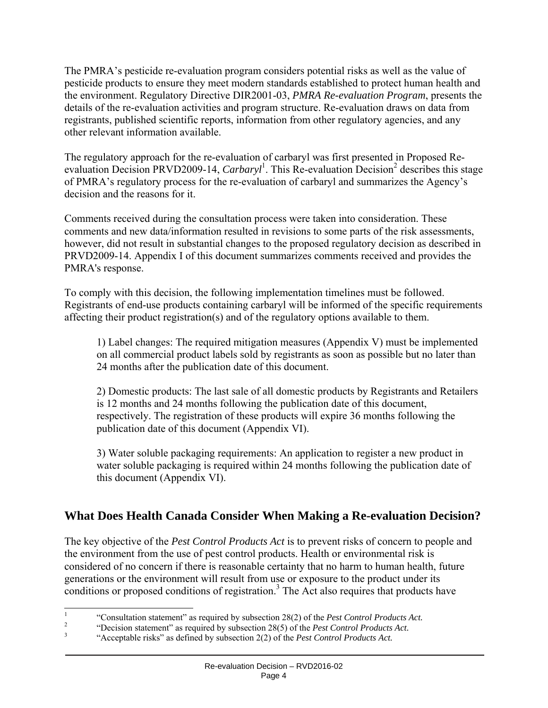The PMRA's pesticide re-evaluation program considers potential risks as well as the value of pesticide products to ensure they meet modern standards established to protect human health and the environment. Regulatory Directive DIR2001-03, *PMRA Re-evaluation Program*, presents the details of the re-evaluation activities and program structure. Re-evaluation draws on data from registrants, published scientific reports, information from other regulatory agencies, and any other relevant information available.

The regulatory approach for the re-evaluation of carbaryl was first presented in Proposed Reevaluation Decision PRVD2009-14, *Carbaryl*<sup>1</sup>. This Re-evaluation Decision<sup>2</sup> describes this stage of PMRA's regulatory process for the re-evaluation of carbaryl and summarizes the Agency's decision and the reasons for it.

Comments received during the consultation process were taken into consideration. These comments and new data/information resulted in revisions to some parts of the risk assessments, however, did not result in substantial changes to the proposed regulatory decision as described in PRVD2009-14. Appendix I of this document summarizes comments received and provides the PMRA's response.

To comply with this decision, the following implementation timelines must be followed. Registrants of end-use products containing carbaryl will be informed of the specific requirements affecting their product registration(s) and of the regulatory options available to them.

1) Label changes: The required mitigation measures (Appendix V) must be implemented on all commercial product labels sold by registrants as soon as possible but no later than 24 months after the publication date of this document.

2) Domestic products: The last sale of all domestic products by Registrants and Retailers is 12 months and 24 months following the publication date of this document, respectively. The registration of these products will expire 36 months following the publication date of this document (Appendix VI).

3) Water soluble packaging requirements: An application to register a new product in water soluble packaging is required within 24 months following the publication date of this document (Appendix VI).

# **What Does Health Canada Consider When Making a Re-evaluation Decision?**

The key objective of the *Pest Control Products Act* is to prevent risks of concern to people and the environment from the use of pest control products. Health or environmental risk is considered of no concern if there is reasonable certainty that no harm to human health, future generations or the environment will result from use or exposure to the product under its conditions or proposed conditions of registration.<sup>3</sup> The Act also requires that products have

<sup>|&</sup>lt;br>|<br>|

<sup>&</sup>quot;Consultation statement" as required by subsection 28(2) of the *Pest Control Products Act*.<br><sup>2</sup> "Decision statement" as required by subsection 28(5) of the *Pest Control Products Act*.

 <sup>&</sup>quot;Acceptable risks" as defined by subsection 2(2) of the *Pest Control Products Act.*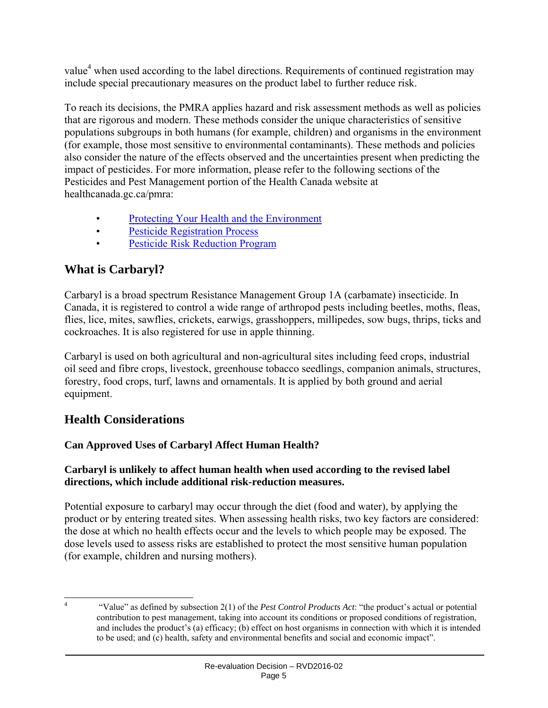value<sup>4</sup> when used according to the label directions. Requirements of continued registration may include special precautionary measures on the product label to further reduce risk.

To reach its decisions, the PMRA applies hazard and risk assessment methods as well as policies that are rigorous and modern. These methods consider the unique characteristics of sensitive populations subgroups in both humans (for example, children) and organisms in the environment (for example, those most sensitive to environmental contaminants). These methods and policies also consider the nature of the effects observed and the uncertainties present when predicting the impact of pesticides. For more information, please refer to the following sections of the Pesticides and Pest Management portion of the Health Canada website at healthcanada.gc.ca/pmra:

- Protecting Your Health and the Environment
- Pesticide Registration Process
- Pesticide Risk Reduction Program

# **What is Carbaryl?**

Carbaryl is a broad spectrum Resistance Management Group 1A (carbamate) insecticide. In Canada, it is registered to control a wide range of arthropod pests including beetles, moths, fleas, flies, lice, mites, sawflies, crickets, earwigs, grasshoppers, millipedes, sow bugs, thrips, ticks and cockroaches. It is also registered for use in apple thinning.

Carbaryl is used on both agricultural and non-agricultural sites including feed crops, industrial oil seed and fibre crops, livestock, greenhouse tobacco seedlings, companion animals, structures, forestry, food crops, turf, lawns and ornamentals. It is applied by both ground and aerial equipment.

# **Health Considerations**

# **Can Approved Uses of Carbaryl Affect Human Health?**

#### **Carbaryl is unlikely to affect human health when used according to the revised label directions, which include additional risk-reduction measures.**

Potential exposure to carbaryl may occur through the diet (food and water), by applying the product or by entering treated sites. When assessing health risks, two key factors are considered: the dose at which no health effects occur and the levels to which people may be exposed. The dose levels used to assess risks are established to protect the most sensitive human population (for example, children and nursing mothers).

 $\frac{1}{4}$  "Value" as defined by subsection 2(1) of the *Pest Control Products Act*: "the product's actual or potential contribution to pest management, taking into account its conditions or proposed conditions of registration, and includes the product's (a) efficacy; (b) effect on host organisms in connection with which it is intended to be used; and (c) health, safety and environmental benefits and social and economic impact".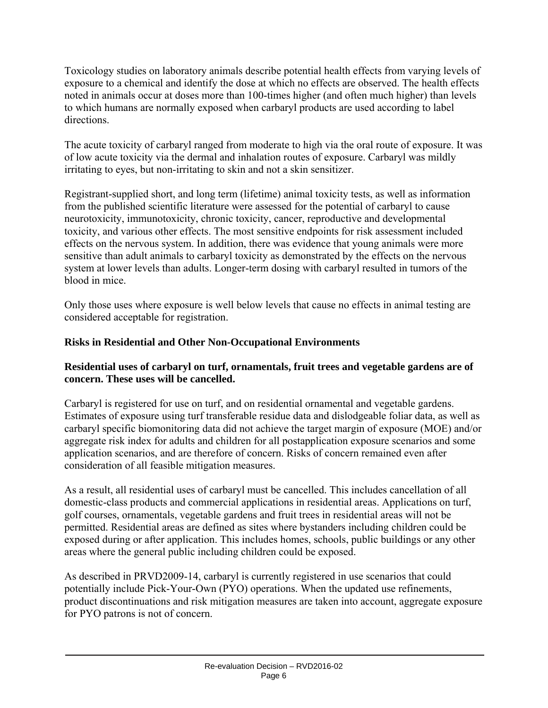Toxicology studies on laboratory animals describe potential health effects from varying levels of exposure to a chemical and identify the dose at which no effects are observed. The health effects noted in animals occur at doses more than 100-times higher (and often much higher) than levels to which humans are normally exposed when carbaryl products are used according to label directions.

The acute toxicity of carbaryl ranged from moderate to high via the oral route of exposure. It was of low acute toxicity via the dermal and inhalation routes of exposure. Carbaryl was mildly irritating to eyes, but non-irritating to skin and not a skin sensitizer.

Registrant-supplied short, and long term (lifetime) animal toxicity tests, as well as information from the published scientific literature were assessed for the potential of carbaryl to cause neurotoxicity, immunotoxicity, chronic toxicity, cancer, reproductive and developmental toxicity, and various other effects. The most sensitive endpoints for risk assessment included effects on the nervous system. In addition, there was evidence that young animals were more sensitive than adult animals to carbaryl toxicity as demonstrated by the effects on the nervous system at lower levels than adults. Longer-term dosing with carbaryl resulted in tumors of the blood in mice.

Only those uses where exposure is well below levels that cause no effects in animal testing are considered acceptable for registration.

### **Risks in Residential and Other Non-Occupational Environments**

#### **Residential uses of carbaryl on turf, ornamentals, fruit trees and vegetable gardens are of concern. These uses will be cancelled.**

Carbaryl is registered for use on turf, and on residential ornamental and vegetable gardens. Estimates of exposure using turf transferable residue data and dislodgeable foliar data, as well as carbaryl specific biomonitoring data did not achieve the target margin of exposure (MOE) and/or aggregate risk index for adults and children for all postapplication exposure scenarios and some application scenarios, and are therefore of concern. Risks of concern remained even after consideration of all feasible mitigation measures.

As a result, all residential uses of carbaryl must be cancelled. This includes cancellation of all domestic-class products and commercial applications in residential areas. Applications on turf, golf courses, ornamentals, vegetable gardens and fruit trees in residential areas will not be permitted. Residential areas are defined as sites where bystanders including children could be exposed during or after application. This includes homes, schools, public buildings or any other areas where the general public including children could be exposed.

As described in PRVD2009-14, carbaryl is currently registered in use scenarios that could potentially include Pick-Your-Own (PYO) operations. When the updated use refinements, product discontinuations and risk mitigation measures are taken into account, aggregate exposure for PYO patrons is not of concern.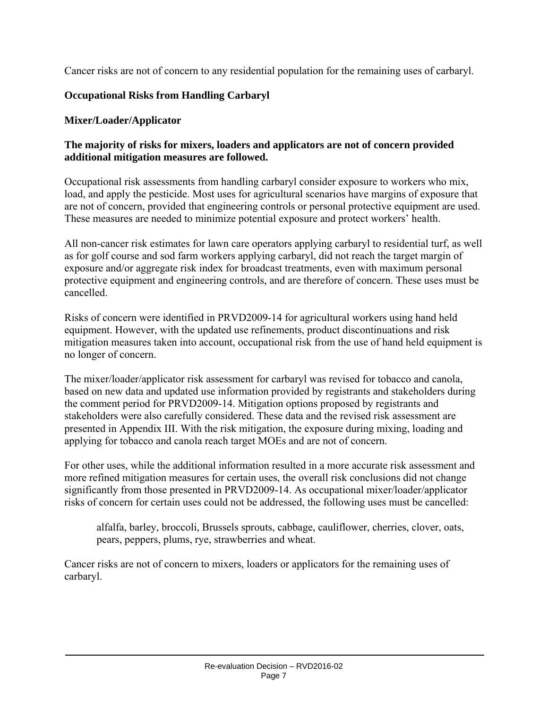Cancer risks are not of concern to any residential population for the remaining uses of carbaryl.

#### **Occupational Risks from Handling Carbaryl**

#### **Mixer/Loader/Applicator**

#### **The majority of risks for mixers, loaders and applicators are not of concern provided additional mitigation measures are followed.**

Occupational risk assessments from handling carbaryl consider exposure to workers who mix, load, and apply the pesticide. Most uses for agricultural scenarios have margins of exposure that are not of concern, provided that engineering controls or personal protective equipment are used. These measures are needed to minimize potential exposure and protect workers' health.

All non-cancer risk estimates for lawn care operators applying carbaryl to residential turf, as well as for golf course and sod farm workers applying carbaryl, did not reach the target margin of exposure and/or aggregate risk index for broadcast treatments, even with maximum personal protective equipment and engineering controls, and are therefore of concern. These uses must be cancelled.

Risks of concern were identified in PRVD2009-14 for agricultural workers using hand held equipment. However, with the updated use refinements, product discontinuations and risk mitigation measures taken into account, occupational risk from the use of hand held equipment is no longer of concern.

The mixer/loader/applicator risk assessment for carbaryl was revised for tobacco and canola, based on new data and updated use information provided by registrants and stakeholders during the comment period for PRVD2009-14. Mitigation options proposed by registrants and stakeholders were also carefully considered. These data and the revised risk assessment are presented in Appendix III. With the risk mitigation, the exposure during mixing, loading and applying for tobacco and canola reach target MOEs and are not of concern.

For other uses, while the additional information resulted in a more accurate risk assessment and more refined mitigation measures for certain uses, the overall risk conclusions did not change significantly from those presented in PRVD2009-14. As occupational mixer/loader/applicator risks of concern for certain uses could not be addressed, the following uses must be cancelled:

alfalfa, barley, broccoli, Brussels sprouts, cabbage, cauliflower, cherries, clover, oats, pears, peppers, plums, rye, strawberries and wheat.

Cancer risks are not of concern to mixers, loaders or applicators for the remaining uses of carbaryl.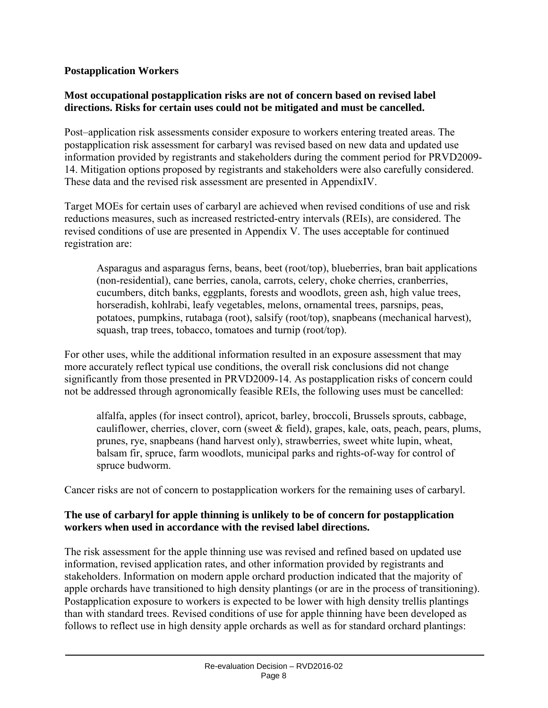#### **Postapplication Workers**

#### **Most occupational postapplication risks are not of concern based on revised label directions. Risks for certain uses could not be mitigated and must be cancelled.**

Post–application risk assessments consider exposure to workers entering treated areas. The postapplication risk assessment for carbaryl was revised based on new data and updated use information provided by registrants and stakeholders during the comment period for PRVD2009- 14. Mitigation options proposed by registrants and stakeholders were also carefully considered. These data and the revised risk assessment are presented in AppendixIV.

Target MOEs for certain uses of carbaryl are achieved when revised conditions of use and risk reductions measures, such as increased restricted-entry intervals (REIs), are considered. The revised conditions of use are presented in Appendix V. The uses acceptable for continued registration are:

Asparagus and asparagus ferns, beans, beet (root/top), blueberries, bran bait applications (non-residential), cane berries, canola, carrots, celery, choke cherries, cranberries, cucumbers, ditch banks, eggplants, forests and woodlots, green ash, high value trees, horseradish, kohlrabi, leafy vegetables, melons, ornamental trees, parsnips, peas, potatoes, pumpkins, rutabaga (root), salsify (root/top), snapbeans (mechanical harvest), squash, trap trees, tobacco, tomatoes and turnip (root/top).

For other uses, while the additional information resulted in an exposure assessment that may more accurately reflect typical use conditions, the overall risk conclusions did not change significantly from those presented in PRVD2009-14. As postapplication risks of concern could not be addressed through agronomically feasible REIs, the following uses must be cancelled:

alfalfa, apples (for insect control), apricot, barley, broccoli, Brussels sprouts, cabbage, cauliflower, cherries, clover, corn (sweet  $\&$  field), grapes, kale, oats, peach, pears, plums, prunes, rye, snapbeans (hand harvest only), strawberries, sweet white lupin, wheat, balsam fir, spruce, farm woodlots, municipal parks and rights-of-way for control of spruce budworm.

Cancer risks are not of concern to postapplication workers for the remaining uses of carbaryl.

#### **The use of carbaryl for apple thinning is unlikely to be of concern for postapplication workers when used in accordance with the revised label directions.**

The risk assessment for the apple thinning use was revised and refined based on updated use information, revised application rates, and other information provided by registrants and stakeholders. Information on modern apple orchard production indicated that the majority of apple orchards have transitioned to high density plantings (or are in the process of transitioning). Postapplication exposure to workers is expected to be lower with high density trellis plantings than with standard trees. Revised conditions of use for apple thinning have been developed as follows to reflect use in high density apple orchards as well as for standard orchard plantings: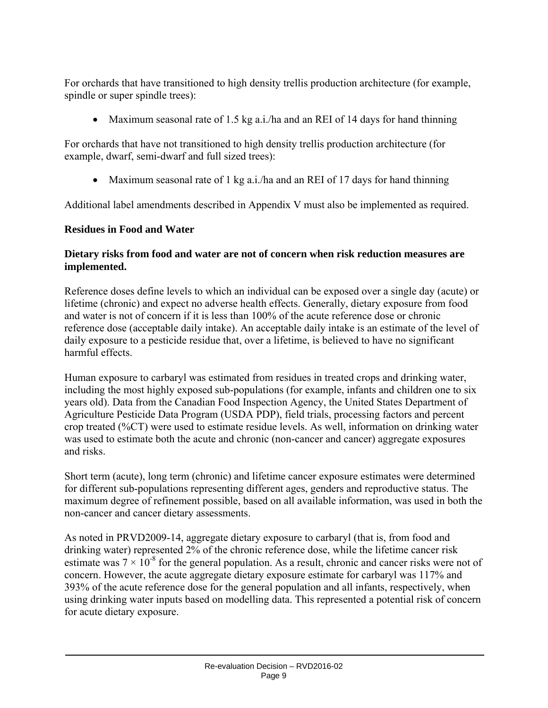For orchards that have transitioned to high density trellis production architecture (for example, spindle or super spindle trees):

• Maximum seasonal rate of 1.5 kg a.i./ha and an REI of 14 days for hand thinning

For orchards that have not transitioned to high density trellis production architecture (for example, dwarf, semi-dwarf and full sized trees):

• Maximum seasonal rate of 1 kg a.i./ha and an REI of 17 days for hand thinning

Additional label amendments described in Appendix V must also be implemented as required.

#### **Residues in Food and Water**

#### **Dietary risks from food and water are not of concern when risk reduction measures are implemented.**

Reference doses define levels to which an individual can be exposed over a single day (acute) or lifetime (chronic) and expect no adverse health effects. Generally, dietary exposure from food and water is not of concern if it is less than 100% of the acute reference dose or chronic reference dose (acceptable daily intake). An acceptable daily intake is an estimate of the level of daily exposure to a pesticide residue that, over a lifetime, is believed to have no significant harmful effects.

Human exposure to carbaryl was estimated from residues in treated crops and drinking water, including the most highly exposed sub-populations (for example, infants and children one to six years old). Data from the Canadian Food Inspection Agency, the United States Department of Agriculture Pesticide Data Program (USDA PDP), field trials, processing factors and percent crop treated (%CT) were used to estimate residue levels. As well, information on drinking water was used to estimate both the acute and chronic (non-cancer and cancer) aggregate exposures and risks.

Short term (acute), long term (chronic) and lifetime cancer exposure estimates were determined for different sub-populations representing different ages, genders and reproductive status. The maximum degree of refinement possible, based on all available information, was used in both the non-cancer and cancer dietary assessments.

As noted in PRVD2009-14, aggregate dietary exposure to carbaryl (that is, from food and drinking water) represented 2% of the chronic reference dose, while the lifetime cancer risk estimate was  $7 \times 10^{-8}$  for the general population. As a result, chronic and cancer risks were not of concern. However, the acute aggregate dietary exposure estimate for carbaryl was 117% and 393% of the acute reference dose for the general population and all infants, respectively, when using drinking water inputs based on modelling data. This represented a potential risk of concern for acute dietary exposure.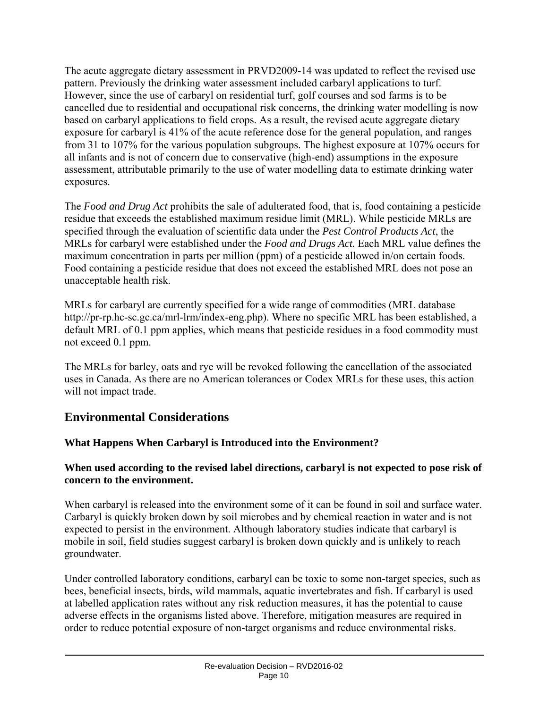The acute aggregate dietary assessment in PRVD2009-14 was updated to reflect the revised use pattern. Previously the drinking water assessment included carbaryl applications to turf. However, since the use of carbaryl on residential turf, golf courses and sod farms is to be cancelled due to residential and occupational risk concerns, the drinking water modelling is now based on carbaryl applications to field crops. As a result, the revised acute aggregate dietary exposure for carbaryl is 41% of the acute reference dose for the general population, and ranges from 31 to 107% for the various population subgroups. The highest exposure at 107% occurs for all infants and is not of concern due to conservative (high-end) assumptions in the exposure assessment, attributable primarily to the use of water modelling data to estimate drinking water exposures.

The *Food and Drug Act* prohibits the sale of adulterated food, that is, food containing a pesticide residue that exceeds the established maximum residue limit (MRL). While pesticide MRLs are specified through the evaluation of scientific data under the *Pest Control Products Act*, the MRLs for carbaryl were established under the *Food and Drugs Act.* Each MRL value defines the maximum concentration in parts per million (ppm) of a pesticide allowed in/on certain foods. Food containing a pesticide residue that does not exceed the established MRL does not pose an unacceptable health risk.

MRLs for carbaryl are currently specified for a wide range of commodities (MRL database http://pr-rp.hc-sc.gc.ca/mrl-lrm/index-eng.php). Where no specific MRL has been established, a default MRL of 0.1 ppm applies, which means that pesticide residues in a food commodity must not exceed 0.1 ppm.

The MRLs for barley, oats and rye will be revoked following the cancellation of the associated uses in Canada. As there are no American tolerances or Codex MRLs for these uses, this action will not impact trade.

# **Environmental Considerations**

#### **What Happens When Carbaryl is Introduced into the Environment?**

#### **When used according to the revised label directions, carbaryl is not expected to pose risk of concern to the environment.**

When carbaryl is released into the environment some of it can be found in soil and surface water. Carbaryl is quickly broken down by soil microbes and by chemical reaction in water and is not expected to persist in the environment. Although laboratory studies indicate that carbaryl is mobile in soil, field studies suggest carbaryl is broken down quickly and is unlikely to reach groundwater.

Under controlled laboratory conditions, carbaryl can be toxic to some non-target species, such as bees, beneficial insects, birds, wild mammals, aquatic invertebrates and fish. If carbaryl is used at labelled application rates without any risk reduction measures, it has the potential to cause adverse effects in the organisms listed above. Therefore, mitigation measures are required in order to reduce potential exposure of non-target organisms and reduce environmental risks.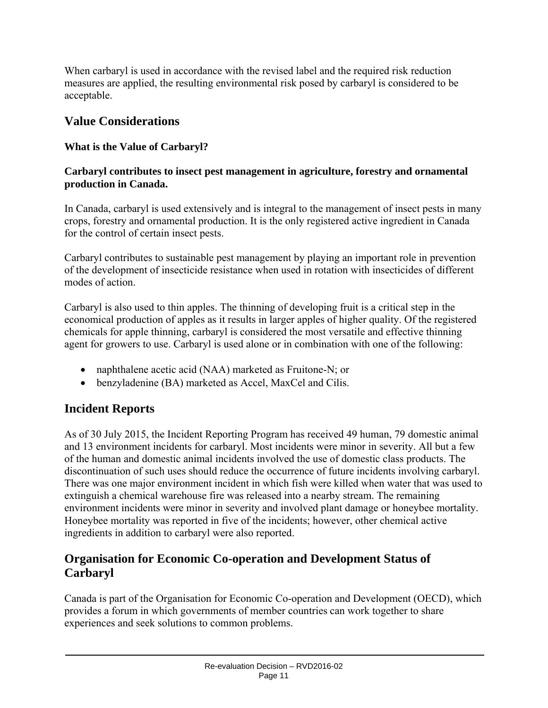When carbaryl is used in accordance with the revised label and the required risk reduction measures are applied, the resulting environmental risk posed by carbaryl is considered to be acceptable.

# **Value Considerations**

# **What is the Value of Carbaryl?**

#### **Carbaryl contributes to insect pest management in agriculture, forestry and ornamental production in Canada.**

In Canada, carbaryl is used extensively and is integral to the management of insect pests in many crops, forestry and ornamental production. It is the only registered active ingredient in Canada for the control of certain insect pests.

Carbaryl contributes to sustainable pest management by playing an important role in prevention of the development of insecticide resistance when used in rotation with insecticides of different modes of action.

Carbaryl is also used to thin apples. The thinning of developing fruit is a critical step in the economical production of apples as it results in larger apples of higher quality. Of the registered chemicals for apple thinning, carbaryl is considered the most versatile and effective thinning agent for growers to use. Carbaryl is used alone or in combination with one of the following:

- naphthalene acetic acid (NAA) marketed as Fruitone-N; or
- benzyladenine (BA) marketed as Accel, MaxCel and Cilis.

# **Incident Reports**

As of 30 July 2015, the Incident Reporting Program has received 49 human, 79 domestic animal and 13 environment incidents for carbaryl. Most incidents were minor in severity. All but a few of the human and domestic animal incidents involved the use of domestic class products. The discontinuation of such uses should reduce the occurrence of future incidents involving carbaryl. There was one major environment incident in which fish were killed when water that was used to extinguish a chemical warehouse fire was released into a nearby stream. The remaining environment incidents were minor in severity and involved plant damage or honeybee mortality. Honeybee mortality was reported in five of the incidents; however, other chemical active ingredients in addition to carbaryl were also reported.

# **Organisation for Economic Co-operation and Development Status of Carbaryl**

Canada is part of the Organisation for Economic Co-operation and Development (OECD), which provides a forum in which governments of member countries can work together to share experiences and seek solutions to common problems.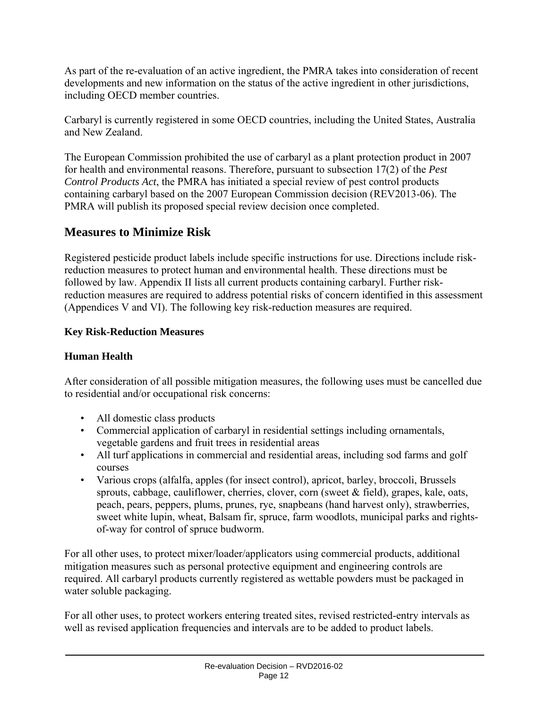As part of the re-evaluation of an active ingredient, the PMRA takes into consideration of recent developments and new information on the status of the active ingredient in other jurisdictions, including OECD member countries.

Carbaryl is currently registered in some OECD countries, including the United States, Australia and New Zealand.

The European Commission prohibited the use of carbaryl as a plant protection product in 2007 for health and environmental reasons. Therefore, pursuant to subsection 17(2) of the *Pest Control Products Act*, the PMRA has initiated a special review of pest control products containing carbaryl based on the 2007 European Commission decision (REV2013-06). The PMRA will publish its proposed special review decision once completed.

# **Measures to Minimize Risk**

Registered pesticide product labels include specific instructions for use. Directions include riskreduction measures to protect human and environmental health. These directions must be followed by law. Appendix II lists all current products containing carbaryl. Further riskreduction measures are required to address potential risks of concern identified in this assessment (Appendices V and VI). The following key risk-reduction measures are required.

# **Key Risk-Reduction Measures**

# **Human Health**

After consideration of all possible mitigation measures, the following uses must be cancelled due to residential and/or occupational risk concerns:

- All domestic class products
- Commercial application of carbaryl in residential settings including ornamentals, vegetable gardens and fruit trees in residential areas
- All turf applications in commercial and residential areas, including sod farms and golf courses
- Various crops (alfalfa, apples (for insect control), apricot, barley, broccoli, Brussels sprouts, cabbage, cauliflower, cherries, clover, corn (sweet  $\&$  field), grapes, kale, oats, peach, pears, peppers, plums, prunes, rye, snapbeans (hand harvest only), strawberries, sweet white lupin, wheat, Balsam fir, spruce, farm woodlots, municipal parks and rightsof-way for control of spruce budworm.

For all other uses, to protect mixer/loader/applicators using commercial products, additional mitigation measures such as personal protective equipment and engineering controls are required. All carbaryl products currently registered as wettable powders must be packaged in water soluble packaging.

For all other uses, to protect workers entering treated sites, revised restricted-entry intervals as well as revised application frequencies and intervals are to be added to product labels.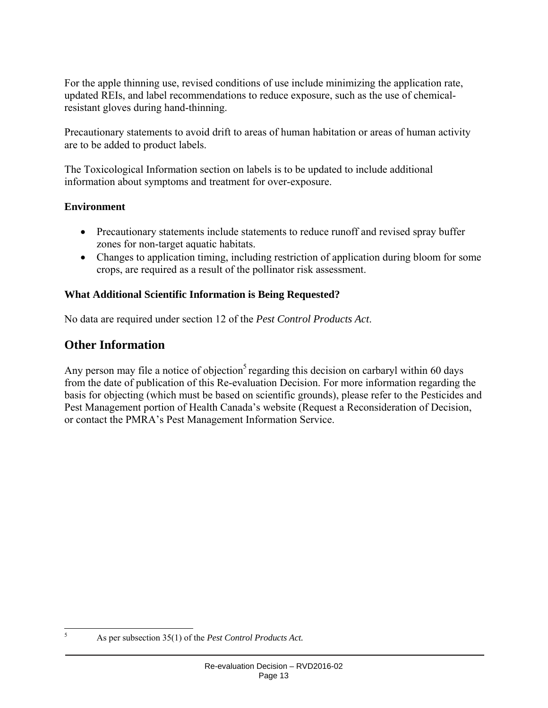For the apple thinning use, revised conditions of use include minimizing the application rate, updated REIs, and label recommendations to reduce exposure, such as the use of chemicalresistant gloves during hand-thinning.

Precautionary statements to avoid drift to areas of human habitation or areas of human activity are to be added to product labels.

The Toxicological Information section on labels is to be updated to include additional information about symptoms and treatment for over-exposure.

#### **Environment**

- Precautionary statements include statements to reduce runoff and revised spray buffer zones for non-target aquatic habitats.
- Changes to application timing, including restriction of application during bloom for some crops, are required as a result of the pollinator risk assessment.

#### **What Additional Scientific Information is Being Requested?**

No data are required under section 12 of the *Pest Control Products Act*.

# **Other Information**

Any person may file a notice of objection<sup>5</sup> regarding this decision on carbaryl within 60 days from the date of publication of this Re-evaluation Decision. For more information regarding the basis for objecting (which must be based on scientific grounds), please refer to the Pesticides and Pest Management portion of Health Canada's website (Request a Reconsideration of Decision, or contact the PMRA's Pest Management Information Service.

 5

As per subsection 35(1) of the *Pest Control Products Act.*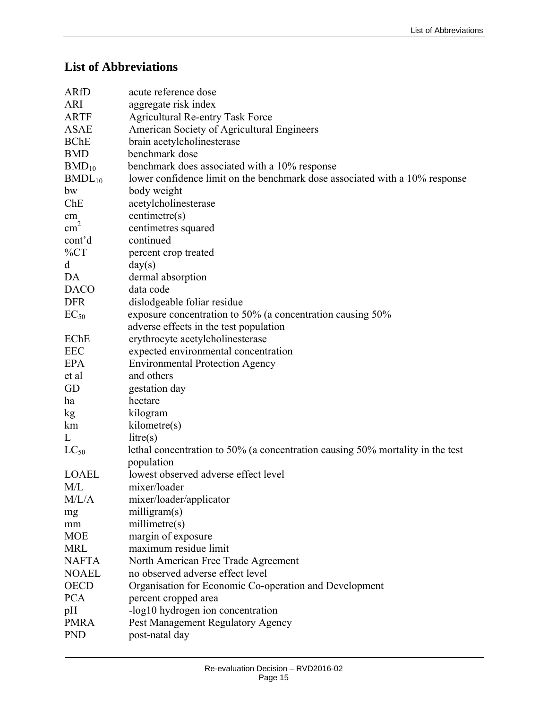# **List of Abbreviations**

| <b>ARfD</b>   | acute reference dose                                                           |
|---------------|--------------------------------------------------------------------------------|
| <b>ARI</b>    | aggregate risk index                                                           |
| <b>ARTF</b>   | <b>Agricultural Re-entry Task Force</b>                                        |
| <b>ASAE</b>   | American Society of Agricultural Engineers                                     |
| <b>BChE</b>   | brain acetylcholinesterase                                                     |
| <b>BMD</b>    | benchmark dose                                                                 |
| $BMD_{10}$    | benchmark does associated with a 10% response                                  |
| $BMDL_{10}$   | lower confidence limit on the benchmark dose associated with a 10% response    |
| bw            | body weight                                                                    |
| Che           | acetylcholinesterase                                                           |
| cm            | centimetre(s)                                                                  |
| $\text{cm}^2$ | centimetres squared                                                            |
| cont'd        | continued                                                                      |
| $\%CT$        | percent crop treated                                                           |
| d             | day(s)                                                                         |
| DA            | dermal absorption                                                              |
| <b>DACO</b>   | data code                                                                      |
| <b>DFR</b>    | dislodgeable foliar residue                                                    |
| $EC_{50}$     | exposure concentration to 50% (a concentration causing 50%                     |
|               | adverse effects in the test population                                         |
| EChE          | erythrocyte acetylcholinesterase                                               |
| <b>EEC</b>    | expected environmental concentration                                           |
| <b>EPA</b>    | <b>Environmental Protection Agency</b>                                         |
| et al         | and others                                                                     |
| GD            | gestation day                                                                  |
| ha            | hectare                                                                        |
| kg            | kilogram                                                                       |
| km            | kilometre(s)                                                                   |
| L             | litre(s)                                                                       |
| $LC_{50}$     | lethal concentration to 50% (a concentration causing 50% mortality in the test |
|               | population                                                                     |
| <b>LOAEL</b>  | lowest observed adverse effect level                                           |
| M/L           | mixer/loader                                                                   |
| M/L/A         | mixer/loader/applicator                                                        |
| mg            | milligram(s)                                                                   |
| mm            | millimetre(s)                                                                  |
| <b>MOE</b>    | margin of exposure                                                             |
| <b>MRL</b>    | maximum residue limit                                                          |
| <b>NAFTA</b>  | North American Free Trade Agreement                                            |
| <b>NOAEL</b>  | no observed adverse effect level                                               |
| <b>OECD</b>   | Organisation for Economic Co-operation and Development                         |
| <b>PCA</b>    | percent cropped area                                                           |
| pH            | -log10 hydrogen ion concentration                                              |
| <b>PMRA</b>   | Pest Management Regulatory Agency                                              |
| <b>PND</b>    | post-natal day                                                                 |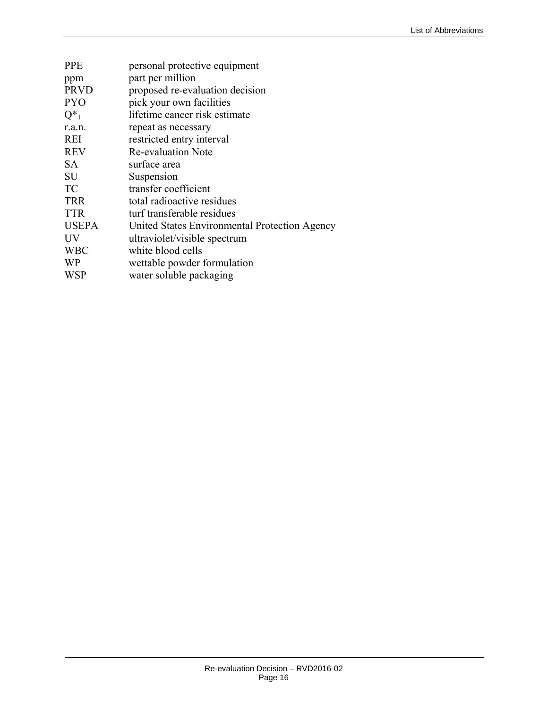| <b>PPE</b>   | personal protective equipment                 |
|--------------|-----------------------------------------------|
| ppm          | part per million                              |
| <b>PRVD</b>  | proposed re-evaluation decision               |
| <b>PYO</b>   | pick your own facilities                      |
| $Q_{1}^*$    | lifetime cancer risk estimate                 |
| r.a.n.       | repeat as necessary                           |
| <b>REI</b>   | restricted entry interval                     |
| <b>REV</b>   | <b>Re-evaluation Note</b>                     |
| <b>SA</b>    | surface area                                  |
| <b>SU</b>    | Suspension                                    |
| TC           | transfer coefficient                          |
| <b>TRR</b>   | total radioactive residues                    |
| <b>TTR</b>   | turf transferable residues                    |
| <b>USEPA</b> | United States Environmental Protection Agency |
| <b>UV</b>    | ultraviolet/visible spectrum                  |
| <b>WBC</b>   | white blood cells                             |
| <b>WP</b>    | wettable powder formulation                   |
| <b>WSP</b>   | water soluble packaging                       |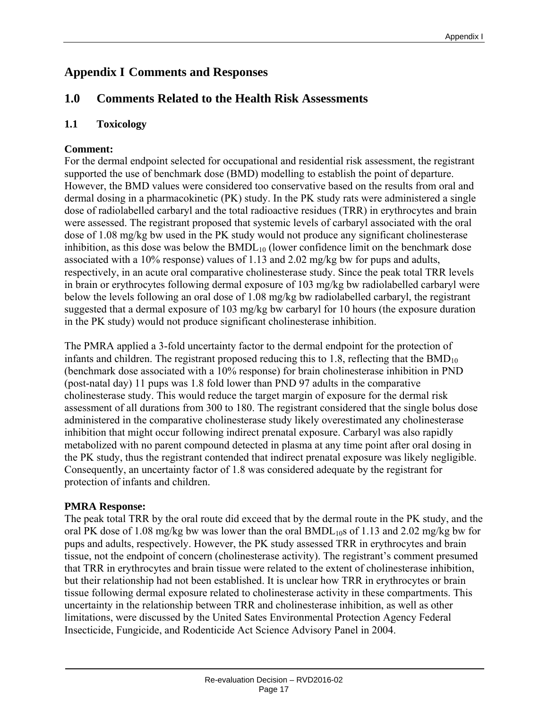# **Appendix I Comments and Responses**

# **1.0 Comments Related to the Health Risk Assessments**

#### **1.1 Toxicology**

#### **Comment:**

For the dermal endpoint selected for occupational and residential risk assessment, the registrant supported the use of benchmark dose (BMD) modelling to establish the point of departure. However, the BMD values were considered too conservative based on the results from oral and dermal dosing in a pharmacokinetic (PK) study. In the PK study rats were administered a single dose of radiolabelled carbaryl and the total radioactive residues (TRR) in erythrocytes and brain were assessed. The registrant proposed that systemic levels of carbaryl associated with the oral dose of 1.08 mg/kg bw used in the PK study would not produce any significant cholinesterase inhibition, as this dose was below the  $BMDL_{10}$  (lower confidence limit on the benchmark dose associated with a 10% response) values of 1.13 and 2.02 mg/kg bw for pups and adults, respectively, in an acute oral comparative cholinesterase study. Since the peak total TRR levels in brain or erythrocytes following dermal exposure of 103 mg/kg bw radiolabelled carbaryl were below the levels following an oral dose of 1.08 mg/kg bw radiolabelled carbaryl, the registrant suggested that a dermal exposure of 103 mg/kg bw carbaryl for 10 hours (the exposure duration in the PK study) would not produce significant cholinesterase inhibition.

The PMRA applied a 3-fold uncertainty factor to the dermal endpoint for the protection of infants and children. The registrant proposed reducing this to 1.8, reflecting that the  $BMD_{10}$ (benchmark dose associated with a 10% response) for brain cholinesterase inhibition in PND (post-natal day) 11 pups was 1.8 fold lower than PND 97 adults in the comparative cholinesterase study. This would reduce the target margin of exposure for the dermal risk assessment of all durations from 300 to 180. The registrant considered that the single bolus dose administered in the comparative cholinesterase study likely overestimated any cholinesterase inhibition that might occur following indirect prenatal exposure. Carbaryl was also rapidly metabolized with no parent compound detected in plasma at any time point after oral dosing in the PK study, thus the registrant contended that indirect prenatal exposure was likely negligible. Consequently, an uncertainty factor of 1.8 was considered adequate by the registrant for protection of infants and children.

#### **PMRA Response:**

The peak total TRR by the oral route did exceed that by the dermal route in the PK study, and the oral PK dose of 1.08 mg/kg bw was lower than the oral  $BMDL_{10}$ s of 1.13 and 2.02 mg/kg bw for pups and adults, respectively. However, the PK study assessed TRR in erythrocytes and brain tissue, not the endpoint of concern (cholinesterase activity). The registrant's comment presumed that TRR in erythrocytes and brain tissue were related to the extent of cholinesterase inhibition, but their relationship had not been established. It is unclear how TRR in erythrocytes or brain tissue following dermal exposure related to cholinesterase activity in these compartments. This uncertainty in the relationship between TRR and cholinesterase inhibition, as well as other limitations, were discussed by the United Sates Environmental Protection Agency Federal Insecticide, Fungicide, and Rodenticide Act Science Advisory Panel in 2004.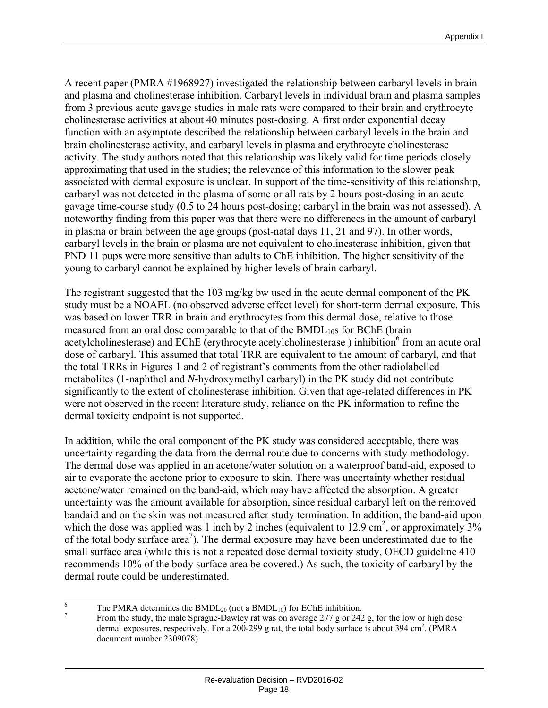A recent paper (PMRA #1968927) investigated the relationship between carbaryl levels in brain and plasma and cholinesterase inhibition. Carbaryl levels in individual brain and plasma samples from 3 previous acute gavage studies in male rats were compared to their brain and erythrocyte cholinesterase activities at about 40 minutes post-dosing. A first order exponential decay function with an asymptote described the relationship between carbaryl levels in the brain and brain cholinesterase activity, and carbaryl levels in plasma and erythrocyte cholinesterase activity. The study authors noted that this relationship was likely valid for time periods closely approximating that used in the studies; the relevance of this information to the slower peak associated with dermal exposure is unclear. In support of the time-sensitivity of this relationship, carbaryl was not detected in the plasma of some or all rats by 2 hours post-dosing in an acute gavage time-course study (0.5 to 24 hours post-dosing; carbaryl in the brain was not assessed). A noteworthy finding from this paper was that there were no differences in the amount of carbaryl in plasma or brain between the age groups (post-natal days 11, 21 and 97). In other words, carbaryl levels in the brain or plasma are not equivalent to cholinesterase inhibition, given that PND 11 pups were more sensitive than adults to ChE inhibition. The higher sensitivity of the young to carbaryl cannot be explained by higher levels of brain carbaryl.

The registrant suggested that the 103 mg/kg bw used in the acute dermal component of the PK study must be a NOAEL (no observed adverse effect level) for short-term dermal exposure. This was based on lower TRR in brain and erythrocytes from this dermal dose, relative to those measured from an oral dose comparable to that of the  $BMDL_{10}$ s for  $BChE$  (brain acetylcholinesterase) and EChE (erythrocyte acetylcholinesterase) inhibition<sup>6</sup> from an acute oral dose of carbaryl. This assumed that total TRR are equivalent to the amount of carbaryl, and that the total TRRs in Figures 1 and 2 of registrant's comments from the other radiolabelled metabolites (1-naphthol and *N*-hydroxymethyl carbaryl) in the PK study did not contribute significantly to the extent of cholinesterase inhibition. Given that age-related differences in PK were not observed in the recent literature study, reliance on the PK information to refine the dermal toxicity endpoint is not supported.

In addition, while the oral component of the PK study was considered acceptable, there was uncertainty regarding the data from the dermal route due to concerns with study methodology. The dermal dose was applied in an acetone/water solution on a waterproof band-aid, exposed to air to evaporate the acetone prior to exposure to skin. There was uncertainty whether residual acetone/water remained on the band-aid, which may have affected the absorption. A greater uncertainty was the amount available for absorption, since residual carbaryl left on the removed bandaid and on the skin was not measured after study termination. In addition, the band-aid upon which the dose was applied was 1 inch by 2 inches (equivalent to 12.9 cm<sup>2</sup>, or approximately  $3\%$ of the total body surface area<sup>7</sup>). The dermal exposure may have been underestimated due to the small surface area (while this is not a repeated dose dermal toxicity study, OECD guideline 410 recommends 10% of the body surface area be covered.) As such, the toxicity of carbaryl by the dermal route could be underestimated.

 6

The PMRA determines the BMDL<sub>20</sub> (not a BMDL<sub>10</sub>) for EChE inhibition.<br><sup>7</sup> From the study, the male Sprague-Dawley rat was on average 277 g or 242 g, for the low or high dose dermal exposures, respectively. For a 200-299 g rat, the total body surface is about 394 cm<sup>2</sup>. (PMRA document number 2309078)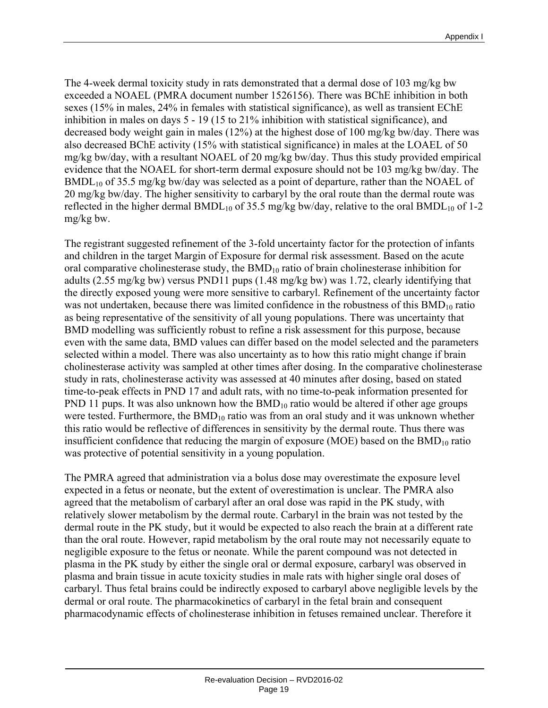The 4-week dermal toxicity study in rats demonstrated that a dermal dose of 103 mg/kg bw exceeded a NOAEL (PMRA document number 1526156). There was BChE inhibition in both sexes (15% in males, 24% in females with statistical significance), as well as transient EChE inhibition in males on days 5 - 19 (15 to 21% inhibition with statistical significance), and decreased body weight gain in males (12%) at the highest dose of 100 mg/kg bw/day. There was also decreased BChE activity (15% with statistical significance) in males at the LOAEL of 50 mg/kg bw/day, with a resultant NOAEL of 20 mg/kg bw/day. Thus this study provided empirical evidence that the NOAEL for short-term dermal exposure should not be 103 mg/kg bw/day. The BMDL<sub>10</sub> of 35.5 mg/kg bw/day was selected as a point of departure, rather than the NOAEL of 20 mg/kg bw/day. The higher sensitivity to carbaryl by the oral route than the dermal route was reflected in the higher dermal  $BMDL_{10}$  of 35.5 mg/kg bw/day, relative to the oral  $BMDL_{10}$  of 1-2 mg/kg bw.

The registrant suggested refinement of the 3-fold uncertainty factor for the protection of infants and children in the target Margin of Exposure for dermal risk assessment. Based on the acute oral comparative cholinesterase study, the  $BMD_{10}$  ratio of brain cholinesterase inhibition for adults (2.55 mg/kg bw) versus PND11 pups (1.48 mg/kg bw) was 1.72, clearly identifying that the directly exposed young were more sensitive to carbaryl. Refinement of the uncertainty factor was not undertaken, because there was limited confidence in the robustness of this  $BMD_{10}$  ratio as being representative of the sensitivity of all young populations. There was uncertainty that BMD modelling was sufficiently robust to refine a risk assessment for this purpose, because even with the same data, BMD values can differ based on the model selected and the parameters selected within a model. There was also uncertainty as to how this ratio might change if brain cholinesterase activity was sampled at other times after dosing. In the comparative cholinesterase study in rats, cholinesterase activity was assessed at 40 minutes after dosing, based on stated time-to-peak effects in PND 17 and adult rats, with no time-to-peak information presented for PND 11 pups. It was also unknown how the  $BMD_{10}$  ratio would be altered if other age groups were tested. Furthermore, the  $BMD_{10}$  ratio was from an oral study and it was unknown whether this ratio would be reflective of differences in sensitivity by the dermal route. Thus there was insufficient confidence that reducing the margin of exposure (MOE) based on the  $BMD_{10}$  ratio was protective of potential sensitivity in a young population.

The PMRA agreed that administration via a bolus dose may overestimate the exposure level expected in a fetus or neonate, but the extent of overestimation is unclear. The PMRA also agreed that the metabolism of carbaryl after an oral dose was rapid in the PK study, with relatively slower metabolism by the dermal route. Carbaryl in the brain was not tested by the dermal route in the PK study, but it would be expected to also reach the brain at a different rate than the oral route. However, rapid metabolism by the oral route may not necessarily equate to negligible exposure to the fetus or neonate. While the parent compound was not detected in plasma in the PK study by either the single oral or dermal exposure, carbaryl was observed in plasma and brain tissue in acute toxicity studies in male rats with higher single oral doses of carbaryl. Thus fetal brains could be indirectly exposed to carbaryl above negligible levels by the dermal or oral route. The pharmacokinetics of carbaryl in the fetal brain and consequent pharmacodynamic effects of cholinesterase inhibition in fetuses remained unclear. Therefore it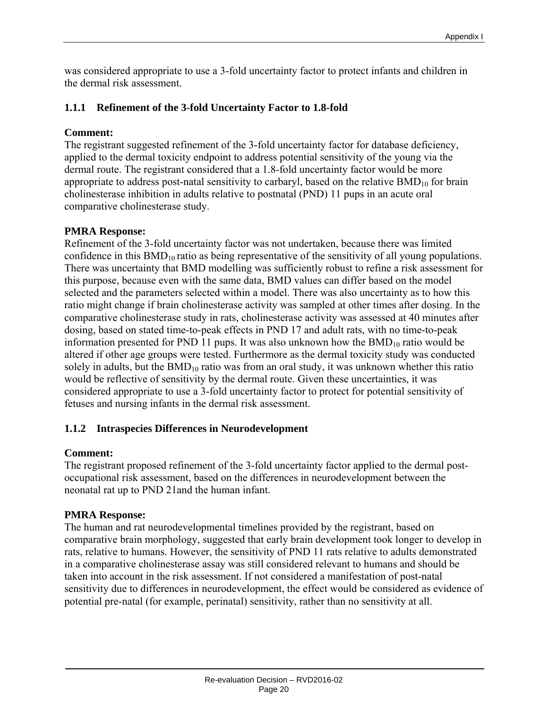was considered appropriate to use a 3-fold uncertainty factor to protect infants and children in the dermal risk assessment.

#### **1.1.1 Refinement of the 3-fold Uncertainty Factor to 1.8-fold**

#### **Comment:**

The registrant suggested refinement of the 3-fold uncertainty factor for database deficiency, applied to the dermal toxicity endpoint to address potential sensitivity of the young via the dermal route. The registrant considered that a 1.8-fold uncertainty factor would be more appropriate to address post-natal sensitivity to carbaryl, based on the relative  $BMD_{10}$  for brain cholinesterase inhibition in adults relative to postnatal (PND) 11 pups in an acute oral comparative cholinesterase study.

#### **PMRA Response:**

Refinement of the 3-fold uncertainty factor was not undertaken, because there was limited confidence in this  $BMD_{10}$  ratio as being representative of the sensitivity of all young populations. There was uncertainty that BMD modelling was sufficiently robust to refine a risk assessment for this purpose, because even with the same data, BMD values can differ based on the model selected and the parameters selected within a model. There was also uncertainty as to how this ratio might change if brain cholinesterase activity was sampled at other times after dosing. In the comparative cholinesterase study in rats, cholinesterase activity was assessed at 40 minutes after dosing, based on stated time-to-peak effects in PND 17 and adult rats, with no time-to-peak information presented for PND 11 pups. It was also unknown how the  $BMD_{10}$  ratio would be altered if other age groups were tested. Furthermore as the dermal toxicity study was conducted solely in adults, but the  $BMD_{10}$  ratio was from an oral study, it was unknown whether this ratio would be reflective of sensitivity by the dermal route. Given these uncertainties, it was considered appropriate to use a 3-fold uncertainty factor to protect for potential sensitivity of fetuses and nursing infants in the dermal risk assessment.

#### **1.1.2 Intraspecies Differences in Neurodevelopment**

#### **Comment:**

The registrant proposed refinement of the 3-fold uncertainty factor applied to the dermal postoccupational risk assessment, based on the differences in neurodevelopment between the neonatal rat up to PND 21and the human infant.

#### **PMRA Response:**

The human and rat neurodevelopmental timelines provided by the registrant, based on comparative brain morphology, suggested that early brain development took longer to develop in rats, relative to humans. However, the sensitivity of PND 11 rats relative to adults demonstrated in a comparative cholinesterase assay was still considered relevant to humans and should be taken into account in the risk assessment. If not considered a manifestation of post-natal sensitivity due to differences in neurodevelopment, the effect would be considered as evidence of potential pre-natal (for example, perinatal) sensitivity, rather than no sensitivity at all.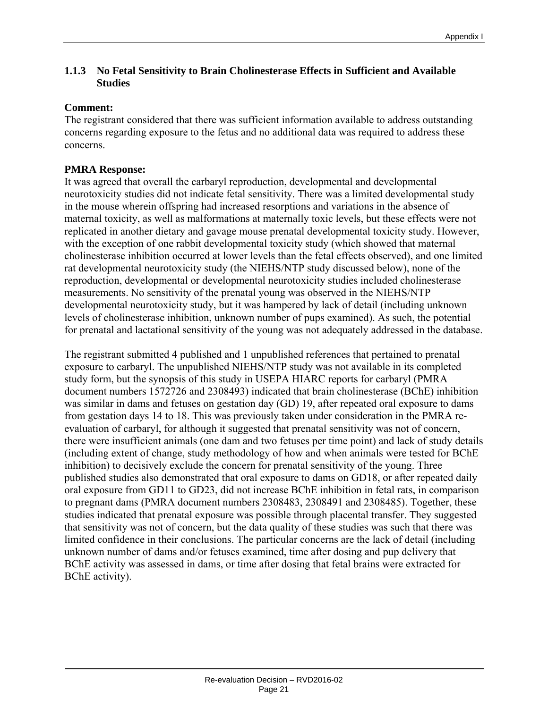#### **1.1.3 No Fetal Sensitivity to Brain Cholinesterase Effects in Sufficient and Available Studies**

#### **Comment:**

The registrant considered that there was sufficient information available to address outstanding concerns regarding exposure to the fetus and no additional data was required to address these concerns.

#### **PMRA Response:**

It was agreed that overall the carbaryl reproduction, developmental and developmental neurotoxicity studies did not indicate fetal sensitivity. There was a limited developmental study in the mouse wherein offspring had increased resorptions and variations in the absence of maternal toxicity, as well as malformations at maternally toxic levels, but these effects were not replicated in another dietary and gavage mouse prenatal developmental toxicity study. However, with the exception of one rabbit developmental toxicity study (which showed that maternal cholinesterase inhibition occurred at lower levels than the fetal effects observed), and one limited rat developmental neurotoxicity study (the NIEHS/NTP study discussed below), none of the reproduction, developmental or developmental neurotoxicity studies included cholinesterase measurements. No sensitivity of the prenatal young was observed in the NIEHS/NTP developmental neurotoxicity study, but it was hampered by lack of detail (including unknown levels of cholinesterase inhibition, unknown number of pups examined). As such, the potential for prenatal and lactational sensitivity of the young was not adequately addressed in the database.

The registrant submitted 4 published and 1 unpublished references that pertained to prenatal exposure to carbaryl. The unpublished NIEHS/NTP study was not available in its completed study form, but the synopsis of this study in USEPA HIARC reports for carbaryl (PMRA document numbers 1572726 and 2308493) indicated that brain cholinesterase (BChE) inhibition was similar in dams and fetuses on gestation day (GD) 19, after repeated oral exposure to dams from gestation days 14 to 18. This was previously taken under consideration in the PMRA reevaluation of carbaryl, for although it suggested that prenatal sensitivity was not of concern, there were insufficient animals (one dam and two fetuses per time point) and lack of study details (including extent of change, study methodology of how and when animals were tested for BChE inhibition) to decisively exclude the concern for prenatal sensitivity of the young. Three published studies also demonstrated that oral exposure to dams on GD18, or after repeated daily oral exposure from GD11 to GD23, did not increase BChE inhibition in fetal rats, in comparison to pregnant dams (PMRA document numbers 2308483, 2308491 and 2308485). Together, these studies indicated that prenatal exposure was possible through placental transfer. They suggested that sensitivity was not of concern, but the data quality of these studies was such that there was limited confidence in their conclusions. The particular concerns are the lack of detail (including unknown number of dams and/or fetuses examined, time after dosing and pup delivery that BChE activity was assessed in dams, or time after dosing that fetal brains were extracted for BChE activity).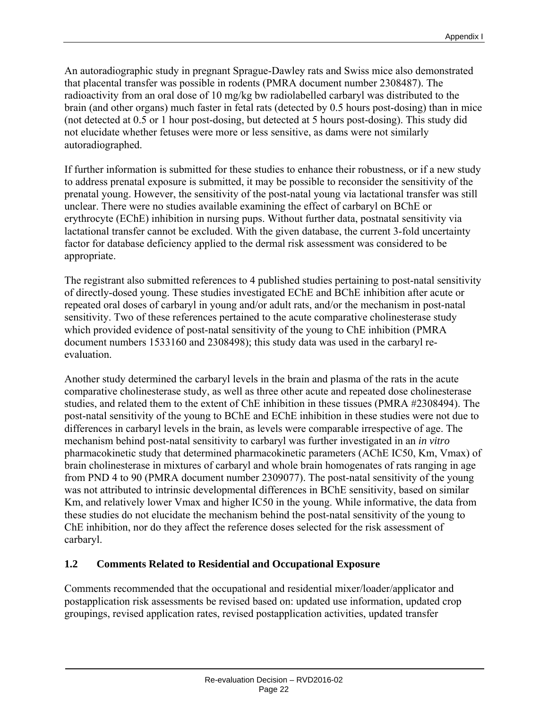An autoradiographic study in pregnant Sprague-Dawley rats and Swiss mice also demonstrated that placental transfer was possible in rodents (PMRA document number 2308487). The radioactivity from an oral dose of 10 mg/kg bw radiolabelled carbaryl was distributed to the brain (and other organs) much faster in fetal rats (detected by 0.5 hours post-dosing) than in mice (not detected at 0.5 or 1 hour post-dosing, but detected at 5 hours post-dosing). This study did not elucidate whether fetuses were more or less sensitive, as dams were not similarly autoradiographed.

If further information is submitted for these studies to enhance their robustness, or if a new study to address prenatal exposure is submitted, it may be possible to reconsider the sensitivity of the prenatal young. However, the sensitivity of the post-natal young via lactational transfer was still unclear. There were no studies available examining the effect of carbaryl on BChE or erythrocyte (EChE) inhibition in nursing pups. Without further data, postnatal sensitivity via lactational transfer cannot be excluded. With the given database, the current 3-fold uncertainty factor for database deficiency applied to the dermal risk assessment was considered to be appropriate.

The registrant also submitted references to 4 published studies pertaining to post-natal sensitivity of directly-dosed young. These studies investigated EChE and BChE inhibition after acute or repeated oral doses of carbaryl in young and/or adult rats, and/or the mechanism in post-natal sensitivity. Two of these references pertained to the acute comparative cholinesterase study which provided evidence of post-natal sensitivity of the young to ChE inhibition (PMRA document numbers 1533160 and 2308498); this study data was used in the carbaryl reevaluation.

Another study determined the carbaryl levels in the brain and plasma of the rats in the acute comparative cholinesterase study, as well as three other acute and repeated dose cholinesterase studies, and related them to the extent of ChE inhibition in these tissues (PMRA #2308494). The post-natal sensitivity of the young to BChE and EChE inhibition in these studies were not due to differences in carbaryl levels in the brain, as levels were comparable irrespective of age. The mechanism behind post-natal sensitivity to carbaryl was further investigated in an *in vitro* pharmacokinetic study that determined pharmacokinetic parameters (AChE IC50, Km, Vmax) of brain cholinesterase in mixtures of carbaryl and whole brain homogenates of rats ranging in age from PND 4 to 90 (PMRA document number 2309077). The post-natal sensitivity of the young was not attributed to intrinsic developmental differences in BChE sensitivity, based on similar Km, and relatively lower Vmax and higher IC50 in the young. While informative, the data from these studies do not elucidate the mechanism behind the post-natal sensitivity of the young to ChE inhibition, nor do they affect the reference doses selected for the risk assessment of carbaryl.

#### **1.2 Comments Related to Residential and Occupational Exposure**

Comments recommended that the occupational and residential mixer/loader/applicator and postapplication risk assessments be revised based on: updated use information, updated crop groupings, revised application rates, revised postapplication activities, updated transfer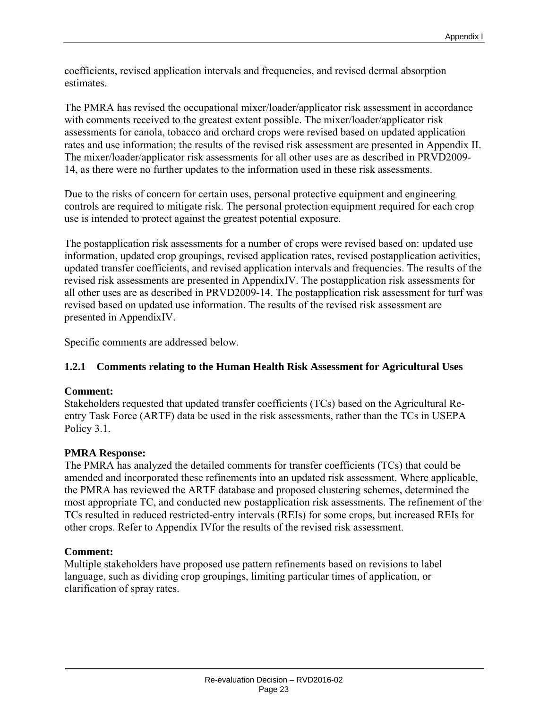coefficients, revised application intervals and frequencies, and revised dermal absorption estimates.

The PMRA has revised the occupational mixer/loader/applicator risk assessment in accordance with comments received to the greatest extent possible. The mixer/loader/applicator risk assessments for canola, tobacco and orchard crops were revised based on updated application rates and use information; the results of the revised risk assessment are presented in Appendix II. The mixer/loader/applicator risk assessments for all other uses are as described in PRVD2009- 14, as there were no further updates to the information used in these risk assessments.

Due to the risks of concern for certain uses, personal protective equipment and engineering controls are required to mitigate risk. The personal protection equipment required for each crop use is intended to protect against the greatest potential exposure.

The postapplication risk assessments for a number of crops were revised based on: updated use information, updated crop groupings, revised application rates, revised postapplication activities, updated transfer coefficients, and revised application intervals and frequencies. The results of the revised risk assessments are presented in AppendixIV. The postapplication risk assessments for all other uses are as described in PRVD2009-14. The postapplication risk assessment for turf was revised based on updated use information. The results of the revised risk assessment are presented in AppendixIV.

Specific comments are addressed below.

#### **1.2.1 Comments relating to the Human Health Risk Assessment for Agricultural Uses**

#### **Comment:**

Stakeholders requested that updated transfer coefficients (TCs) based on the Agricultural Reentry Task Force (ARTF) data be used in the risk assessments, rather than the TCs in USEPA Policy 3.1.

#### **PMRA Response:**

The PMRA has analyzed the detailed comments for transfer coefficients (TCs) that could be amended and incorporated these refinements into an updated risk assessment. Where applicable, the PMRA has reviewed the ARTF database and proposed clustering schemes, determined the most appropriate TC, and conducted new postapplication risk assessments. The refinement of the TCs resulted in reduced restricted-entry intervals (REIs) for some crops, but increased REIs for other crops. Refer to Appendix IVfor the results of the revised risk assessment.

#### **Comment:**

Multiple stakeholders have proposed use pattern refinements based on revisions to label language, such as dividing crop groupings, limiting particular times of application, or clarification of spray rates.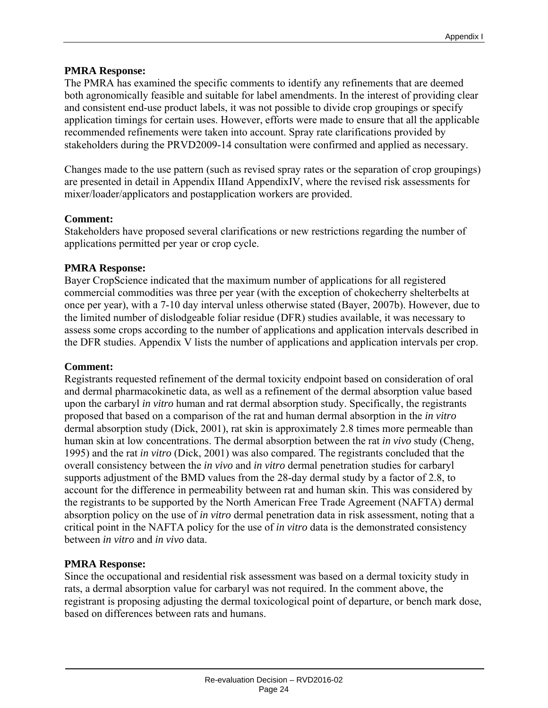#### **PMRA Response:**

The PMRA has examined the specific comments to identify any refinements that are deemed both agronomically feasible and suitable for label amendments. In the interest of providing clear and consistent end-use product labels, it was not possible to divide crop groupings or specify application timings for certain uses. However, efforts were made to ensure that all the applicable recommended refinements were taken into account. Spray rate clarifications provided by stakeholders during the PRVD2009-14 consultation were confirmed and applied as necessary.

Changes made to the use pattern (such as revised spray rates or the separation of crop groupings) are presented in detail in Appendix IIIand AppendixIV, where the revised risk assessments for mixer/loader/applicators and postapplication workers are provided.

#### **Comment:**

Stakeholders have proposed several clarifications or new restrictions regarding the number of applications permitted per year or crop cycle.

#### **PMRA Response:**

Bayer CropScience indicated that the maximum number of applications for all registered commercial commodities was three per year (with the exception of chokecherry shelterbelts at once per year), with a 7-10 day interval unless otherwise stated (Bayer, 2007b). However, due to the limited number of dislodgeable foliar residue (DFR) studies available, it was necessary to assess some crops according to the number of applications and application intervals described in the DFR studies. Appendix V lists the number of applications and application intervals per crop.

#### **Comment:**

Registrants requested refinement of the dermal toxicity endpoint based on consideration of oral and dermal pharmacokinetic data, as well as a refinement of the dermal absorption value based upon the carbaryl *in vitro* human and rat dermal absorption study. Specifically, the registrants proposed that based on a comparison of the rat and human dermal absorption in the *in vitro* dermal absorption study (Dick, 2001), rat skin is approximately 2.8 times more permeable than human skin at low concentrations. The dermal absorption between the rat *in vivo* study (Cheng, 1995) and the rat *in vitro* (Dick, 2001) was also compared. The registrants concluded that the overall consistency between the *in vivo* and *in vitro* dermal penetration studies for carbaryl supports adjustment of the BMD values from the 28-day dermal study by a factor of 2.8, to account for the difference in permeability between rat and human skin. This was considered by the registrants to be supported by the North American Free Trade Agreement (NAFTA) dermal absorption policy on the use of *in vitro* dermal penetration data in risk assessment, noting that a critical point in the NAFTA policy for the use of *in vitro* data is the demonstrated consistency between *in vitro* and *in vivo* data.

#### **PMRA Response:**

Since the occupational and residential risk assessment was based on a dermal toxicity study in rats, a dermal absorption value for carbaryl was not required. In the comment above, the registrant is proposing adjusting the dermal toxicological point of departure, or bench mark dose, based on differences between rats and humans.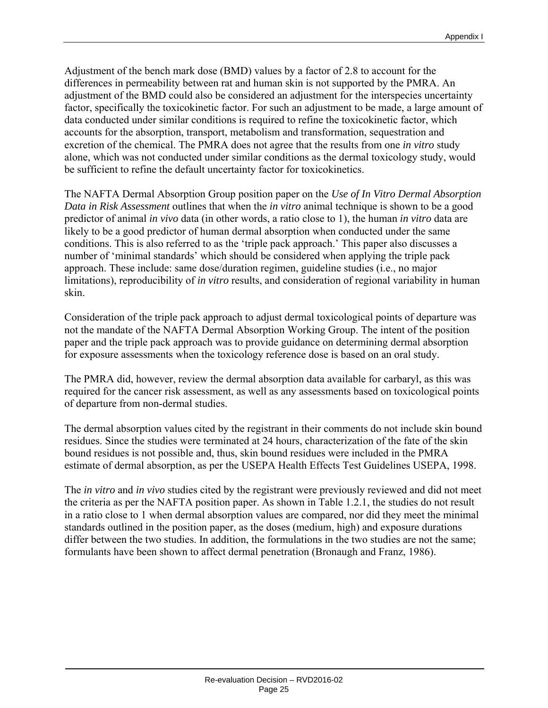Adjustment of the bench mark dose (BMD) values by a factor of 2.8 to account for the differences in permeability between rat and human skin is not supported by the PMRA. An adjustment of the BMD could also be considered an adjustment for the interspecies uncertainty factor, specifically the toxicokinetic factor. For such an adjustment to be made, a large amount of data conducted under similar conditions is required to refine the toxicokinetic factor, which accounts for the absorption, transport, metabolism and transformation, sequestration and excretion of the chemical. The PMRA does not agree that the results from one *in vitro* study alone, which was not conducted under similar conditions as the dermal toxicology study, would be sufficient to refine the default uncertainty factor for toxicokinetics.

The NAFTA Dermal Absorption Group position paper on the *Use of In Vitro Dermal Absorption Data in Risk Assessment* outlines that when the *in vitro* animal technique is shown to be a good predictor of animal *in vivo* data (in other words, a ratio close to 1), the human *in vitro* data are likely to be a good predictor of human dermal absorption when conducted under the same conditions. This is also referred to as the 'triple pack approach.' This paper also discusses a number of 'minimal standards' which should be considered when applying the triple pack approach. These include: same dose/duration regimen, guideline studies (i.e., no major limitations), reproducibility of *in vitro* results, and consideration of regional variability in human skin.

Consideration of the triple pack approach to adjust dermal toxicological points of departure was not the mandate of the NAFTA Dermal Absorption Working Group. The intent of the position paper and the triple pack approach was to provide guidance on determining dermal absorption for exposure assessments when the toxicology reference dose is based on an oral study.

The PMRA did, however, review the dermal absorption data available for carbaryl, as this was required for the cancer risk assessment, as well as any assessments based on toxicological points of departure from non-dermal studies.

The dermal absorption values cited by the registrant in their comments do not include skin bound residues. Since the studies were terminated at 24 hours, characterization of the fate of the skin bound residues is not possible and, thus, skin bound residues were included in the PMRA estimate of dermal absorption, as per the USEPA Health Effects Test Guidelines USEPA, 1998.

The *in vitro* and *in vivo* studies cited by the registrant were previously reviewed and did not meet the criteria as per the NAFTA position paper. As shown in Table 1.2.1, the studies do not result in a ratio close to 1 when dermal absorption values are compared, nor did they meet the minimal standards outlined in the position paper, as the doses (medium, high) and exposure durations differ between the two studies. In addition, the formulations in the two studies are not the same; formulants have been shown to affect dermal penetration (Bronaugh and Franz, 1986).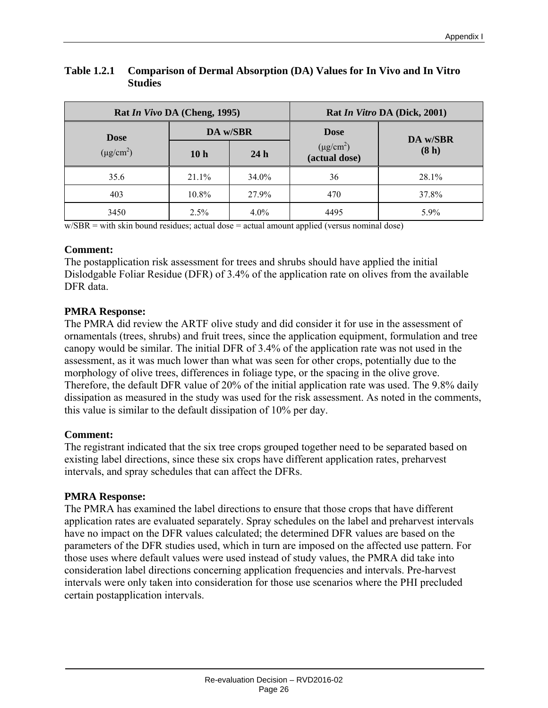|                | Rat <i>In Vivo</i> DA (Cheng, 1995) | Rat In Vitro DA (Dick, 2001) |                                 |          |
|----------------|-------------------------------------|------------------------------|---------------------------------|----------|
| <b>Dose</b>    | DA w/SBR                            |                              | <b>Dose</b>                     | DA w/SBR |
| $(\mu g/cm^2)$ | 10 <sub>h</sub>                     | 24h                          | $(\mu g/cm^2)$<br>(actual dose) | (8h)     |
| 35.6           | $21.1\%$                            | 34.0%                        | 36                              | $28.1\%$ |
| 403            | 10.8%                               | 27.9%                        | 470                             | 37.8%    |
| 3450           | 2.5%                                | $4.0\%$                      | 4495                            | 5.9%     |

#### **Table 1.2.1 Comparison of Dermal Absorption (DA) Values for In Vivo and In Vitro Studies**

 $w/SBR = with skin bound residues; actual dose = actual amount applied (versus nominal dose)$ 

#### **Comment:**

The postapplication risk assessment for trees and shrubs should have applied the initial Dislodgable Foliar Residue (DFR) of 3.4% of the application rate on olives from the available DFR data.

#### **PMRA Response:**

The PMRA did review the ARTF olive study and did consider it for use in the assessment of ornamentals (trees, shrubs) and fruit trees, since the application equipment, formulation and tree canopy would be similar. The initial DFR of 3.4% of the application rate was not used in the assessment, as it was much lower than what was seen for other crops, potentially due to the morphology of olive trees, differences in foliage type, or the spacing in the olive grove. Therefore, the default DFR value of 20% of the initial application rate was used. The 9.8% daily dissipation as measured in the study was used for the risk assessment. As noted in the comments, this value is similar to the default dissipation of 10% per day.

#### **Comment:**

The registrant indicated that the six tree crops grouped together need to be separated based on existing label directions, since these six crops have different application rates, preharvest intervals, and spray schedules that can affect the DFRs.

#### **PMRA Response:**

The PMRA has examined the label directions to ensure that those crops that have different application rates are evaluated separately. Spray schedules on the label and preharvest intervals have no impact on the DFR values calculated; the determined DFR values are based on the parameters of the DFR studies used, which in turn are imposed on the affected use pattern. For those uses where default values were used instead of study values, the PMRA did take into consideration label directions concerning application frequencies and intervals. Pre-harvest intervals were only taken into consideration for those use scenarios where the PHI precluded certain postapplication intervals.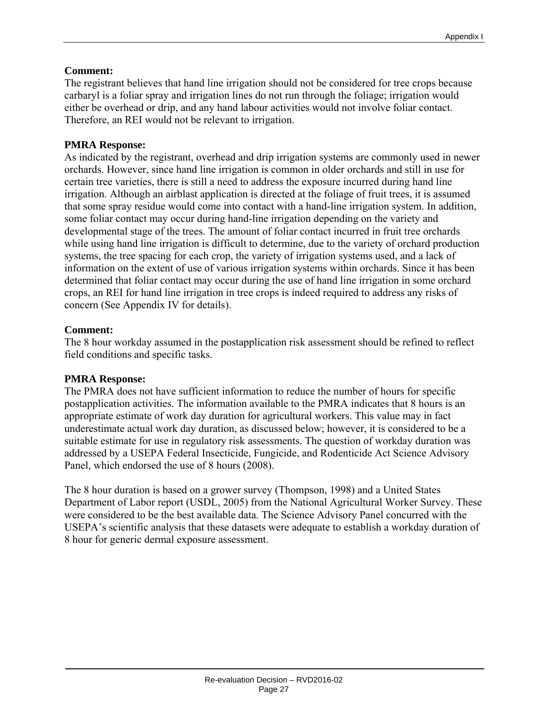#### **Comment:**

The registrant believes that hand line irrigation should not be considered for tree crops because carbaryl is a foliar spray and irrigation lines do not run through the foliage; irrigation would either be overhead or drip, and any hand labour activities would not involve foliar contact. Therefore, an REI would not be relevant to irrigation.

#### **PMRA Response:**

As indicated by the registrant, overhead and drip irrigation systems are commonly used in newer orchards. However, since hand line irrigation is common in older orchards and still in use for certain tree varieties, there is still a need to address the exposure incurred during hand line irrigation. Although an airblast application is directed at the foliage of fruit trees, it is assumed that some spray residue would come into contact with a hand-line irrigation system. In addition, some foliar contact may occur during hand-line irrigation depending on the variety and developmental stage of the trees. The amount of foliar contact incurred in fruit tree orchards while using hand line irrigation is difficult to determine, due to the variety of orchard production systems, the tree spacing for each crop, the variety of irrigation systems used, and a lack of information on the extent of use of various irrigation systems within orchards. Since it has been determined that foliar contact may occur during the use of hand line irrigation in some orchard crops, an REI for hand line irrigation in tree crops is indeed required to address any risks of concern (See Appendix IV for details).

#### **Comment:**

The 8 hour workday assumed in the postapplication risk assessment should be refined to reflect field conditions and specific tasks.

#### **PMRA Response:**

The PMRA does not have sufficient information to reduce the number of hours for specific postapplication activities. The information available to the PMRA indicates that 8 hours is an appropriate estimate of work day duration for agricultural workers. This value may in fact underestimate actual work day duration, as discussed below; however, it is considered to be a suitable estimate for use in regulatory risk assessments. The question of workday duration was addressed by a USEPA Federal Insecticide, Fungicide, and Rodenticide Act Science Advisory Panel, which endorsed the use of 8 hours (2008).

The 8 hour duration is based on a grower survey (Thompson, 1998) and a United States Department of Labor report (USDL, 2005) from the National Agricultural Worker Survey. These were considered to be the best available data. The Science Advisory Panel concurred with the USEPA's scientific analysis that these datasets were adequate to establish a workday duration of 8 hour for generic dermal exposure assessment.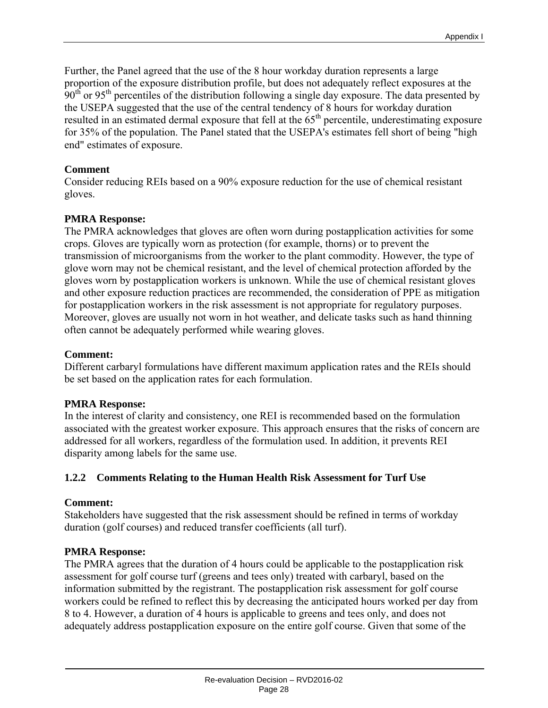Further, the Panel agreed that the use of the 8 hour workday duration represents a large proportion of the exposure distribution profile, but does not adequately reflect exposures at the  $90<sup>th</sup>$  or 95<sup>th</sup> percentiles of the distribution following a single day exposure. The data presented by the USEPA suggested that the use of the central tendency of 8 hours for workday duration resulted in an estimated dermal exposure that fell at the 65<sup>th</sup> percentile, underestimating exposure for 35% of the population. The Panel stated that the USEPA's estimates fell short of being "high end" estimates of exposure.

#### **Comment**

Consider reducing REIs based on a 90% exposure reduction for the use of chemical resistant gloves.

#### **PMRA Response:**

The PMRA acknowledges that gloves are often worn during postapplication activities for some crops. Gloves are typically worn as protection (for example, thorns) or to prevent the transmission of microorganisms from the worker to the plant commodity. However, the type of glove worn may not be chemical resistant, and the level of chemical protection afforded by the gloves worn by postapplication workers is unknown. While the use of chemical resistant gloves and other exposure reduction practices are recommended, the consideration of PPE as mitigation for postapplication workers in the risk assessment is not appropriate for regulatory purposes. Moreover, gloves are usually not worn in hot weather, and delicate tasks such as hand thinning often cannot be adequately performed while wearing gloves.

#### **Comment:**

Different carbaryl formulations have different maximum application rates and the REIs should be set based on the application rates for each formulation.

#### **PMRA Response:**

In the interest of clarity and consistency, one REI is recommended based on the formulation associated with the greatest worker exposure. This approach ensures that the risks of concern are addressed for all workers, regardless of the formulation used. In addition, it prevents REI disparity among labels for the same use.

#### **1.2.2 Comments Relating to the Human Health Risk Assessment for Turf Use**

#### **Comment:**

Stakeholders have suggested that the risk assessment should be refined in terms of workday duration (golf courses) and reduced transfer coefficients (all turf).

#### **PMRA Response:**

The PMRA agrees that the duration of 4 hours could be applicable to the postapplication risk assessment for golf course turf (greens and tees only) treated with carbaryl, based on the information submitted by the registrant. The postapplication risk assessment for golf course workers could be refined to reflect this by decreasing the anticipated hours worked per day from 8 to 4. However, a duration of 4 hours is applicable to greens and tees only, and does not adequately address postapplication exposure on the entire golf course. Given that some of the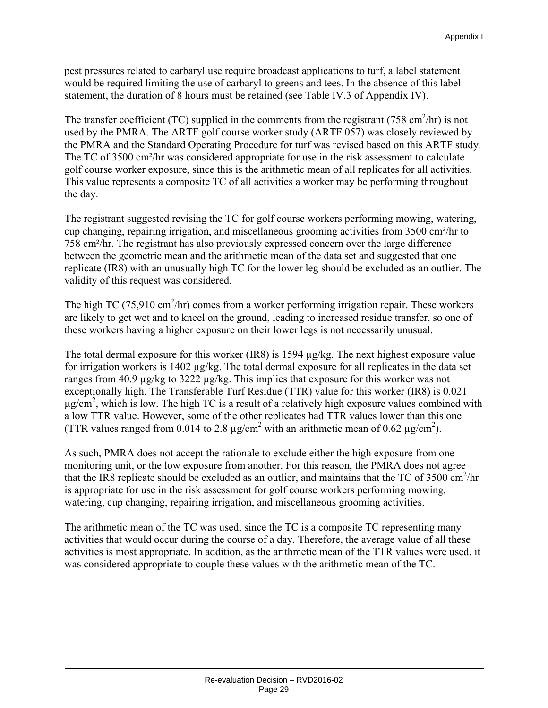pest pressures related to carbaryl use require broadcast applications to turf, a label statement would be required limiting the use of carbaryl to greens and tees. In the absence of this label statement, the duration of 8 hours must be retained (see Table IV.3 of Appendix IV).

The transfer coefficient (TC) supplied in the comments from the registrant (758 cm<sup>2</sup>/hr) is not used by the PMRA. The ARTF golf course worker study (ARTF 057) was closely reviewed by the PMRA and the Standard Operating Procedure for turf was revised based on this ARTF study. The TC of 3500 cm²/hr was considered appropriate for use in the risk assessment to calculate golf course worker exposure, since this is the arithmetic mean of all replicates for all activities. This value represents a composite TC of all activities a worker may be performing throughout the day.

The registrant suggested revising the TC for golf course workers performing mowing, watering, cup changing, repairing irrigation, and miscellaneous grooming activities from 3500 cm²/hr to 758 cm²/hr. The registrant has also previously expressed concern over the large difference between the geometric mean and the arithmetic mean of the data set and suggested that one replicate (IR8) with an unusually high TC for the lower leg should be excluded as an outlier. The validity of this request was considered.

The high TC (75,910 cm<sup>2</sup>/hr) comes from a worker performing irrigation repair. These workers are likely to get wet and to kneel on the ground, leading to increased residue transfer, so one of these workers having a higher exposure on their lower legs is not necessarily unusual.

The total dermal exposure for this worker (IR8) is 1594 µg/kg. The next highest exposure value for irrigation workers is 1402 µg/kg. The total dermal exposure for all replicates in the data set ranges from 40.9 µg/kg to 3222 µg/kg. This implies that exposure for this worker was not exceptionally high. The Transferable Turf Residue (TTR) value for this worker (IR8) is 0.021  $\mu$ g/cm<sup>2</sup>, which is low. The high TC is a result of a relatively high exposure values combined with a low TTR value. However, some of the other replicates had TTR values lower than this one (TTR values ranged from 0.014 to 2.8  $\mu$ g/cm<sup>2</sup> with an arithmetic mean of 0.62  $\mu$ g/cm<sup>2</sup>).

As such, PMRA does not accept the rationale to exclude either the high exposure from one monitoring unit, or the low exposure from another. For this reason, the PMRA does not agree that the IR8 replicate should be excluded as an outlier, and maintains that the TC of  $3500 \text{ cm}^2/\text{hr}$ is appropriate for use in the risk assessment for golf course workers performing mowing, watering, cup changing, repairing irrigation, and miscellaneous grooming activities.

The arithmetic mean of the TC was used, since the TC is a composite TC representing many activities that would occur during the course of a day. Therefore, the average value of all these activities is most appropriate. In addition, as the arithmetic mean of the TTR values were used, it was considered appropriate to couple these values with the arithmetic mean of the TC.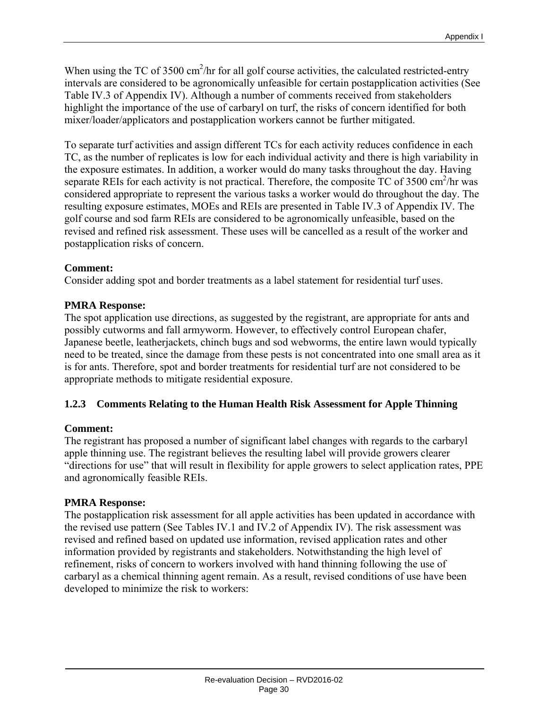When using the TC of  $3500 \text{ cm}^2/\text{hr}$  for all golf course activities, the calculated restricted-entry intervals are considered to be agronomically unfeasible for certain postapplication activities (See Table IV.3 of Appendix IV). Although a number of comments received from stakeholders highlight the importance of the use of carbaryl on turf, the risks of concern identified for both mixer/loader/applicators and postapplication workers cannot be further mitigated.

To separate turf activities and assign different TCs for each activity reduces confidence in each TC, as the number of replicates is low for each individual activity and there is high variability in the exposure estimates. In addition, a worker would do many tasks throughout the day. Having separate REIs for each activity is not practical. Therefore, the composite  $TC$  of 3500 cm<sup>2</sup>/hr was considered appropriate to represent the various tasks a worker would do throughout the day. The resulting exposure estimates, MOEs and REIs are presented in Table IV.3 of Appendix IV. The golf course and sod farm REIs are considered to be agronomically unfeasible, based on the revised and refined risk assessment. These uses will be cancelled as a result of the worker and postapplication risks of concern.

#### **Comment:**

Consider adding spot and border treatments as a label statement for residential turf uses.

#### **PMRA Response:**

The spot application use directions, as suggested by the registrant, are appropriate for ants and possibly cutworms and fall armyworm. However, to effectively control European chafer, Japanese beetle, leatherjackets, chinch bugs and sod webworms, the entire lawn would typically need to be treated, since the damage from these pests is not concentrated into one small area as it is for ants. Therefore, spot and border treatments for residential turf are not considered to be appropriate methods to mitigate residential exposure.

#### **1.2.3 Comments Relating to the Human Health Risk Assessment for Apple Thinning**

#### **Comment:**

The registrant has proposed a number of significant label changes with regards to the carbaryl apple thinning use. The registrant believes the resulting label will provide growers clearer "directions for use" that will result in flexibility for apple growers to select application rates, PPE and agronomically feasible REIs.

#### **PMRA Response:**

The postapplication risk assessment for all apple activities has been updated in accordance with the revised use pattern (See Tables IV.1 and IV.2 of Appendix IV). The risk assessment was revised and refined based on updated use information, revised application rates and other information provided by registrants and stakeholders. Notwithstanding the high level of refinement, risks of concern to workers involved with hand thinning following the use of carbaryl as a chemical thinning agent remain. As a result, revised conditions of use have been developed to minimize the risk to workers: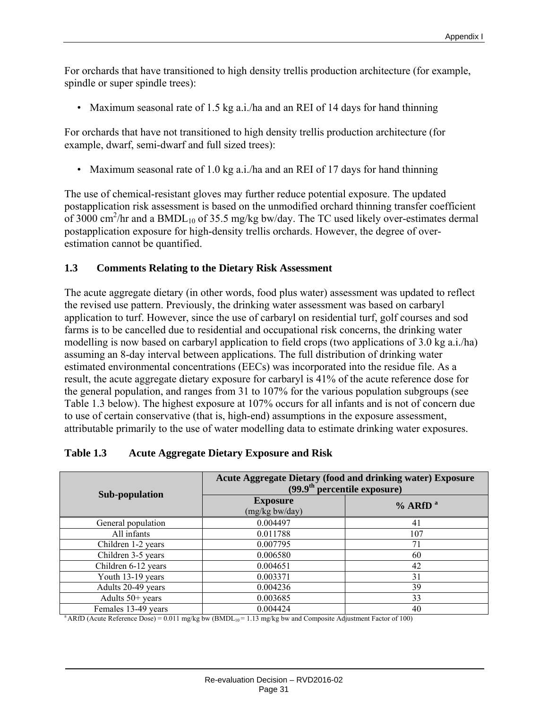For orchards that have transitioned to high density trellis production architecture (for example, spindle or super spindle trees):

• Maximum seasonal rate of 1.5 kg a.i./ha and an REI of 14 days for hand thinning

For orchards that have not transitioned to high density trellis production architecture (for example, dwarf, semi-dwarf and full sized trees):

• Maximum seasonal rate of 1.0 kg a.i./ha and an REI of 17 days for hand thinning

The use of chemical-resistant gloves may further reduce potential exposure. The updated postapplication risk assessment is based on the unmodified orchard thinning transfer coefficient of 3000 cm<sup>2</sup>/hr and a BMDL<sub>10</sub> of 35.5 mg/kg bw/day. The TC used likely over-estimates dermal postapplication exposure for high-density trellis orchards. However, the degree of overestimation cannot be quantified.

#### **1.3 Comments Relating to the Dietary Risk Assessment**

The acute aggregate dietary (in other words, food plus water) assessment was updated to reflect the revised use pattern. Previously, the drinking water assessment was based on carbaryl application to turf. However, since the use of carbaryl on residential turf, golf courses and sod farms is to be cancelled due to residential and occupational risk concerns, the drinking water modelling is now based on carbaryl application to field crops (two applications of 3.0 kg a.i./ha) assuming an 8-day interval between applications. The full distribution of drinking water estimated environmental concentrations (EECs) was incorporated into the residue file. As a result, the acute aggregate dietary exposure for carbaryl is 41% of the acute reference dose for the general population, and ranges from 31 to 107% for the various population subgroups (see Table 1.3 below). The highest exposure at 107% occurs for all infants and is not of concern due to use of certain conservative (that is, high-end) assumptions in the exposure assessment, attributable primarily to the use of water modelling data to estimate drinking water exposures.

| Sub-population      | <b>Acute Aggregate Dietary (food and drinking water) Exposure</b><br>$(99.9th percentile exposure)$ |              |  |
|---------------------|-----------------------------------------------------------------------------------------------------|--------------|--|
|                     | <b>Exposure</b><br>(mg/kg bw/day)                                                                   | $%$ ARfD $a$ |  |
| General population  | 0.004497                                                                                            | 41           |  |
| All infants         | 0.011788                                                                                            | 107          |  |
| Children 1-2 years  | 0.007795                                                                                            | 71           |  |
| Children 3-5 years  | 0.006580                                                                                            | 60           |  |
| Children 6-12 years | 0.004651                                                                                            | 42           |  |
| Youth 13-19 years   | 0.003371                                                                                            | 31           |  |
| Adults 20-49 years  | 0.004236                                                                                            | 39           |  |
| Adults 50+ years    | 0.003685                                                                                            | 33           |  |
| Females 13-49 years | 0.004424                                                                                            | 40           |  |

#### **Table 1.3 Acute Aggregate Dietary Exposure and Risk**

<sup>a</sup> ARfD (Acute Reference Dose) = 0.011 mg/kg bw (BMDL<sub>10</sub> = 1.13 mg/kg bw and Composite Adjustment Factor of 100)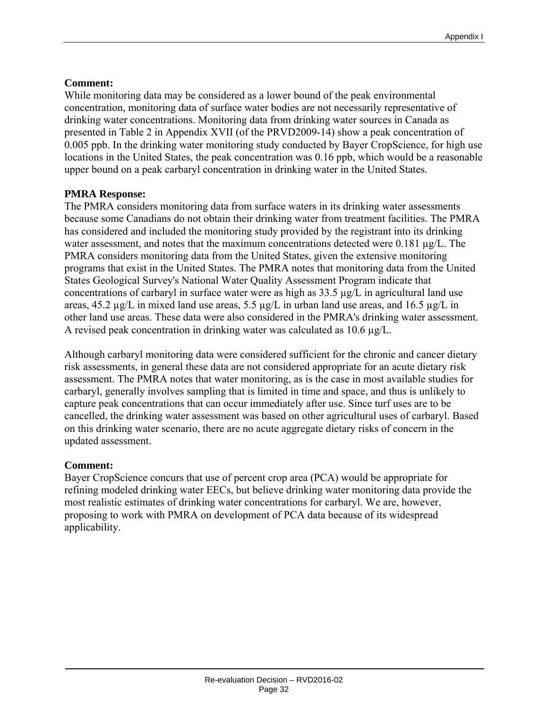#### **Comment:**

While monitoring data may be considered as a lower bound of the peak environmental concentration, monitoring data of surface water bodies are not necessarily representative of drinking water concentrations. Monitoring data from drinking water sources in Canada as presented in Table 2 in Appendix XVII (of the PRVD2009-14) show a peak concentration of 0.005 ppb. In the drinking water monitoring study conducted by Bayer CropScience, for high use locations in the United States, the peak concentration was 0.16 ppb, which would be a reasonable upper bound on a peak carbaryl concentration in drinking water in the United States.

#### **PMRA Response:**

The PMRA considers monitoring data from surface waters in its drinking water assessments because some Canadians do not obtain their drinking water from treatment facilities. The PMRA has considered and included the monitoring study provided by the registrant into its drinking water assessment, and notes that the maximum concentrations detected were  $0.181 \mu g/L$ . The PMRA considers monitoring data from the United States, given the extensive monitoring programs that exist in the United States. The PMRA notes that monitoring data from the United States Geological Survey's National Water Quality Assessment Program indicate that concentrations of carbaryl in surface water were as high as  $33.5 \mu g/L$  in agricultural land use areas,  $45.2 \mu g/L$  in mixed land use areas,  $5.5 \mu g/L$  in urban land use areas, and  $16.5 \mu g/L$  in other land use areas. These data were also considered in the PMRA's drinking water assessment. A revised peak concentration in drinking water was calculated as 10.6 µg/L.

Although carbaryl monitoring data were considered sufficient for the chronic and cancer dietary risk assessments, in general these data are not considered appropriate for an acute dietary risk assessment. The PMRA notes that water monitoring, as is the case in most available studies for carbaryl, generally involves sampling that is limited in time and space, and thus is unlikely to capture peak concentrations that can occur immediately after use. Since turf uses are to be cancelled, the drinking water assessment was based on other agricultural uses of carbaryl. Based on this drinking water scenario, there are no acute aggregate dietary risks of concern in the updated assessment.

#### **Comment:**

Bayer CropScience concurs that use of percent crop area (PCA) would be appropriate for refining modeled drinking water EECs, but believe drinking water monitoring data provide the most realistic estimates of drinking water concentrations for carbaryl. We are, however, proposing to work with PMRA on development of PCA data because of its widespread applicability.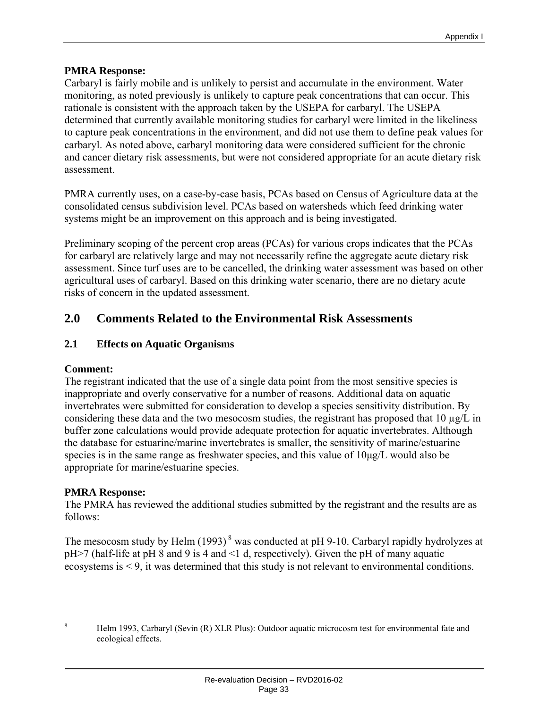#### **PMRA Response:**

Carbaryl is fairly mobile and is unlikely to persist and accumulate in the environment. Water monitoring, as noted previously is unlikely to capture peak concentrations that can occur. This rationale is consistent with the approach taken by the USEPA for carbaryl. The USEPA determined that currently available monitoring studies for carbaryl were limited in the likeliness to capture peak concentrations in the environment, and did not use them to define peak values for carbaryl. As noted above, carbaryl monitoring data were considered sufficient for the chronic and cancer dietary risk assessments, but were not considered appropriate for an acute dietary risk assessment.

PMRA currently uses, on a case-by-case basis, PCAs based on Census of Agriculture data at the consolidated census subdivision level. PCAs based on watersheds which feed drinking water systems might be an improvement on this approach and is being investigated.

Preliminary scoping of the percent crop areas (PCAs) for various crops indicates that the PCAs for carbaryl are relatively large and may not necessarily refine the aggregate acute dietary risk assessment. Since turf uses are to be cancelled, the drinking water assessment was based on other agricultural uses of carbaryl. Based on this drinking water scenario, there are no dietary acute risks of concern in the updated assessment.

# **2.0 Comments Related to the Environmental Risk Assessments**

#### **2.1 Effects on Aquatic Organisms**

#### **Comment:**

The registrant indicated that the use of a single data point from the most sensitive species is inappropriate and overly conservative for a number of reasons. Additional data on aquatic invertebrates were submitted for consideration to develop a species sensitivity distribution. By considering these data and the two mesocosm studies, the registrant has proposed that 10 µg/L in buffer zone calculations would provide adequate protection for aquatic invertebrates. Although the database for estuarine/marine invertebrates is smaller, the sensitivity of marine/estuarine species is in the same range as freshwater species, and this value of 10μg/L would also be appropriate for marine/estuarine species.

#### **PMRA Response:**

The PMRA has reviewed the additional studies submitted by the registrant and the results are as follows:

The mesocosm study by Helm  $(1993)^8$  was conducted at pH 9-10. Carbaryl rapidly hydrolyzes at pH>7 (half-life at pH 8 and 9 is 4 and <1 d, respectively). Given the pH of many aquatic ecosystems is < 9, it was determined that this study is not relevant to environmental conditions.

 8 Helm 1993, Carbaryl (Sevin (R) XLR Plus): Outdoor aquatic microcosm test for environmental fate and ecological effects.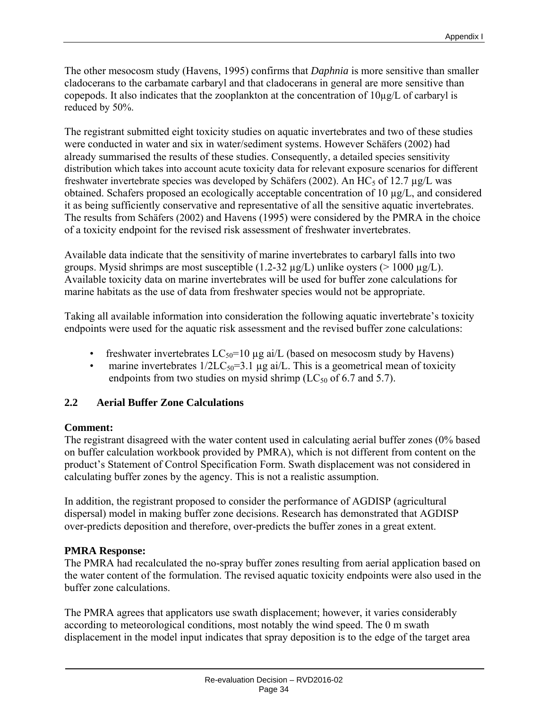The other mesocosm study (Havens, 1995) confirms that *Daphnia* is more sensitive than smaller cladocerans to the carbamate carbaryl and that cladocerans in general are more sensitive than copepods. It also indicates that the zooplankton at the concentration of 10µg/L of carbaryl is reduced by 50%.

The registrant submitted eight toxicity studies on aquatic invertebrates and two of these studies were conducted in water and six in water/sediment systems. However Schäfers (2002) had already summarised the results of these studies. Consequently, a detailed species sensitivity distribution which takes into account acute toxicity data for relevant exposure scenarios for different freshwater invertebrate species was developed by Schäfers (2002). An HC<sub>5</sub> of 12.7  $\mu$ g/L was obtained. Schafers proposed an ecologically acceptable concentration of 10 µg/L, and considered it as being sufficiently conservative and representative of all the sensitive aquatic invertebrates. The results from Schäfers (2002) and Havens (1995) were considered by the PMRA in the choice of a toxicity endpoint for the revised risk assessment of freshwater invertebrates.

Available data indicate that the sensitivity of marine invertebrates to carbaryl falls into two groups. Mysid shrimps are most susceptible  $(1.2-32 \mu g/L)$  unlike oysters ( $> 1000 \mu g/L$ ). Available toxicity data on marine invertebrates will be used for buffer zone calculations for marine habitats as the use of data from freshwater species would not be appropriate.

Taking all available information into consideration the following aquatic invertebrate's toxicity endpoints were used for the aquatic risk assessment and the revised buffer zone calculations:

- freshwater invertebrates  $LC_{50}$ =10 µg ai/L (based on mesocosm study by Havens)
- marine invertebrates  $1/2LC_{50}=3.1 \mu g$  ai/L. This is a geometrical mean of toxicity endpoints from two studies on mysid shrimp ( $LC_{50}$  of 6.7 and 5.7).

#### **2.2 Aerial Buffer Zone Calculations**

#### **Comment:**

The registrant disagreed with the water content used in calculating aerial buffer zones (0% based on buffer calculation workbook provided by PMRA), which is not different from content on the product's Statement of Control Specification Form. Swath displacement was not considered in calculating buffer zones by the agency. This is not a realistic assumption.

In addition, the registrant proposed to consider the performance of AGDISP (agricultural dispersal) model in making buffer zone decisions. Research has demonstrated that AGDISP over-predicts deposition and therefore, over-predicts the buffer zones in a great extent.

#### **PMRA Response:**

The PMRA had recalculated the no-spray buffer zones resulting from aerial application based on the water content of the formulation. The revised aquatic toxicity endpoints were also used in the buffer zone calculations.

The PMRA agrees that applicators use swath displacement; however, it varies considerably according to meteorological conditions, most notably the wind speed. The 0 m swath displacement in the model input indicates that spray deposition is to the edge of the target area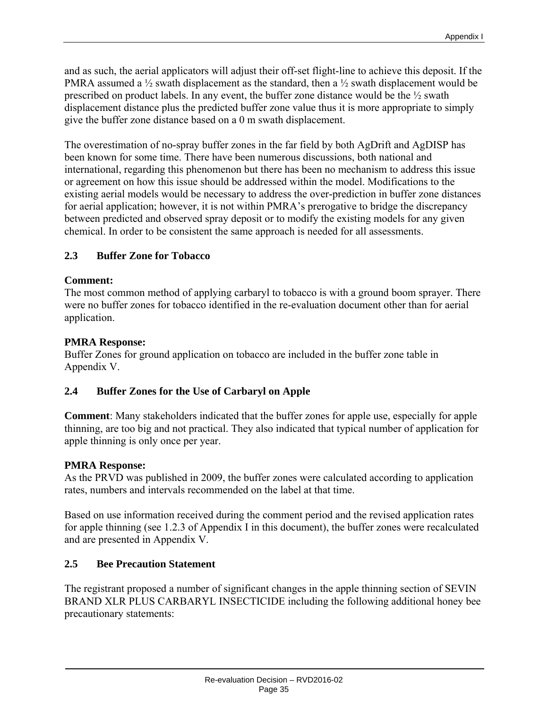and as such, the aerial applicators will adjust their off-set flight-line to achieve this deposit. If the PMRA assumed a  $\frac{1}{2}$  swath displacement as the standard, then a  $\frac{1}{2}$  swath displacement would be prescribed on product labels. In any event, the buffer zone distance would be the ½ swath displacement distance plus the predicted buffer zone value thus it is more appropriate to simply give the buffer zone distance based on a 0 m swath displacement.

The overestimation of no-spray buffer zones in the far field by both AgDrift and AgDISP has been known for some time. There have been numerous discussions, both national and international, regarding this phenomenon but there has been no mechanism to address this issue or agreement on how this issue should be addressed within the model. Modifications to the existing aerial models would be necessary to address the over-prediction in buffer zone distances for aerial application; however, it is not within PMRA's prerogative to bridge the discrepancy between predicted and observed spray deposit or to modify the existing models for any given chemical. In order to be consistent the same approach is needed for all assessments.

## **2.3 Buffer Zone for Tobacco**

## **Comment:**

The most common method of applying carbaryl to tobacco is with a ground boom sprayer. There were no buffer zones for tobacco identified in the re-evaluation document other than for aerial application.

## **PMRA Response:**

Buffer Zones for ground application on tobacco are included in the buffer zone table in Appendix V.

## **2.4 Buffer Zones for the Use of Carbaryl on Apple**

**Comment**: Many stakeholders indicated that the buffer zones for apple use, especially for apple thinning, are too big and not practical. They also indicated that typical number of application for apple thinning is only once per year.

## **PMRA Response:**

As the PRVD was published in 2009, the buffer zones were calculated according to application rates, numbers and intervals recommended on the label at that time.

Based on use information received during the comment period and the revised application rates for apple thinning (see 1.2.3 of Appendix I in this document), the buffer zones were recalculated and are presented in Appendix V.

## **2.5 Bee Precaution Statement**

The registrant proposed a number of significant changes in the apple thinning section of SEVIN BRAND XLR PLUS CARBARYL INSECTICIDE including the following additional honey bee precautionary statements: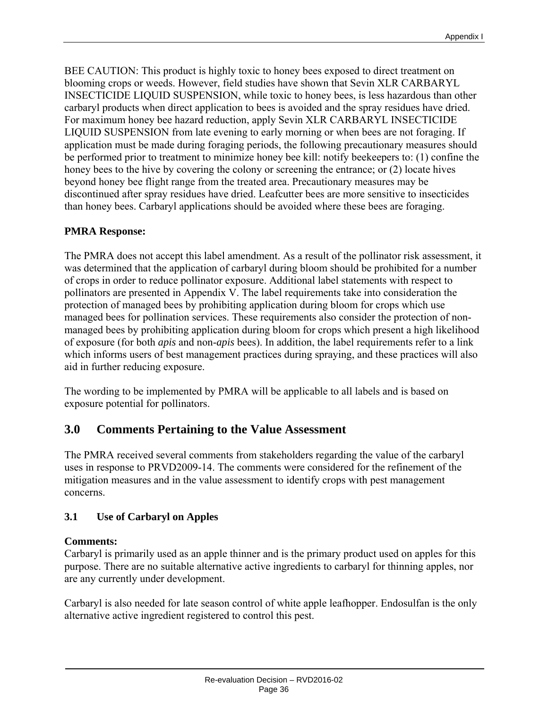BEE CAUTION: This product is highly toxic to honey bees exposed to direct treatment on blooming crops or weeds. However, field studies have shown that Sevin XLR CARBARYL INSECTICIDE LIQUID SUSPENSION, while toxic to honey bees, is less hazardous than other carbaryl products when direct application to bees is avoided and the spray residues have dried. For maximum honey bee hazard reduction, apply Sevin XLR CARBARYL INSECTICIDE LIQUID SUSPENSION from late evening to early morning or when bees are not foraging. If application must be made during foraging periods, the following precautionary measures should be performed prior to treatment to minimize honey bee kill: notify beekeepers to: (1) confine the honey bees to the hive by covering the colony or screening the entrance; or (2) locate hives beyond honey bee flight range from the treated area. Precautionary measures may be discontinued after spray residues have dried. Leafcutter bees are more sensitive to insecticides than honey bees. Carbaryl applications should be avoided where these bees are foraging.

## **PMRA Response:**

The PMRA does not accept this label amendment. As a result of the pollinator risk assessment, it was determined that the application of carbaryl during bloom should be prohibited for a number of crops in order to reduce pollinator exposure. Additional label statements with respect to pollinators are presented in Appendix V. The label requirements take into consideration the protection of managed bees by prohibiting application during bloom for crops which use managed bees for pollination services. These requirements also consider the protection of nonmanaged bees by prohibiting application during bloom for crops which present a high likelihood of exposure (for both *apis* and non-*apis* bees). In addition, the label requirements refer to a link which informs users of best management practices during spraying, and these practices will also aid in further reducing exposure.

The wording to be implemented by PMRA will be applicable to all labels and is based on exposure potential for pollinators.

# **3.0 Comments Pertaining to the Value Assessment**

The PMRA received several comments from stakeholders regarding the value of the carbaryl uses in response to PRVD2009-14. The comments were considered for the refinement of the mitigation measures and in the value assessment to identify crops with pest management concerns.

# **3.1 Use of Carbaryl on Apples**

## **Comments:**

Carbaryl is primarily used as an apple thinner and is the primary product used on apples for this purpose. There are no suitable alternative active ingredients to carbaryl for thinning apples, nor are any currently under development.

Carbaryl is also needed for late season control of white apple leafhopper. Endosulfan is the only alternative active ingredient registered to control this pest.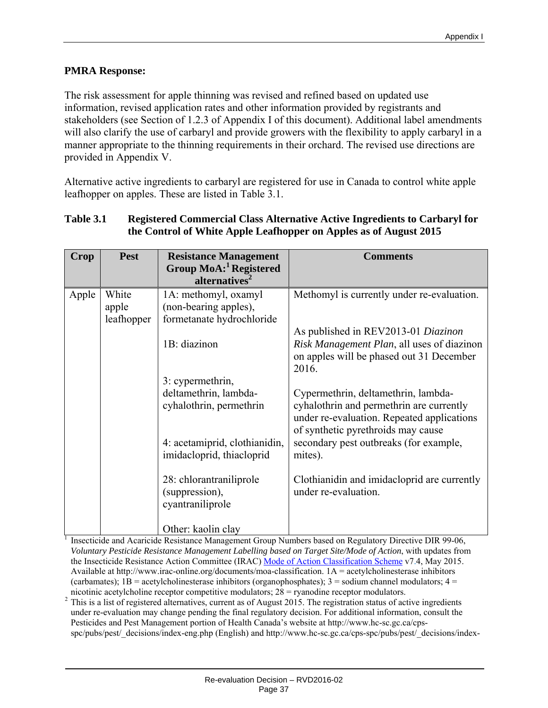## **PMRA Response:**

The risk assessment for apple thinning was revised and refined based on updated use information, revised application rates and other information provided by registrants and stakeholders (see Section of 1.2.3 of Appendix I of this document). Additional label amendments will also clarify the use of carbaryl and provide growers with the flexibility to apply carbaryl in a manner appropriate to the thinning requirements in their orchard. The revised use directions are provided in Appendix V.

Alternative active ingredients to carbaryl are registered for use in Canada to control white apple leafhopper on apples. These are listed in Table 3.1.

#### **Table 3.1 Registered Commercial Class Alternative Active Ingredients to Carbaryl for the Control of White Apple Leafhopper on Apples as of August 2015**

| Crop  | <b>Pest</b> | <b>Resistance Management</b>                                  | <b>Comments</b>                                                                                                                                                     |
|-------|-------------|---------------------------------------------------------------|---------------------------------------------------------------------------------------------------------------------------------------------------------------------|
|       |             | Group MoA: <sup>1</sup> Registered                            |                                                                                                                                                                     |
|       |             | alternatives <sup>2</sup>                                     |                                                                                                                                                                     |
| Apple | White       | 1A: methomyl, oxamyl                                          | Methomyl is currently under re-evaluation.                                                                                                                          |
|       | apple       | (non-bearing apples),                                         |                                                                                                                                                                     |
|       | leafhopper  | formetanate hydrochloride                                     |                                                                                                                                                                     |
|       |             |                                                               | As published in REV2013-01 Diazinon                                                                                                                                 |
|       |             | 1B: diazinon                                                  | Risk Management Plan, all uses of diazinon<br>on apples will be phased out 31 December<br>2016.                                                                     |
|       |             | 3: cypermethrin,                                              |                                                                                                                                                                     |
|       |             | deltamethrin, lambda-<br>cyhalothrin, permethrin              | Cypermethrin, deltamethrin, lambda-<br>cyhalothrin and permethrin are currently<br>under re-evaluation. Repeated applications<br>of synthetic pyrethroids may cause |
|       |             | 4: acetamiprid, clothianidin,<br>imidacloprid, thiacloprid    | secondary pest outbreaks (for example,<br>mites).                                                                                                                   |
|       |             | 28: chlorantraniliprole<br>(suppression),<br>cyantraniliprole | Clothianidin and imidacloprid are currently<br>under re-evaluation.                                                                                                 |
|       |             | Other: kaolin clay                                            |                                                                                                                                                                     |

<sup>1</sup> Insecticide and Acaricide Resistance Management Group Numbers based on Regulatory Directive DIR 99-06, *Voluntary Pesticide Resistance Management Labelling based on Target Site/Mode of Action*, with updates from the Insecticide Resistance Action Committee (IRAC) Mode of Action Classification Scheme v7.4, May 2015. Available at http://www.irac-online.org/documents/moa-classification. 1A = acetylcholinesterase inhibitors (carbamates);  $1B$  = acetylcholinesterase inhibitors (organophosphates);  $3$  = sodium channel modulators;  $4$  = nicotinic acetylcholine receptor competitive modulators;  $28$  = ryanodine receptor modulators.

 $2$  This is a list of registered alternatives, current as of August 2015. The registration status of active ingredients under re-evaluation may change pending the final regulatory decision. For additional information, consult the Pesticides and Pest Management portion of Health Canada's website at http://www.hc-sc.gc.ca/cpsspc/pubs/pest/\_decisions/index-eng.php (English) and http://www.hc-sc.gc.ca/cps-spc/pubs/pest/\_decisions/index-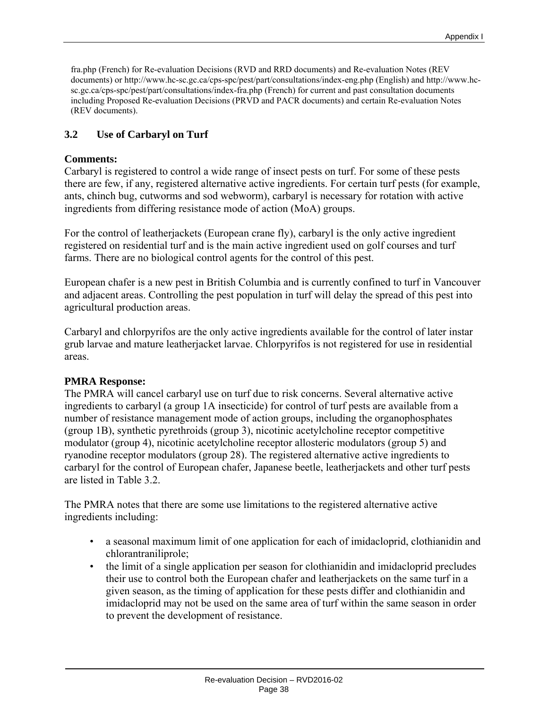fra.php (French) for Re-evaluation Decisions (RVD and RRD documents) and Re-evaluation Notes (REV documents) or http://www.hc-sc.gc.ca/cps-spc/pest/part/consultations/index-eng.php (English) and http://www.hcsc.gc.ca/cps-spc/pest/part/consultations/index-fra.php (French) for current and past consultation documents including Proposed Re-evaluation Decisions (PRVD and PACR documents) and certain Re-evaluation Notes (REV documents).

## **3.2 Use of Carbaryl on Turf**

#### **Comments:**

Carbaryl is registered to control a wide range of insect pests on turf. For some of these pests there are few, if any, registered alternative active ingredients. For certain turf pests (for example, ants, chinch bug, cutworms and sod webworm), carbaryl is necessary for rotation with active ingredients from differing resistance mode of action (MoA) groups.

For the control of leatherjackets (European crane fly), carbaryl is the only active ingredient registered on residential turf and is the main active ingredient used on golf courses and turf farms. There are no biological control agents for the control of this pest.

European chafer is a new pest in British Columbia and is currently confined to turf in Vancouver and adjacent areas. Controlling the pest population in turf will delay the spread of this pest into agricultural production areas.

Carbaryl and chlorpyrifos are the only active ingredients available for the control of later instar grub larvae and mature leatherjacket larvae. Chlorpyrifos is not registered for use in residential areas.

#### **PMRA Response:**

The PMRA will cancel carbaryl use on turf due to risk concerns. Several alternative active ingredients to carbaryl (a group 1A insecticide) for control of turf pests are available from a number of resistance management mode of action groups, including the organophosphates (group 1B), synthetic pyrethroids (group 3), nicotinic acetylcholine receptor competitive modulator (group 4), nicotinic acetylcholine receptor allosteric modulators (group 5) and ryanodine receptor modulators (group 28). The registered alternative active ingredients to carbaryl for the control of European chafer, Japanese beetle, leatherjackets and other turf pests are listed in Table 3.2.

The PMRA notes that there are some use limitations to the registered alternative active ingredients including:

- a seasonal maximum limit of one application for each of imidacloprid, clothianidin and chlorantraniliprole;
- the limit of a single application per season for clothianidin and imidacloprid precludes their use to control both the European chafer and leatherjackets on the same turf in a given season, as the timing of application for these pests differ and clothianidin and imidacloprid may not be used on the same area of turf within the same season in order to prevent the development of resistance.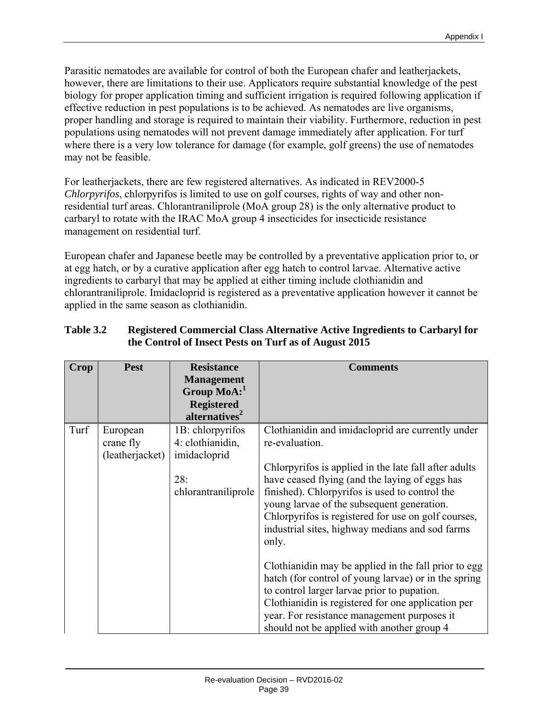Parasitic nematodes are available for control of both the European chafer and leatherjackets, however, there are limitations to their use. Applicators require substantial knowledge of the pest biology for proper application timing and sufficient irrigation is required following application if effective reduction in pest populations is to be achieved. As nematodes are live organisms, proper handling and storage is required to maintain their viability. Furthermore, reduction in pest populations using nematodes will not prevent damage immediately after application. For turf where there is a very low tolerance for damage (for example, golf greens) the use of nematodes may not be feasible.

For leatherjackets, there are few registered alternatives. As indicated in REV2000-5 *Chlorpyrifos*, chlorpyrifos is limited to use on golf courses, rights of way and other nonresidential turf areas. Chlorantraniliprole (MoA group 28) is the only alternative product to carbaryl to rotate with the IRAC MoA group 4 insecticides for insecticide resistance management on residential turf.

European chafer and Japanese beetle may be controlled by a preventative application prior to, or at egg hatch, or by a curative application after egg hatch to control larvae. Alternative active ingredients to carbaryl that may be applied at either timing include clothianidin and chlorantraniliprole. Imidacloprid is registered as a preventative application however it cannot be applied in the same season as clothianidin.

| <b>Crop</b> | <b>Pest</b>                              | <b>Resistance</b><br><b>Management</b><br>Group $\text{MoA:}^1$<br><b>Registered</b><br>alternatives <sup>2</sup> | <b>Comments</b>                                                                                                                                                                                                                                                                                                                                                                                                                                                                                                                                                                                                                                                                                                     |
|-------------|------------------------------------------|-------------------------------------------------------------------------------------------------------------------|---------------------------------------------------------------------------------------------------------------------------------------------------------------------------------------------------------------------------------------------------------------------------------------------------------------------------------------------------------------------------------------------------------------------------------------------------------------------------------------------------------------------------------------------------------------------------------------------------------------------------------------------------------------------------------------------------------------------|
| Turf        | European<br>crane fly<br>(leatherjacket) | 1B: chlorpyrifos<br>4: clothianidin,<br>imidacloprid<br>28:<br>chlorantraniliprole                                | Clothianidin and imidacloprid are currently under<br>re-evaluation.<br>Chlorpyrifos is applied in the late fall after adults<br>have ceased flying (and the laying of eggs has<br>finished). Chlorpyrifos is used to control the<br>young larvae of the subsequent generation.<br>Chlorpyrifos is registered for use on golf courses,<br>industrial sites, highway medians and sod farms<br>only.<br>Clothianidin may be applied in the fall prior to egg<br>hatch (for control of young larvae) or in the spring<br>to control larger larvae prior to pupation.<br>Clothianidin is registered for one application per<br>year. For resistance management purposes it<br>should not be applied with another group 4 |

## **Table 3.2 Registered Commercial Class Alternative Active Ingredients to Carbaryl for the Control of Insect Pests on Turf as of August 2015**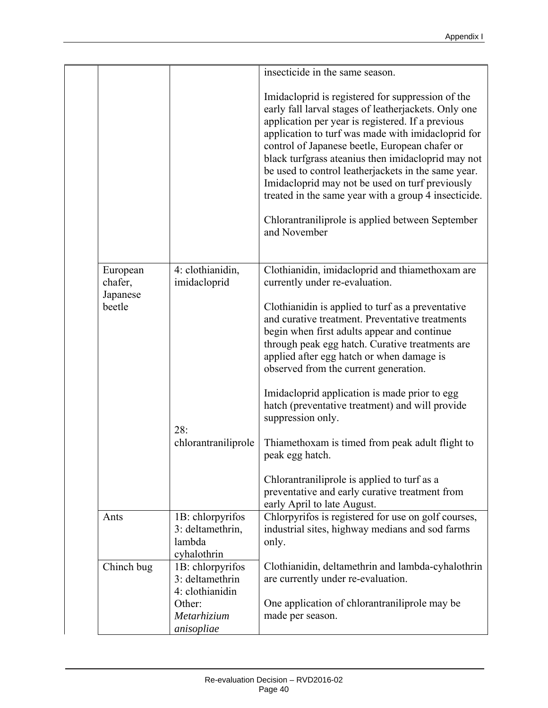|                                 |                                                               | insecticide in the same season.                                                                                                                                                                                                                                                                                                                                                                                                                                                                                                                                    |
|---------------------------------|---------------------------------------------------------------|--------------------------------------------------------------------------------------------------------------------------------------------------------------------------------------------------------------------------------------------------------------------------------------------------------------------------------------------------------------------------------------------------------------------------------------------------------------------------------------------------------------------------------------------------------------------|
|                                 |                                                               |                                                                                                                                                                                                                                                                                                                                                                                                                                                                                                                                                                    |
|                                 |                                                               | Imidacloprid is registered for suppression of the<br>early fall larval stages of leatherjackets. Only one<br>application per year is registered. If a previous<br>application to turf was made with imidacloprid for<br>control of Japanese beetle, European chafer or<br>black turfgrass ateanius then imidacloprid may not<br>be used to control leatherjackets in the same year.<br>Imidacloprid may not be used on turf previously<br>treated in the same year with a group 4 insecticide.<br>Chlorantraniliprole is applied between September<br>and November |
|                                 |                                                               |                                                                                                                                                                                                                                                                                                                                                                                                                                                                                                                                                                    |
| European<br>chafer,<br>Japanese | 4: clothianidin,<br>imidacloprid                              | Clothianidin, imidacloprid and thiamethoxam are<br>currently under re-evaluation.                                                                                                                                                                                                                                                                                                                                                                                                                                                                                  |
| beetle                          |                                                               | Clothianidin is applied to turf as a preventative<br>and curative treatment. Preventative treatments<br>begin when first adults appear and continue<br>through peak egg hatch. Curative treatments are<br>applied after egg hatch or when damage is<br>observed from the current generation.                                                                                                                                                                                                                                                                       |
|                                 | 28:                                                           | Imidacloprid application is made prior to egg<br>hatch (preventative treatment) and will provide<br>suppression only.                                                                                                                                                                                                                                                                                                                                                                                                                                              |
|                                 | chlorantraniliprole                                           | Thiamethoxam is timed from peak adult flight to<br>peak egg hatch.                                                                                                                                                                                                                                                                                                                                                                                                                                                                                                 |
|                                 |                                                               | Chlorantraniliprole is applied to turf as a<br>preventative and early curative treatment from<br>early April to late August.                                                                                                                                                                                                                                                                                                                                                                                                                                       |
| Ants                            | 1B: chlorpyrifos<br>3: deltamethrin,<br>lambda<br>cyhalothrin | Chlorpyrifos is registered for use on golf courses,<br>industrial sites, highway medians and sod farms<br>only.                                                                                                                                                                                                                                                                                                                                                                                                                                                    |
| Chinch bug                      | 1B: chlorpyrifos<br>3: deltamethrin<br>4: clothianidin        | Clothianidin, deltamethrin and lambda-cyhalothrin<br>are currently under re-evaluation.                                                                                                                                                                                                                                                                                                                                                                                                                                                                            |
|                                 | Other:<br>Metarhizium<br>anisopliae                           | One application of chlorant raniliprole may be<br>made per season.                                                                                                                                                                                                                                                                                                                                                                                                                                                                                                 |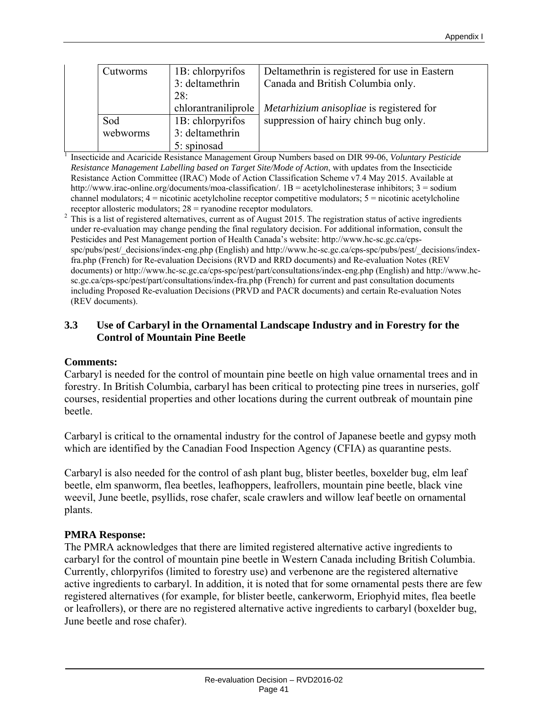| Cutworms | 1B: chlorpyrifos    | Deltamethrin is registered for use in Eastern |
|----------|---------------------|-----------------------------------------------|
|          | 3: deltamethrin     | Canada and British Columbia only.             |
|          | 28:                 |                                               |
|          | chlorantraniliprole | Metarhizium anisopliae is registered for      |
| Sod      | 1B: chlorpyrifos    | suppression of hairy chinch bug only.         |
| webworms | 3: deltamethrin     |                                               |
|          | 5: spinosad         |                                               |

 Insecticide and Acaricide Resistance Management Group Numbers based on DIR 99-06, *Voluntary Pesticide Resistance Management Labelling based on Target Site/Mode of Action*, with updates from the Insecticide Resistance Action Committee (IRAC) Mode of Action Classification Scheme v7.4 May 2015. Available at http://www.irac-online.org/documents/moa-classification/. 1B = acetylcholinesterase inhibitors; 3 = sodium channel modulators; 4 = nicotinic acetylcholine receptor competitive modulators; 5 = nicotinic acetylcholine

receptor allosteric modulators;  $28 =$  ryanodine receptor modulators.<br><sup>2</sup> This is a list of registered alternatives, current as of August 2015. The registration status of active ingredients under re-evaluation may change pending the final regulatory decision. For additional information, consult the Pesticides and Pest Management portion of Health Canada's website: http://www.hc-sc.gc.ca/cpsspc/pubs/pest/\_decisions/index-eng.php (English) and http://www.hc-sc.gc.ca/cps-spc/pubs/pest/\_decisions/indexfra.php (French) for Re-evaluation Decisions (RVD and RRD documents) and Re-evaluation Notes (REV documents) or http://www.hc-sc.gc.ca/cps-spc/pest/part/consultations/index-eng.php (English) and http://www.hcsc.gc.ca/cps-spc/pest/part/consultations/index-fra.php (French) for current and past consultation documents including Proposed Re-evaluation Decisions (PRVD and PACR documents) and certain Re-evaluation Notes (REV documents).

#### **3.3 Use of Carbaryl in the Ornamental Landscape Industry and in Forestry for the Control of Mountain Pine Beetle**

#### **Comments:**

1

Carbaryl is needed for the control of mountain pine beetle on high value ornamental trees and in forestry. In British Columbia, carbaryl has been critical to protecting pine trees in nurseries, golf courses, residential properties and other locations during the current outbreak of mountain pine beetle.

Carbaryl is critical to the ornamental industry for the control of Japanese beetle and gypsy moth which are identified by the Canadian Food Inspection Agency (CFIA) as quarantine pests.

Carbaryl is also needed for the control of ash plant bug, blister beetles, boxelder bug, elm leaf beetle, elm spanworm, flea beetles, leafhoppers, leafrollers, mountain pine beetle, black vine weevil, June beetle, psyllids, rose chafer, scale crawlers and willow leaf beetle on ornamental plants.

#### **PMRA Response:**

The PMRA acknowledges that there are limited registered alternative active ingredients to carbaryl for the control of mountain pine beetle in Western Canada including British Columbia. Currently, chlorpyrifos (limited to forestry use) and verbenone are the registered alternative active ingredients to carbaryl. In addition, it is noted that for some ornamental pests there are few registered alternatives (for example, for blister beetle, cankerworm, Eriophyid mites, flea beetle or leafrollers), or there are no registered alternative active ingredients to carbaryl (boxelder bug, June beetle and rose chafer).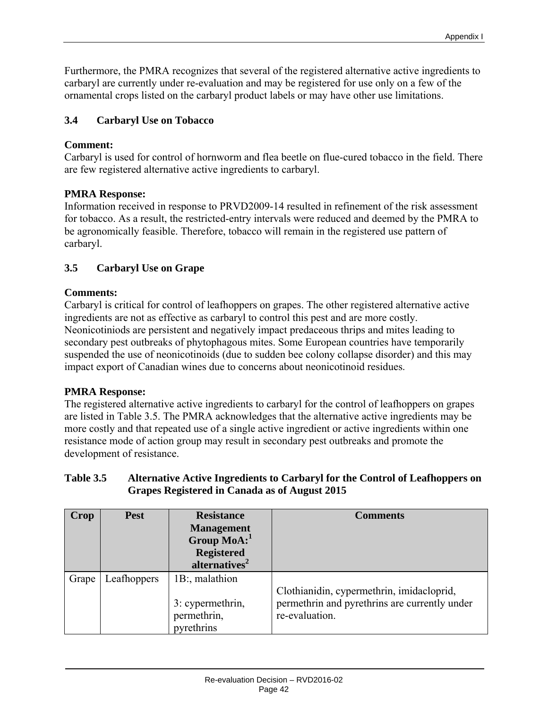Furthermore, the PMRA recognizes that several of the registered alternative active ingredients to carbaryl are currently under re-evaluation and may be registered for use only on a few of the ornamental crops listed on the carbaryl product labels or may have other use limitations.

# **3.4 Carbaryl Use on Tobacco**

# **Comment:**

Carbaryl is used for control of hornworm and flea beetle on flue-cured tobacco in the field. There are few registered alternative active ingredients to carbaryl.

# **PMRA Response:**

Information received in response to PRVD2009-14 resulted in refinement of the risk assessment for tobacco. As a result, the restricted-entry intervals were reduced and deemed by the PMRA to be agronomically feasible. Therefore, tobacco will remain in the registered use pattern of carbaryl.

# **3.5 Carbaryl Use on Grape**

# **Comments:**

Carbaryl is critical for control of leafhoppers on grapes. The other registered alternative active ingredients are not as effective as carbaryl to control this pest and are more costly. Neonicotiniods are persistent and negatively impact predaceous thrips and mites leading to secondary pest outbreaks of phytophagous mites. Some European countries have temporarily suspended the use of neonicotinoids (due to sudden bee colony collapse disorder) and this may impact export of Canadian wines due to concerns about neonicotinoid residues.

## **PMRA Response:**

The registered alternative active ingredients to carbaryl for the control of leafhoppers on grapes are listed in Table 3.5. The PMRA acknowledges that the alternative active ingredients may be more costly and that repeated use of a single active ingredient or active ingredients within one resistance mode of action group may result in secondary pest outbreaks and promote the development of resistance.

## **Table 3.5 Alternative Active Ingredients to Carbaryl for the Control of Leafhoppers on Grapes Registered in Canada as of August 2015**

| Crop  | <b>Pest</b> | <b>Resistance</b><br><b>Management</b><br>Group $MoA$ :<br><b>Registered</b><br>alternatives <sup>2</sup> | <b>Comments</b>                                                                                              |
|-------|-------------|-----------------------------------------------------------------------------------------------------------|--------------------------------------------------------------------------------------------------------------|
| Grape | Leafhoppers | 1B:, malathion<br>3: cypermethrin,<br>permethrin,<br>pyrethrins                                           | Clothianidin, cypermethrin, imidacloprid,<br>permethrin and pyrethrins are currently under<br>re-evaluation. |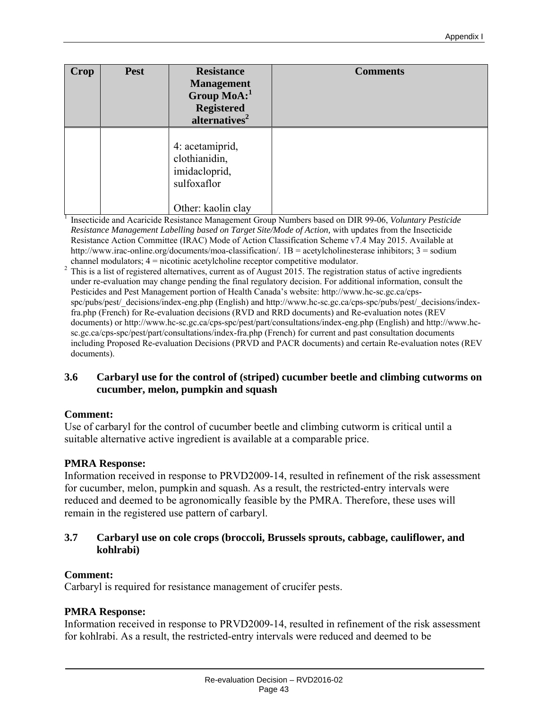| Crop | <b>Pest</b> | <b>Resistance</b><br><b>Management</b><br>Group MoA:<br><b>Registered</b><br>alternatives <sup>2</sup> | <b>Comments</b>                                                                                       |
|------|-------------|--------------------------------------------------------------------------------------------------------|-------------------------------------------------------------------------------------------------------|
|      |             | 4: acetamiprid,<br>clothianidin,<br>imidacloprid,<br>sulfoxaflor                                       |                                                                                                       |
|      |             | Other: kaolin clay                                                                                     |                                                                                                       |
|      |             |                                                                                                        | Insecticide and Acaricide Resistance Management Group Numbers based on DIR 99-06, Voluntary Pesticide |

*Resistance Management Labelling based on Target Site/Mode of Action,* with updates from the Insecticide Resistance Action Committee (IRAC) Mode of Action Classification Scheme v7.4 May 2015. Available at http://www.irac-online.org/documents/moa-classification/. 1B = acetylcholinesterase inhibitors; 3 = sodium

channel modulators;  $4 =$  nicotinic acetylcholine receptor competitive modulator.<br><sup>2</sup> This is a list of registered alternatives, current as of August 2015. The registration status of active ingredients under re-evaluation may change pending the final regulatory decision. For additional information, consult the Pesticides and Pest Management portion of Health Canada's website: http://www.hc-sc.gc.ca/cpsspc/pubs/pest/\_decisions/index-eng.php (English) and http://www.hc-sc.gc.ca/cps-spc/pubs/pest/\_decisions/indexfra.php (French) for Re-evaluation decisions (RVD and RRD documents) and Re-evaluation notes (REV documents) or http://www.hc-sc.gc.ca/cps-spc/pest/part/consultations/index-eng.php (English) and http://www.hcsc.gc.ca/cps-spc/pest/part/consultations/index-fra.php (French) for current and past consultation documents including Proposed Re-evaluation Decisions (PRVD and PACR documents) and certain Re-evaluation notes (REV documents).

#### **3.6 Carbaryl use for the control of (striped) cucumber beetle and climbing cutworms on cucumber, melon, pumpkin and squash**

## **Comment:**

Use of carbaryl for the control of cucumber beetle and climbing cutworm is critical until a suitable alternative active ingredient is available at a comparable price.

## **PMRA Response:**

Information received in response to PRVD2009-14, resulted in refinement of the risk assessment for cucumber, melon, pumpkin and squash. As a result, the restricted-entry intervals were reduced and deemed to be agronomically feasible by the PMRA. Therefore, these uses will remain in the registered use pattern of carbaryl.

## **3.7 Carbaryl use on cole crops (broccoli, Brussels sprouts, cabbage, cauliflower, and kohlrabi)**

## **Comment:**

Carbaryl is required for resistance management of crucifer pests.

## **PMRA Response:**

Information received in response to PRVD2009-14, resulted in refinement of the risk assessment for kohlrabi. As a result, the restricted-entry intervals were reduced and deemed to be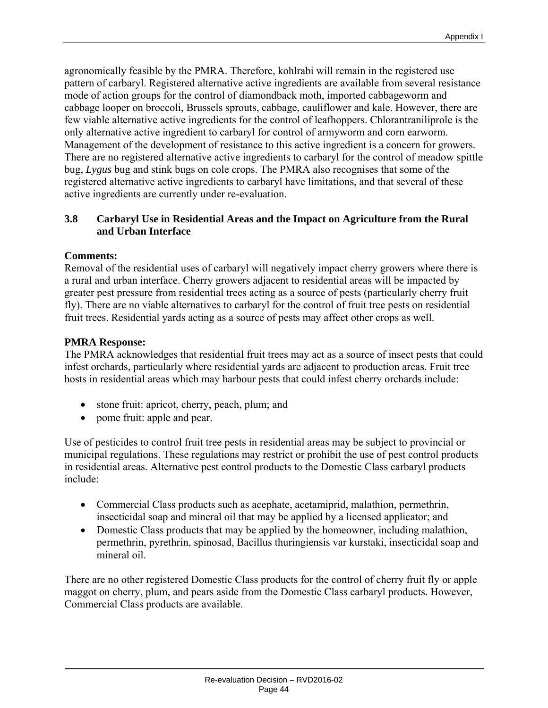agronomically feasible by the PMRA. Therefore, kohlrabi will remain in the registered use pattern of carbaryl. Registered alternative active ingredients are available from several resistance mode of action groups for the control of diamondback moth, imported cabbageworm and cabbage looper on broccoli, Brussels sprouts, cabbage, cauliflower and kale. However, there are few viable alternative active ingredients for the control of leafhoppers. Chlorantraniliprole is the only alternative active ingredient to carbaryl for control of armyworm and corn earworm. Management of the development of resistance to this active ingredient is a concern for growers. There are no registered alternative active ingredients to carbaryl for the control of meadow spittle bug, *Lygus* bug and stink bugs on cole crops. The PMRA also recognises that some of the registered alternative active ingredients to carbaryl have limitations, and that several of these active ingredients are currently under re-evaluation.

## **3.8 Carbaryl Use in Residential Areas and the Impact on Agriculture from the Rural and Urban Interface**

## **Comments:**

Removal of the residential uses of carbaryl will negatively impact cherry growers where there is a rural and urban interface. Cherry growers adjacent to residential areas will be impacted by greater pest pressure from residential trees acting as a source of pests (particularly cherry fruit fly). There are no viable alternatives to carbaryl for the control of fruit tree pests on residential fruit trees. Residential yards acting as a source of pests may affect other crops as well.

## **PMRA Response:**

The PMRA acknowledges that residential fruit trees may act as a source of insect pests that could infest orchards, particularly where residential yards are adjacent to production areas. Fruit tree hosts in residential areas which may harbour pests that could infest cherry orchards include:

- stone fruit: apricot, cherry, peach, plum; and
- pome fruit: apple and pear.

Use of pesticides to control fruit tree pests in residential areas may be subject to provincial or municipal regulations. These regulations may restrict or prohibit the use of pest control products in residential areas. Alternative pest control products to the Domestic Class carbaryl products include:

- Commercial Class products such as acephate, acetamiprid, malathion, permethrin, insecticidal soap and mineral oil that may be applied by a licensed applicator; and
- Domestic Class products that may be applied by the homeowner, including malathion, permethrin, pyrethrin, spinosad, Bacillus thuringiensis var kurstaki, insecticidal soap and mineral oil.

There are no other registered Domestic Class products for the control of cherry fruit fly or apple maggot on cherry, plum, and pears aside from the Domestic Class carbaryl products. However, Commercial Class products are available.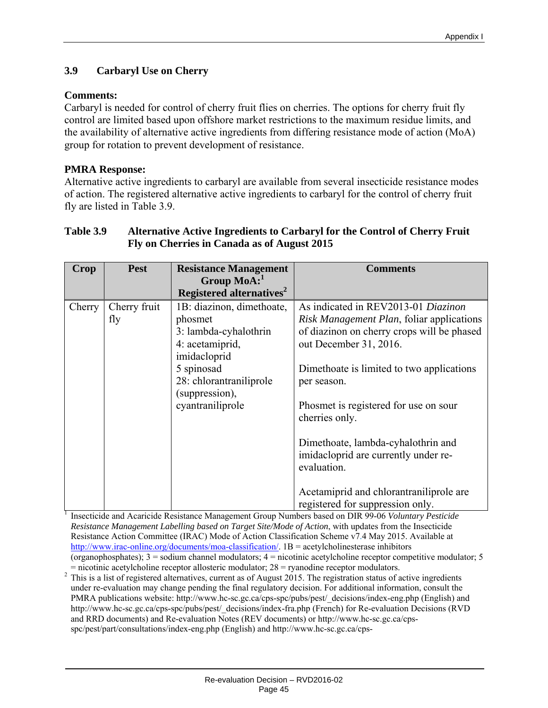## **3.9 Carbaryl Use on Cherry**

## **Comments:**

Carbaryl is needed for control of cherry fruit flies on cherries. The options for cherry fruit fly control are limited based upon offshore market restrictions to the maximum residue limits, and the availability of alternative active ingredients from differing resistance mode of action (MoA) group for rotation to prevent development of resistance.

## **PMRA Response:**

Alternative active ingredients to carbaryl are available from several insecticide resistance modes of action. The registered alternative active ingredients to carbaryl for the control of cherry fruit fly are listed in Table 3.9.

| Crop   | <b>Pest</b>         | <b>Resistance Management</b>                             | <b>Comments</b>                                                                           |
|--------|---------------------|----------------------------------------------------------|-------------------------------------------------------------------------------------------|
|        |                     | Group $\text{MoA:}^1$                                    |                                                                                           |
|        |                     | Registered alternatives <sup>2</sup>                     |                                                                                           |
| Cherry | Cherry fruit<br>fly | 1B: diazinon, dimethoate,<br>phosmet                     | As indicated in REV2013-01 Diazinon<br>Risk Management Plan, foliar applications          |
|        |                     | 3: lambda-cyhalothrin<br>4: acetamiprid,<br>imidacloprid | of diazinon on cherry crops will be phased<br>out December 31, 2016.                      |
|        |                     | 5 spinosad                                               | Dimethoate is limited to two applications                                                 |
|        |                     | 28: chlorantraniliprole<br>(suppression),                | per season.                                                                               |
|        |                     | cyantraniliprole                                         | Phosmet is registered for use on sour<br>cherries only.                                   |
|        |                     |                                                          | Dimethoate, lambda-cyhalothrin and<br>imidacloprid are currently under re-<br>evaluation. |
|        |                     |                                                          | Acetamiprid and chlorantraniliprole are<br>registered for suppression only.               |

## **Table 3.9 Alternative Active Ingredients to Carbaryl for the Control of Cherry Fruit Fly on Cherries in Canada as of August 2015**

registered for suppression only. 1 Insecticide and Acaricide Resistance Management Group Numbers based on DIR 99-06 *Voluntary Pesticide Resistance Management Labelling based on Target Site/Mode of Action*, with updates from the Insecticide Resistance Action Committee (IRAC) Mode of Action Classification Scheme v7.4 May 2015. Available at http://www.irac-online.org/documents/moa-classification/. 1B = acetylcholinesterase inhibitors (organophosphates); 3 = sodium channel modulators; 4 = nicotinic acetylcholine receptor competitive modulator; 5

= nicotinic acetylcholine receptor allosteric modulator;  $28$  = ryanodine receptor modulators.<br><sup>2</sup> This is a list of registered alternatives, current as of August 2015. The registration status of active ingredients under re-evaluation may change pending the final regulatory decision. For additional information, consult the PMRA publications website: http://www.hc-sc.gc.ca/cps-spc/pubs/pest/\_decisions/index-eng.php (English) and http://www.hc-sc.gc.ca/cps-spc/pubs/pest/\_decisions/index-fra.php (French) for Re-evaluation Decisions (RVD and RRD documents) and Re-evaluation Notes (REV documents) or http://www.hc-sc.gc.ca/cpsspc/pest/part/consultations/index-eng.php (English) and http://www.hc-sc.gc.ca/cps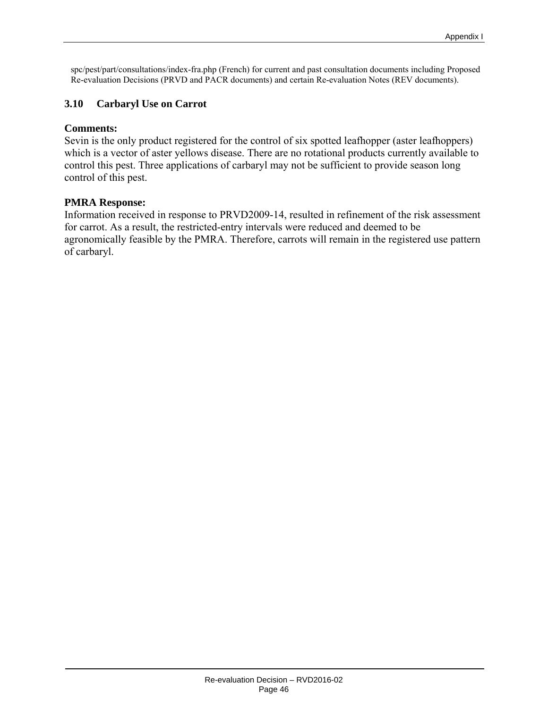spc/pest/part/consultations/index-fra.php (French) for current and past consultation documents including Proposed Re-evaluation Decisions (PRVD and PACR documents) and certain Re-evaluation Notes (REV documents).

#### **3.10 Carbaryl Use on Carrot**

#### **Comments:**

Sevin is the only product registered for the control of six spotted leafhopper (aster leafhoppers) which is a vector of aster yellows disease. There are no rotational products currently available to control this pest. Three applications of carbaryl may not be sufficient to provide season long control of this pest.

#### **PMRA Response:**

Information received in response to PRVD2009-14, resulted in refinement of the risk assessment for carrot. As a result, the restricted-entry intervals were reduced and deemed to be agronomically feasible by the PMRA. Therefore, carrots will remain in the registered use pattern of carbaryl.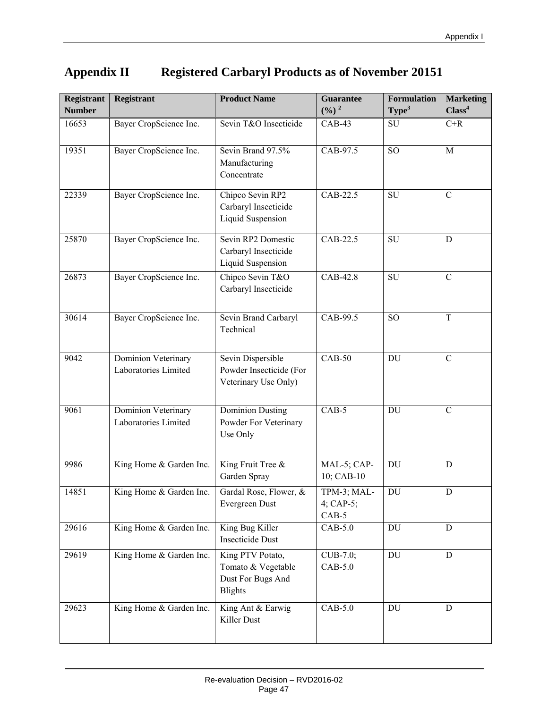| <b>Registrant</b> | <b>Registrant</b>                           | <b>Product Name</b>                                                           | <b>Guarantee</b>                       | <b>Formulation</b> | <b>Marketing</b>   |
|-------------------|---------------------------------------------|-------------------------------------------------------------------------------|----------------------------------------|--------------------|--------------------|
| <b>Number</b>     |                                             |                                                                               | $(\frac{9}{6})^2$                      | Type <sup>3</sup>  | Class <sup>4</sup> |
| 16653             | Bayer CropScience Inc.                      | Sevin T&O Insecticide                                                         | $CAB-43$                               | <b>SU</b>          | $C+R$              |
| 19351             | Bayer CropScience Inc.                      | Sevin Brand 97.5%<br>Manufacturing<br>Concentrate                             | CAB-97.5                               | <b>SO</b>          | M                  |
| 22339             | Bayer CropScience Inc.                      | Chipco Sevin RP2<br>Carbaryl Insecticide<br>Liquid Suspension                 | CAB-22.5                               | SU                 | $\mathcal{C}$      |
| 25870             | Bayer CropScience Inc.                      | Sevin RP2 Domestic<br>Carbaryl Insecticide<br>Liquid Suspension               | CAB-22.5                               | SU                 | D                  |
| 26873             | Bayer CropScience Inc.                      | Chipco Sevin T&O<br>Carbaryl Insecticide                                      | CAB-42.8                               | SU                 | $\mathbf C$        |
| 30614             | Bayer CropScience Inc.                      | Sevin Brand Carbaryl<br>Technical                                             | CAB-99.5                               | <b>SO</b>          | T                  |
| 9042              | Dominion Veterinary<br>Laboratories Limited | Sevin Dispersible<br>Powder Insecticide (For<br>Veterinary Use Only)          | $CAB-50$                               | DU                 | $\mathbf C$        |
| 9061              | Dominion Veterinary<br>Laboratories Limited | <b>Dominion Dusting</b><br>Powder For Veterinary<br>Use Only                  | $CAB-5$                                | <b>DU</b>          | $\mathcal{C}$      |
| 9986              | King Home & Garden Inc.                     | King Fruit Tree &<br>Garden Spray                                             | MAL-5; CAP-<br>10; CAB-10              | DU                 | D                  |
| 14851             | King Home & Garden Inc.                     | Gardal Rose, Flower, &<br>Evergreen Dust                                      | TPM-3; MAL-<br>4; $CAP-5$ ;<br>$CAB-5$ | DU                 | D                  |
| 29616             | King Home & Garden Inc.                     | King Bug Killer<br><b>Insecticide Dust</b>                                    | $CAB-5.0$                              | DU                 | D                  |
| 29619             | King Home & Garden Inc.                     | King PTV Potato,<br>Tomato & Vegetable<br>Dust For Bugs And<br><b>Blights</b> | CUB-7.0;<br>$CAB-5.0$                  | DU                 | D                  |
| 29623             | King Home & Garden Inc.                     | King Ant & Earwig<br>Killer Dust                                              | $CAB-5.0$                              | DU                 | D                  |

# **Appendix II Registered Carbaryl Products as of November 20151**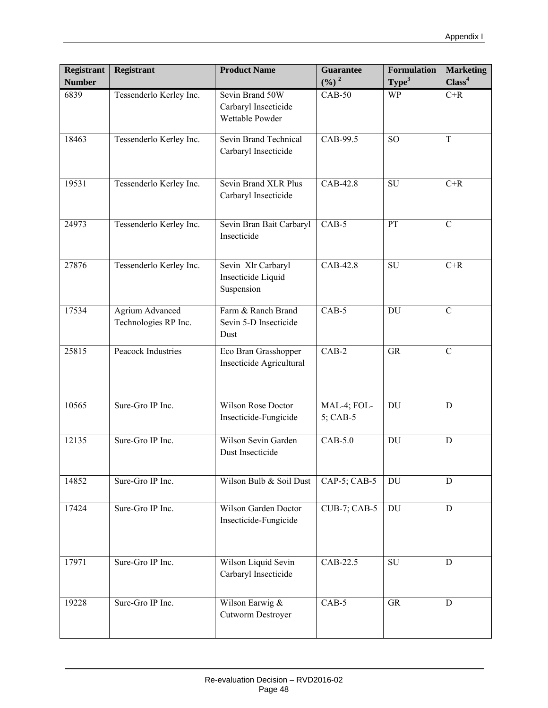| <b>Registrant</b><br><b>Number</b> | <b>Registrant</b>                              | <b>Product Name</b>                                        | <b>Guarantee</b><br>$(\frac{0}{0})^2$ | <b>Formulation</b><br>Type <sup>3</sup> | <b>Marketing</b><br>Class <sup>4</sup> |
|------------------------------------|------------------------------------------------|------------------------------------------------------------|---------------------------------------|-----------------------------------------|----------------------------------------|
| 6839                               | Tessenderlo Kerley Inc.                        | Sevin Brand 50W<br>Carbaryl Insecticide<br>Wettable Powder | $CAB-50$                              | <b>WP</b>                               | $C+R$                                  |
| 18463                              | Tessenderlo Kerley Inc.                        | Sevin Brand Technical<br>Carbaryl Insecticide              | CAB-99.5                              | SO <sub>1</sub>                         | $\mathbf T$                            |
| 19531                              | Tessenderlo Kerley Inc.                        | Sevin Brand XLR Plus<br>Carbaryl Insecticide               | CAB-42.8                              | SU                                      | $C+R$                                  |
| 24973                              | Tessenderlo Kerley Inc.                        | Sevin Bran Bait Carbaryl<br>Insecticide                    | $CAB-5$                               | PT                                      | $\mathcal{C}$                          |
| 27876                              | Tessenderlo Kerley Inc.                        | Sevin Xlr Carbaryl<br>Insecticide Liquid<br>Suspension     | CAB-42.8                              | $\overline{\mathrm{SU}}$                | $C+R$                                  |
| 17534                              | <b>Agrium Advanced</b><br>Technologies RP Inc. | Farm & Ranch Brand<br>Sevin 5-D Insecticide<br>Dust        | $CAB-5$                               | <b>DU</b>                               | $\mathcal{C}$                          |
| 25815                              | <b>Peacock Industries</b>                      | Eco Bran Grasshopper<br>Insecticide Agricultural           | $CAB-2$                               | <b>GR</b>                               | $\mathbf C$                            |
| 10565                              | Sure-Gro IP Inc.                               | <b>Wilson Rose Doctor</b><br>Insecticide-Fungicide         | MAL-4; FOL-<br>5; CAB-5               | DU                                      | D                                      |
| 12135                              | Sure-Gro IP Inc.                               | Wilson Sevin Garden<br>Dust Insecticide                    | $CAB-5.0$                             | <b>DU</b>                               | D                                      |
| 14852                              | Sure-Gro IP Inc.                               | Wilson Bulb & Soil Dust                                    | CAP-5; CAB-5                          | DU                                      | D                                      |
| 17424                              | Sure-Gro IP Inc.                               | Wilson Garden Doctor<br>Insecticide-Fungicide              | <b>CUB-7; CAB-5</b>                   | DU                                      | $\mathbf D$                            |
| 17971                              | Sure-Gro IP Inc.                               | Wilson Liquid Sevin<br>Carbaryl Insecticide                | CAB-22.5                              | SU                                      | D                                      |
| 19228                              | Sure-Gro IP Inc.                               | Wilson Earwig &<br>Cutworm Destroyer                       | $CAB-5$                               | <b>GR</b>                               | $\mathbf D$                            |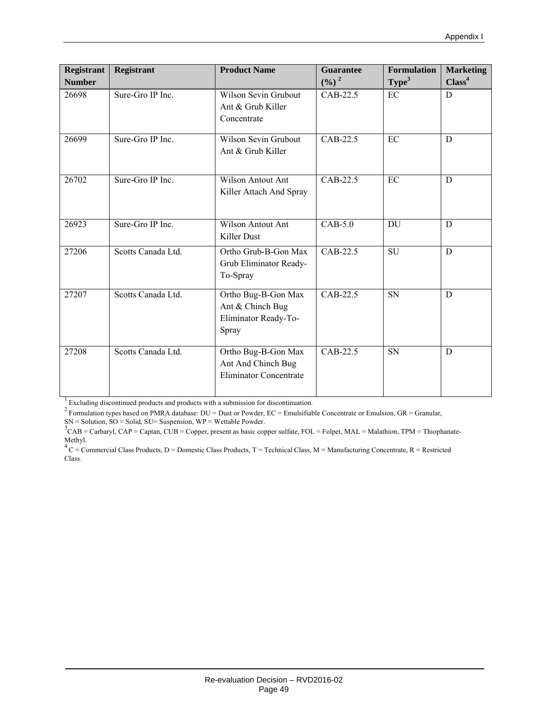| <b>Registrant</b> | <b>Registrant</b>  | <b>Product Name</b>                                                        | <b>Guarantee</b>  | <b>Formulation</b> | <b>Marketing</b>   |
|-------------------|--------------------|----------------------------------------------------------------------------|-------------------|--------------------|--------------------|
| <b>Number</b>     |                    |                                                                            | $(\frac{9}{6})^2$ | Type <sup>3</sup>  | Class <sup>4</sup> |
| 26698             | Sure-Gro IP Inc.   | <b>Wilson Sevin Grubout</b><br>Ant & Grub Killer<br>Concentrate            | CAB-22.5          | EC                 | D                  |
| 26699             | Sure-Gro IP Inc.   | Wilson Sevin Grubout<br>Ant & Grub Killer                                  | CAB-22.5          | EC                 | D                  |
| 26702             | Sure-Gro IP Inc.   | Wilson Antout Ant<br>Killer Attach And Spray                               | CAB-22.5          | EC                 | D                  |
| 26923             | Sure-Gro IP Inc.   | <b>Wilson Antout Ant</b><br>Killer Dust                                    | $CAB-5.0$         | DU                 | D                  |
| 27206             | Scotts Canada Ltd. | Ortho Grub-B-Gon Max<br>Grub Eliminator Ready-<br>To-Spray                 | CAB-22.5          | <b>SU</b>          | D                  |
| 27207             | Scotts Canada Ltd. | Ortho Bug-B-Gon Max<br>Ant & Chinch Bug<br>Eliminator Ready-To-<br>Spray   | $CAB-22.5$        | <b>SN</b>          | D                  |
| 27208             | Scotts Canada Ltd. | Ortho Bug-B-Gon Max<br>Ant And Chinch Bug<br><b>Eliminator Concentrate</b> | CAB-22.5          | <b>SN</b>          | D                  |

<sup>1</sup> Excluding discontinued products and products with a submission for discontinuation.<br><sup>2</sup> Formulation types based on PMRA database: DU = Dust or Powder, EC = Emulsifiable Concentrate or Emulsion, GR = Granular,  $SN =$  Solution,  $SO =$  Solid,  $SU =$  Suspension,  $WP =$  Wettable Powder.

 ${}^{3}$ CAB = Carbaryl, CAP = Captan, CUB = Copper, present as basic copper sulfate, FOL = Folpet, MAL = Malathion, TPM = Thiophanate-Methyl.<br><sup>4</sup> C = Commercial Class Products, D = Domestic Class Products, T = Technical Class, M = Manufacturing Concentrate, R = Restricted

Class.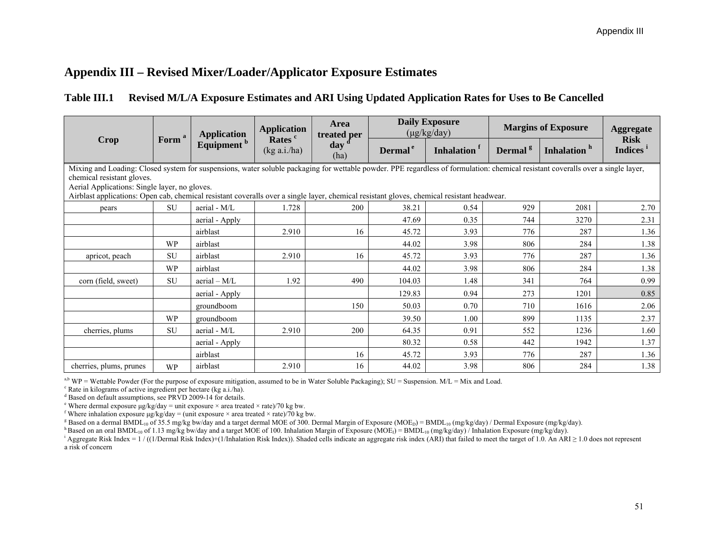# **Appendix III – Revised Mixer/Loader/Applicator Exposure Estimates**

## **Table III.1 Revised M/L/A Exposure Estimates and ARI Using Updated Application Rates for Uses to Be Cancelled**

|                                                                                                                                                                                                                                                                 |                   | <b>Application</b>     | <b>Application</b>                 | Area<br>treated per      | <b>Daily Exposure</b><br>$(\mu g/kg/day)$ |                         | <b>Margins of Exposure</b> |                         | <b>Aggregate</b>                    |
|-----------------------------------------------------------------------------------------------------------------------------------------------------------------------------------------------------------------------------------------------------------------|-------------------|------------------------|------------------------------------|--------------------------|-------------------------------------------|-------------------------|----------------------------|-------------------------|-------------------------------------|
| Crop                                                                                                                                                                                                                                                            | Form <sup>a</sup> | Equipment <sup>b</sup> | Rates <sup>c</sup><br>(kg a.i./ha) | day <sup>d</sup><br>(ha) | Dermal <sup>e</sup>                       | Inhalation <sup>f</sup> | Dermal <sup>g</sup>        | Inhalation <sup>h</sup> | <b>Risk</b><br>Indices <sup>1</sup> |
| Mixing and Loading: Closed system for suspensions, water soluble packaging for wettable powder. PPE regardless of formulation: chemical resistant coveralls over a single layer,<br>chemical resistant gloves.<br>Aerial Applications: Single layer, no gloves. |                   |                        |                                    |                          |                                           |                         |                            |                         |                                     |
| Airblast applications: Open cab, chemical resistant coveralls over a single layer, chemical resistant gloves, chemical resistant headwear.                                                                                                                      |                   |                        |                                    |                          |                                           |                         |                            |                         |                                     |
| pears                                                                                                                                                                                                                                                           | <b>SU</b>         | aerial - M/L           | 1.728                              | 200                      | 38.21                                     | 0.54                    | 929                        | 2081                    | 2.70                                |
|                                                                                                                                                                                                                                                                 |                   | aerial - Apply         |                                    |                          | 47.69                                     | 0.35                    | 744                        | 3270                    | 2.31                                |
|                                                                                                                                                                                                                                                                 |                   | airblast               | 2.910                              | 16                       | 45.72                                     | 3.93                    | 776                        | 287                     | 1.36                                |
|                                                                                                                                                                                                                                                                 | WP                | airblast               |                                    |                          | 44.02                                     | 3.98                    | 806                        | 284                     | 1.38                                |
| apricot, peach                                                                                                                                                                                                                                                  | <b>SU</b>         | airblast               | 2.910                              | 16                       | 45.72                                     | 3.93                    | 776                        | 287                     | 1.36                                |
|                                                                                                                                                                                                                                                                 | <b>WP</b>         | airblast               |                                    |                          | 44.02                                     | 3.98                    | 806                        | 284                     | 1.38                                |
| corn (field, sweet)                                                                                                                                                                                                                                             | SU                | $aerial - M/L$         | 1.92                               | 490                      | 104.03                                    | 1.48                    | 341                        | 764                     | 0.99                                |
|                                                                                                                                                                                                                                                                 |                   | aerial - Apply         |                                    |                          | 129.83                                    | 0.94                    | 273                        | 1201                    | 0.85                                |
|                                                                                                                                                                                                                                                                 |                   | groundboom             |                                    | 150                      | 50.03                                     | 0.70                    | 710                        | 1616                    | 2.06                                |
|                                                                                                                                                                                                                                                                 | <b>WP</b>         | groundboom             |                                    |                          | 39.50                                     | 1.00                    | 899                        | 1135                    | 2.37                                |
| cherries, plums                                                                                                                                                                                                                                                 | SU                | aerial - M/L           | 2.910                              | 200                      | 64.35                                     | 0.91                    | 552                        | 1236                    | 1.60                                |
|                                                                                                                                                                                                                                                                 |                   | aerial - Apply         |                                    |                          | 80.32                                     | 0.58                    | 442                        | 1942                    | 1.37                                |
|                                                                                                                                                                                                                                                                 |                   | airblast               |                                    | 16                       | 45.72                                     | 3.93                    | 776                        | 287                     | 1.36                                |
| cherries, plums, prunes                                                                                                                                                                                                                                         | <b>WP</b>         | airblast               | 2.910                              | 16                       | 44.02                                     | 3.98                    | 806                        | 284                     | 1.38                                |

<sup>a,b</sup> WP = Wettable Powder (For the purpose of exposure mitigation, assumed to be in Water Soluble Packaging); SU = Suspension. M/L = Mix and Load.

c Rate in kilograms of active ingredient per hectare (kg a.i./ha).

<sup>d</sup> Based on default assumptions, see PRVD 2009-14 for details.

<sup>e</sup> Where dermal exposure μg/kg/day = unit exposure  $\times$  area treated  $\times$  rate)/70 kg bw.

<sup>f</sup> Where inhalation exposure  $\mu$ g/kg/day = (unit exposure × area treated × rate)/70 kg bw.

<sup>g</sup> Based on a dermal BMDL<sub>10</sub> of 35.5 mg/kg bw/day and a target dermal MOE of 300. Dermal Margin of Exposure (MOE<sub>D</sub>) = BMDL<sub>10</sub> (mg/kg/day) / Dermal Exposure (mg/kg/day).

h Based on an oral BMDL<sub>10</sub> of 1.13 mg/kg bw/day and a target MOE of 100. Inhalation Margin of Exposure (MOE<sub>I</sub>) = BMDL<sub>10</sub> (mg/kg/day) / Inhalation Exposure (mg/kg/day).

<sup>i</sup> Aggregate Risk Index = 1 / ((1/Dermal Risk Index)+(1/Inhalation Risk Index)). Shaded cells indicate an aggregate risk index (ARI) that failed to meet the target of 1.0. An ARI ≥ 1.0 does not represent a risk of concern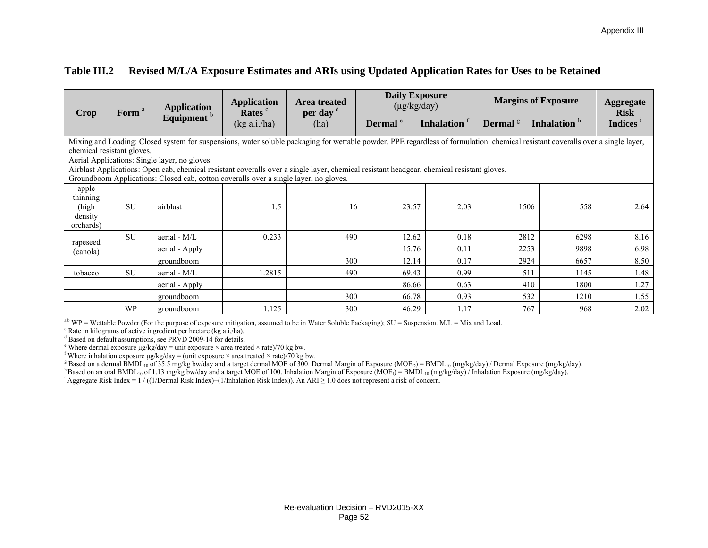#### **Table III.2 Revised M/L/A Exposure Estimates and ARIs using Updated Application Rates for Uses to be Retained**

|                                                                                                                                                                                                                                                                                                                                                                                                                                                                                                        | Form <sup>a</sup> | <b>Application</b>     | <b>Application</b>                | Area treated                 | <b>Daily Exposure</b><br>$(\mu g/kg/day)$ |                         | <b>Margins of Exposure</b>       |                         | <b>Aggregate</b>              |
|--------------------------------------------------------------------------------------------------------------------------------------------------------------------------------------------------------------------------------------------------------------------------------------------------------------------------------------------------------------------------------------------------------------------------------------------------------------------------------------------------------|-------------------|------------------------|-----------------------------------|------------------------------|-------------------------------------------|-------------------------|----------------------------------|-------------------------|-------------------------------|
| Crop                                                                                                                                                                                                                                                                                                                                                                                                                                                                                                   |                   | Equipment <sup>b</sup> | Rates <sup>c</sup><br>(kg a.i/ha) | per day <sup>d</sup><br>(ha) | Dermal <sup>e</sup>                       | Inhalation <sup>f</sup> | Dermal <sup><math>g</math></sup> | Inhalation <sup>h</sup> | <b>Risk</b><br><b>Indices</b> |
| Mixing and Loading: Closed system for suspensions, water soluble packaging for wettable powder. PPE regardless of formulation: chemical resistant coveralls over a single layer,<br>chemical resistant gloves.<br>Aerial Applications: Single layer, no gloves.<br>Airblast Applications: Open cab, chemical resistant coveralls over a single layer, chemical resistant headgear, chemical resistant gloves.<br>Groundboom Applications: Closed cab, cotton coveralls over a single layer, no gloves. |                   |                        |                                   |                              |                                           |                         |                                  |                         |                               |
| apple<br>thinning<br>(high<br>density<br>orchards)                                                                                                                                                                                                                                                                                                                                                                                                                                                     | <b>SU</b>         | airblast               | .5                                | 16                           | 23.57                                     | 2.03                    | 1506                             | 558                     | 2.64                          |
|                                                                                                                                                                                                                                                                                                                                                                                                                                                                                                        | <b>SU</b>         | aerial - M/L           | 0.233                             | 490                          | 12.62                                     | 0.18                    | 2812                             | 6298                    | 8.16                          |
| rapeseed<br>(canola)                                                                                                                                                                                                                                                                                                                                                                                                                                                                                   |                   | aerial - Apply         |                                   |                              | 15.76                                     | 0.11                    | 2253                             | 9898                    | 6.98                          |
|                                                                                                                                                                                                                                                                                                                                                                                                                                                                                                        |                   | groundboom             |                                   | 300                          | 12.14                                     | 0.17                    | 2924                             | 6657                    | 8.50                          |
| tobacco                                                                                                                                                                                                                                                                                                                                                                                                                                                                                                | <b>SU</b>         | aerial - M/L           | 1.2815                            | 490                          | 69.43                                     | 0.99                    | 511                              | 1145                    | 1.48                          |
|                                                                                                                                                                                                                                                                                                                                                                                                                                                                                                        |                   | aerial - Apply         |                                   |                              | 86.66                                     | 0.63                    | 410                              | 1800                    | 1.27                          |
|                                                                                                                                                                                                                                                                                                                                                                                                                                                                                                        |                   | groundboom             |                                   | 300                          | 66.78                                     | 0.93                    | 532                              | 1210                    | 1.55                          |
|                                                                                                                                                                                                                                                                                                                                                                                                                                                                                                        | <b>WP</b>         | groundboom             | 1.125                             | 300                          | 46.29                                     | 1.17                    | 767                              | 968                     | 2.02                          |

<sup>a,b</sup> WP = Wettable Powder (For the purpose of exposure mitigation, assumed to be in Water Soluble Packaging); SU = Suspension. M/L = Mix and Load.

c Rate in kilograms of active ingredient per hectare (kg a.i./ha).

<sup>d</sup> Based on default assumptions, see PRVD 2009-14 for details.

<sup>e</sup> Where dermal exposure  $\mu$ g/kg/day = unit exposure × area treated × rate)/70 kg bw.

<sup>f</sup> Where inhalation exposure  $\mu$ g/kg/day = (unit exposure × area treated × rate)/70 kg bw.

<sup>g</sup> Based on a dermal BMDL<sub>10</sub> of 35.5 mg/kg bw/day and a target dermal MOE of 300. Dermal Margin of Exposure (MOE<sub>D</sub>) = BMDL<sub>10</sub> (mg/kg/day) / Dermal Exposure (mg/kg/day).

h Based on an oral BMDL<sub>10</sub> of 1.13 mg/kg bw/day and a target MOE of 100. Inhalation Margin of Exposure (MOE<sub>I</sub>) = BMDL<sub>10</sub> (mg/kg/day) / Inhalation Exposure (mg/kg/day).

<sup>i</sup> Aggregate Risk Index = 1 / ((1/Dermal Risk Index)+(1/Inhalation Risk Index)). An ARI  $\geq$  1.0 does not represent a risk of concern.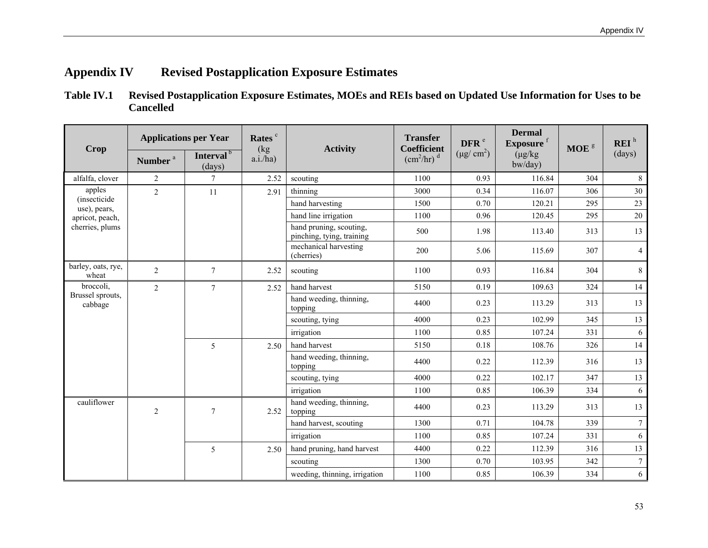# **Appendix IV Revised Postapplication Exposure Estimates**

**Table IV.1 Revised Postapplication Exposure Estimates, MOEs and REIs based on Updated Use Information for Uses to be Cancelled** 

|                                      |                     | <b>Applications per Year</b>    | Rates <sup>c</sup>         |                                                      | <b>Transfer</b>                                       | DFR <sup>e</sup> | <b>Dermal</b><br>Exposure <sup>f</sup> |                  | REI <sup>h</sup> |
|--------------------------------------|---------------------|---------------------------------|----------------------------|------------------------------------------------------|-------------------------------------------------------|------------------|----------------------------------------|------------------|------------------|
| <b>Crop</b>                          | Number <sup>a</sup> | Interval <sup>b</sup><br>(days) | (kg)<br>a.i./ha)           | <b>Activity</b>                                      | Coefficient<br>$\text{(cm}^2\text{/hr})$ <sup>d</sup> | $(\mu g/cm^2)$   | $(\mu g/kg)$<br>bw/day)                | MOE <sup>g</sup> | (days)           |
| alfalfa, clover                      | 2                   | $\tau$                          | 2.52                       | scouting                                             | 1100                                                  | 0.93             | 116.84                                 | 304              | $8\,$            |
| apples                               | $\overline{2}$      | 11                              | 2.91                       | thinning                                             | 3000                                                  | 0.34             | 116.07                                 | 306              | $30\,$           |
| <i>(insecticide)</i><br>use), pears, |                     |                                 |                            | hand harvesting                                      | 1500                                                  | 0.70             | 120.21                                 | 295              | 23               |
| apricot, peach,                      |                     |                                 |                            | hand line irrigation                                 | 1100                                                  | 0.96             | 120.45                                 | 295              | 20               |
| cherries, plums                      |                     |                                 |                            | hand pruning, scouting,<br>pinching, tying, training | 500                                                   | 1.98             | 113.40                                 | 313              | 13               |
|                                      |                     |                                 |                            | mechanical harvesting<br>(cherries)                  | 200                                                   | 5.06             | 115.69                                 | 307              | $\overline{4}$   |
| barley, oats, rye,<br>wheat          | 2                   | $\tau$                          | 2.52                       | scouting                                             | 1100                                                  | 0.93             | 116.84                                 | 304              | $\,$ 8 $\,$      |
| broccoli,                            | $\overline{c}$      | $\tau$                          | 2.52                       | hand harvest                                         | 5150                                                  | 0.19             | 109.63                                 | 324              | 14               |
| Brussel sprouts,<br>cabbage          |                     |                                 |                            | hand weeding, thinning,<br>topping                   | 4400                                                  | 0.23             | 113.29                                 | 313              | 13               |
|                                      |                     |                                 |                            | scouting, tying                                      | 4000                                                  | 0.23             | 102.99                                 | 345              | 13               |
|                                      |                     |                                 |                            | irrigation                                           | 1100                                                  | 0.85             | 107.24                                 | 331              | 6                |
|                                      |                     | 5                               | 2.50                       | hand harvest                                         | 5150                                                  | 0.18             | 108.76                                 | 326              | 14               |
|                                      |                     |                                 |                            | hand weeding, thinning,<br>topping                   | 4400                                                  | 0.22             | 112.39                                 | 316              | 13               |
|                                      |                     |                                 |                            | scouting, tying                                      | 4000                                                  | 0.22             | 102.17                                 | 347              | 13               |
|                                      |                     |                                 |                            | irrigation                                           | 1100                                                  | 0.85             | 106.39                                 | 334              | 6                |
| cauliflower                          | $\overline{2}$      | $\overline{7}$                  | 2.52                       | hand weeding, thinning,<br>topping                   | 4400                                                  | 0.23             | 113.29                                 | 313              | 13               |
|                                      |                     |                                 |                            | hand harvest, scouting                               | 1300                                                  | 0.71             | 104.78                                 | 339              | $7\overline{ }$  |
|                                      |                     |                                 |                            | irrigation                                           | 1100                                                  | 0.85             | 107.24                                 | 331              | 6                |
|                                      | 5<br>2.50           |                                 | hand pruning, hand harvest | 4400                                                 | 0.22                                                  | 112.39           | 316                                    | 13               |                  |
|                                      |                     |                                 |                            | scouting                                             | 1300                                                  | 0.70             | 103.95                                 | 342              | $\tau$           |
|                                      |                     |                                 |                            | weeding, thinning, irrigation                        | 1100                                                  | 0.85             | 106.39                                 | 334              | 6                |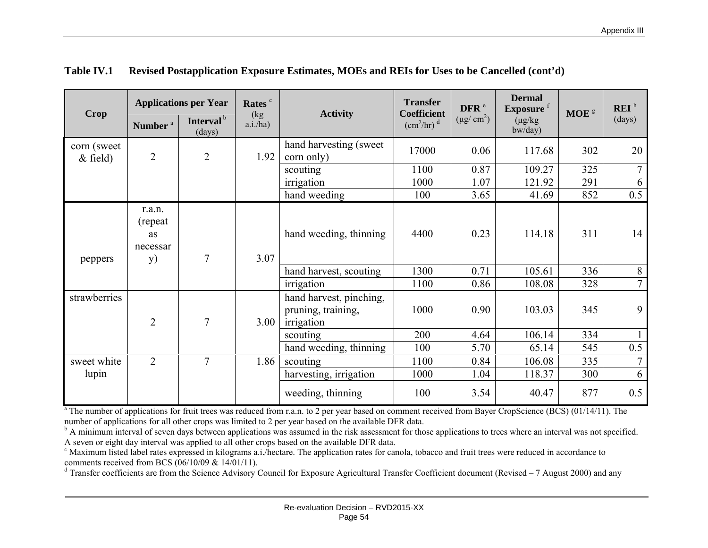|                           |                                                    | <b>Applications per Year</b>    | Rates <sup>c</sup> |                                                             | <b>Transfer</b>                                       | DFR <sup>e</sup> | <b>Dermal</b><br>Exposure <sup>f</sup> |                  | REI <sup>h</sup> |
|---------------------------|----------------------------------------------------|---------------------------------|--------------------|-------------------------------------------------------------|-------------------------------------------------------|------------------|----------------------------------------|------------------|------------------|
| <b>Crop</b>               | Number <sup>a</sup>                                | Interval <sup>b</sup><br>(days) | (kg)<br>a.i./ha)   | <b>Activity</b>                                             | Coefficient<br>$\left(\text{cm}^2/\text{hr}\right)^d$ | $(\mu g/cm^2)$   | $(\mu g/kg)$<br>bw/day)                | $\textbf{MOE}$ s | (days)           |
| corn (sweet<br>$&$ field) | $\overline{2}$                                     | $\overline{2}$                  | 1.92               | hand harvesting (sweet)<br>corn only)                       | 17000                                                 | 0.06             | 117.68                                 | 302              | 20               |
|                           |                                                    |                                 |                    | scouting                                                    | 1100                                                  | 0.87             | 109.27                                 | 325              | $\overline{7}$   |
|                           |                                                    |                                 |                    | irrigation                                                  | 1000                                                  | 1.07             | 121.92                                 | 291              | 6                |
|                           |                                                    |                                 |                    | hand weeding                                                | 100                                                   | 3.65             | 41.69                                  | 852              | 0.5              |
| peppers                   | r.a.n.<br>(repeat)<br>as<br>necessar<br><b>y</b> ) | 7                               | 3.07               | hand weeding, thinning                                      | 4400                                                  | 0.23             | 114.18                                 | 311              | 14               |
|                           |                                                    |                                 |                    | hand harvest, scouting                                      | 1300                                                  | 0.71             | 105.61                                 | 336              | 8                |
|                           |                                                    |                                 |                    | irrigation                                                  | 1100                                                  | 0.86             | 108.08                                 | 328              | $\overline{7}$   |
| strawberries              | $\overline{2}$                                     | $\overline{7}$                  | 3.00               | hand harvest, pinching,<br>pruning, training,<br>irrigation | 1000                                                  | 0.90             | 103.03                                 | 345              | 9                |
|                           |                                                    |                                 |                    | scouting                                                    | 200                                                   | 4.64             | 106.14                                 | 334              |                  |
|                           |                                                    |                                 |                    | hand weeding, thinning                                      | 100                                                   | 5.70             | 65.14                                  | 545              | 0.5              |
| sweet white               | $\overline{2}$                                     | 7                               | 1.86               | scouting                                                    | 1100                                                  | 0.84             | 106.08                                 | 335              | $\tau$           |
| lupin                     |                                                    |                                 |                    | harvesting, irrigation                                      | 1000                                                  | 1.04             | 118.37                                 | 300              | 6                |
|                           |                                                    |                                 |                    | weeding, thinning                                           | 100                                                   | 3.54             | 40.47                                  | 877              | 0.5              |

## **Table IV.1 Revised Postapplication Exposure Estimates, MOEs and REIs for Uses to be Cancelled (cont'd)**

<sup>a</sup> The number of applications for fruit trees was reduced from r.a.n. to 2 per year based on comment received from Bayer CropScience (BCS) (01/14/11). The number of applications for all other crops was limited to 2 per year based on the available DFR data.

<sup>b</sup> A minimum interval of seven days between applications was assumed in the risk assessment for those applications to trees where an interval was not specified. A seven or eight day interval was applied to all other crops based on the available DFR data.

<sup>c</sup> Maximum listed label rates expressed in kilograms a.i./hectare. The application rates for canola, tobacco and fruit trees were reduced in accordance to comments received from BCS (06/10/09 & 14/01/11).

<sup>d</sup> Transfer coefficients are from the Science Advisory Council for Exposure Agricultural Transfer Coefficient document (Revised – 7 August 2000) and any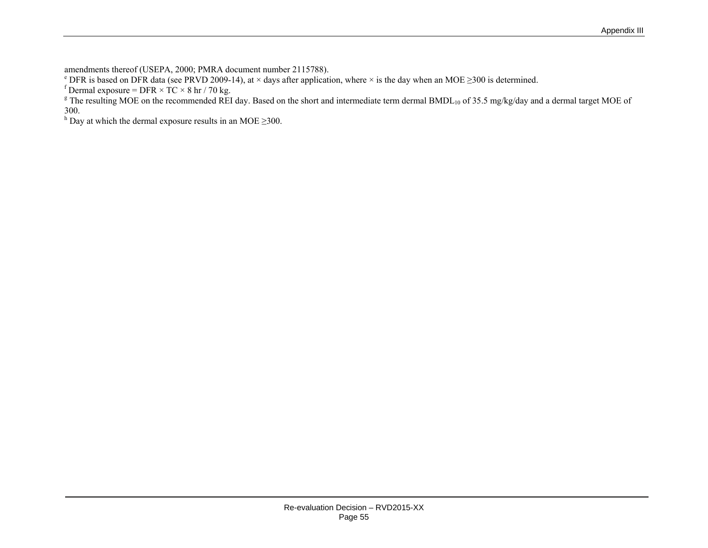amendments thereof (USEPA, 2000; PMRA document number 2115788).

<sup>e</sup> DFR is based on DFR data (see PRVD 2009-14), at × days after application, where × is the day when an MOE  $\geq$ 300 is determined.

f Dermal exposure = DFR  $\times$  TC  $\times$  8 hr / 70 kg.

<sup>g</sup> The resulting MOE on the recommended REI day. Based on the short and intermediate term dermal BMDL<sub>10</sub> of 35.5 mg/kg/day and a dermal target MOE of 300.

<sup>h</sup> Day at which the dermal exposure results in an MOE  $\geq$ 300.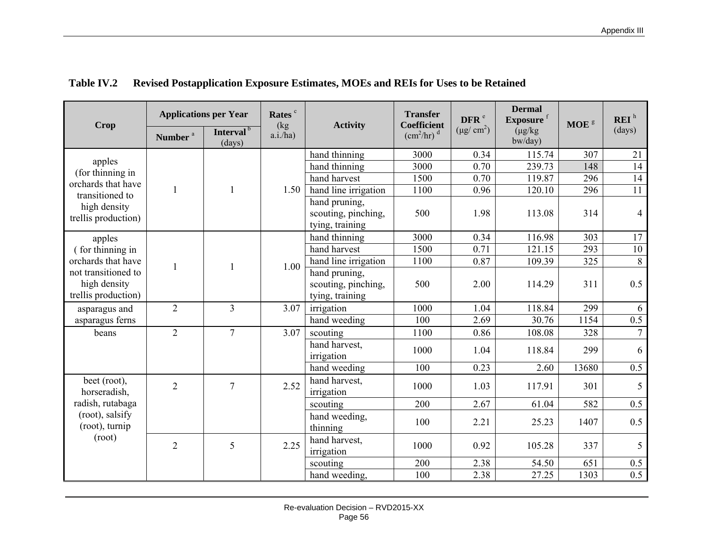| <b>Crop</b>                                                | <b>Applications per Year</b> |                                 | Rates <sup>c</sup><br>(kg) | <b>Activity</b>                                         | <b>Transfer</b><br><b>Coefficient</b>          | DFR <sup>e</sup> | <b>Dermal</b><br>Exposure <sup>f</sup> | MOE <sup>g</sup> | REI <sup>h</sup> |
|------------------------------------------------------------|------------------------------|---------------------------------|----------------------------|---------------------------------------------------------|------------------------------------------------|------------------|----------------------------------------|------------------|------------------|
|                                                            | Number <sup>a</sup>          | Interval <sup>b</sup><br>(days) | a.i./ha)                   |                                                         | $\left(\frac{\text{cm}^2}{\text{hr}}\right)^d$ | $(\mu g/cm^2)$   | $(\mu g/kg)$<br>bw/day)                |                  | (days)           |
|                                                            |                              |                                 |                            | hand thinning                                           | 3000                                           | 0.34             | 115.74                                 | 307              | 21               |
| apples<br>(for thinning in                                 |                              |                                 |                            | hand thinning                                           | 3000                                           | 0.70             | 239.73                                 | 148              | 14               |
| orchards that have                                         |                              |                                 |                            | hand harvest                                            | 1500                                           | 0.70             | 119.87                                 | 296              | 14               |
| transitioned to                                            | $\mathbf{1}$                 | $\mathbf{1}$                    | 1.50                       | hand line irrigation                                    | 1100                                           | 0.96             | 120.10                                 | 296              | 11               |
| high density<br>trellis production)                        |                              |                                 |                            | hand pruning.<br>scouting, pinching,<br>tying, training | 500                                            | 1.98             | 113.08                                 | 314              | $\overline{4}$   |
| apples                                                     |                              |                                 |                            | hand thinning                                           | 3000                                           | 0.34             | 116.98                                 | 303              | 17               |
| (for thinning in                                           |                              |                                 |                            | hand harvest                                            | 1500                                           | 0.71             | 121.15                                 | 293              | 10               |
| orchards that have                                         | 1                            | $\mathbf{1}$                    | 1.00                       | hand line irrigation                                    | 1100                                           | 0.87             | 109.39                                 | 325              | $\overline{8}$   |
| not transitioned to<br>high density<br>trellis production) |                              |                                 |                            | hand pruning,<br>scouting, pinching,<br>tying, training | 500                                            | 2.00             | 114.29                                 | 311              | 0.5              |
| asparagus and                                              | $\overline{2}$               | $\overline{3}$                  | 3.07                       | irrigation                                              | 1000                                           | 1.04             | 118.84                                 | 299              | 6                |
| asparagus ferns                                            |                              |                                 |                            | hand weeding                                            | 100                                            | 2.69             | 30.76                                  | 1154             | 0.5              |
| beans                                                      | $\overline{2}$               | $\overline{7}$                  | 3.07                       | scouting                                                | 1100                                           | 0.86             | 108.08                                 | 328              | $\overline{7}$   |
|                                                            |                              |                                 |                            | hand harvest.<br>irrigation                             | 1000                                           | 1.04             | 118.84                                 | 299              | 6                |
|                                                            |                              |                                 |                            | hand weeding                                            | 100                                            | 0.23             | 2.60                                   | 13680            | $\overline{0.5}$ |
| beet (root),<br>horseradish,                               | $\overline{2}$               | $\overline{7}$                  | 2.52                       | hand harvest,<br>irrigation                             | 1000                                           | 1.03             | 117.91                                 | 301              | 5                |
| radish, rutabaga                                           |                              |                                 |                            | scouting                                                | 200                                            | 2.67             | 61.04                                  | 582              | 0.5              |
| (root), salsify<br>(root), turnip                          |                              |                                 |                            | hand weeding,<br>thinning                               | 100                                            | 2.21             | 25.23                                  | 1407             | 0.5              |
| (root)                                                     | $\overline{2}$               | 5                               | 2.25                       | hand harvest,<br>irrigation                             | 1000                                           | 0.92             | 105.28                                 | 337              | 5                |
|                                                            |                              |                                 | scouting                   |                                                         | 200                                            | 2.38             | 54.50                                  | 651              | $0.5\,$          |
|                                                            |                              |                                 |                            | hand weeding,                                           | 100                                            | 2.38             | 27.25                                  | 1303             | $\overline{0.5}$ |

# **Table IV.2 Revised Postapplication Exposure Estimates, MOEs and REIs for Uses to be Retained**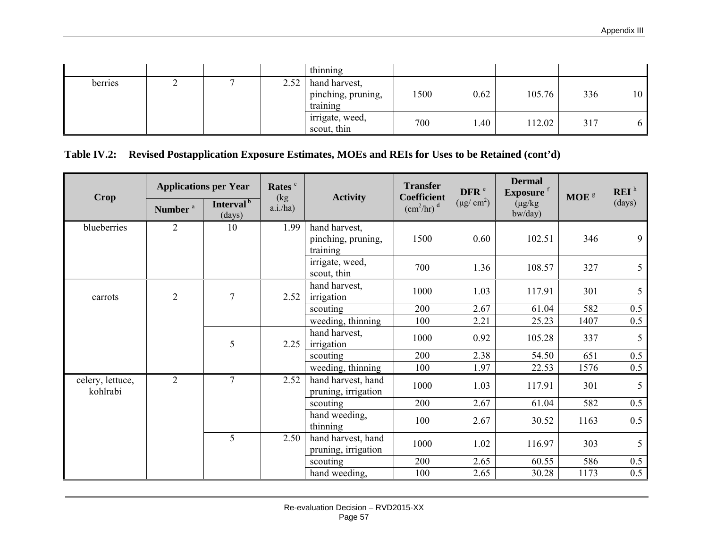|         |  |      | thinning                                        |      |      |        |     |    |
|---------|--|------|-------------------------------------------------|------|------|--------|-----|----|
| berries |  | 2.52 | hand harvest,<br>pinching, pruning,<br>training | 1500 | 0.62 | 105.76 | 336 | 10 |
|         |  |      | irrigate, weed,<br>scout, thin                  | 700  | 1.40 | 12.02  | 317 | 6  |

#### **Table IV.2: Revised Postapplication Exposure Estimates, MOEs and REIs for Uses to be Retained (cont'd)**

| <b>Crop</b>                  |                     | <b>Applications per Year</b>    | Rates <sup>c</sup> | <b>Activity</b>                                 | <b>Transfer</b><br><b>Coefficient</b> | DFR <sup>e</sup> | <b>Dermal</b><br>Exposure <sup>f</sup> | MOE <sup>8</sup> | REI <sup>h</sup> |
|------------------------------|---------------------|---------------------------------|--------------------|-------------------------------------------------|---------------------------------------|------------------|----------------------------------------|------------------|------------------|
|                              | Number <sup>a</sup> | Interval <sup>b</sup><br>(days) | (kg)<br>a.i./ha)   |                                                 | $\text{(cm}^2\text{/hr)}^d$           | $(\mu g/cm^2)$   | $(\mu g/kg)$<br>$b$ w/day $)$          |                  | (days)           |
| blueberries                  | $\overline{2}$      | 10                              | 1.99               | hand harvest,<br>pinching, pruning,<br>training | 1500                                  | 0.60             | 102.51                                 | 346              | 9                |
|                              |                     |                                 |                    | irrigate, weed,<br>scout, thin                  | 700                                   | 1.36             | 108.57                                 | 327              | 5                |
| carrots                      | $\sqrt{2}$          | $\overline{7}$                  | 2.52               | hand harvest,<br>irrigation                     | 1000                                  | 1.03             | 117.91                                 | 301              | 5                |
|                              |                     |                                 |                    | scouting                                        | 200                                   | 2.67             | 61.04                                  | 582              | 0.5              |
|                              |                     |                                 |                    | weeding, thinning                               | 100                                   | 2.21             | 25.23                                  | 1407             | 0.5              |
|                              |                     | 5                               | 2.25               | hand harvest,<br>irrigation                     | 1000                                  | 0.92             | 105.28                                 | 337              | 5                |
|                              |                     |                                 |                    | scouting                                        | 200                                   | 2.38             | 54.50                                  | 651              | 0.5              |
|                              |                     |                                 |                    | weeding, thinning                               | 100                                   | 1.97             | 22.53                                  | 1576             | 0.5              |
| celery, lettuce,<br>kohlrabi | $\overline{2}$      | $\overline{7}$                  | 2.52               | hand harvest, hand<br>pruning, irrigation       | 1000                                  | 1.03             | 117.91                                 | 301              | 5                |
|                              |                     |                                 |                    | scouting                                        | 200                                   | 2.67             | 61.04                                  | 582              | 0.5              |
|                              |                     |                                 |                    | hand weeding,<br>thinning                       | 100                                   | 2.67             | 30.52                                  | 1163             | 0.5              |
|                              |                     | 5                               | 2.50               | hand harvest, hand<br>pruning, irrigation       | 1000                                  | 1.02             | 116.97                                 | 303              | 5                |
|                              |                     |                                 |                    | scouting                                        | 200                                   | 2.65             | 60.55                                  | 586              | 0.5              |
|                              |                     |                                 |                    | hand weeding,                                   | 100                                   | 2.65             | 30.28                                  | 1173             | 0.5              |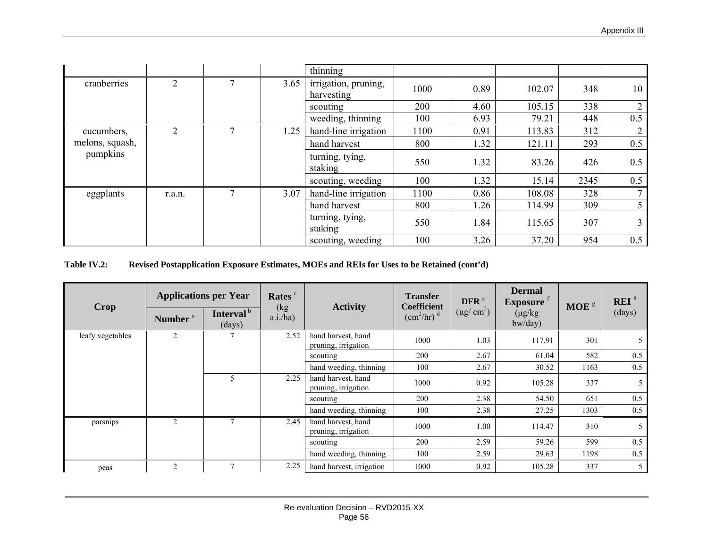|                 |                |      | thinning                           |      |      |        |      |                |
|-----------------|----------------|------|------------------------------------|------|------|--------|------|----------------|
| cranberries     | 2              | 3.65 | irrigation, pruning,<br>harvesting | 1000 | 0.89 | 102.07 | 348  | 10             |
|                 |                |      | scouting                           | 200  | 4.60 | 105.15 | 338  | $\overline{2}$ |
|                 |                |      | weeding, thinning                  | 100  | 6.93 | 79.21  | 448  | 0.5            |
| cucumbers,      | $\overline{2}$ | 1.25 | hand-line irrigation               | 1100 | 0.91 | 113.83 | 312  | $\overline{2}$ |
| melons, squash, |                |      | hand harvest                       | 800  | 1.32 | 121.11 | 293  | 0.5            |
| pumpkins        |                |      | turning, tying,<br>staking         | 550  | 1.32 | 83.26  | 426  | 0.5            |
|                 |                |      | scouting, weeding                  | 100  | 1.32 | 15.14  | 2345 | 0.5            |
| eggplants       | r.a.n.         | 3.07 | hand-line irrigation               | 1100 | 0.86 | 108.08 | 328  |                |
|                 |                |      | hand harvest                       | 800  | 1.26 | 114.99 | 309  |                |
|                 |                |      | turning, tying,<br>staking         | 550  | 1.84 | 115.65 | 307  |                |
|                 |                |      | scouting, weeding                  | 100  | 3.26 | 37.20  | 954  | 0.5            |

#### **Table IV.2: Revised Postapplication Exposure Estimates, MOEs and REIs for Uses to be Retained (cont'd)**

| <b>Crop</b>      | <b>Applications per Year</b> |                                 | Rates <sup>c</sup> | <b>Activity</b>                           | <b>Transfer</b><br>Coefficient         | DFR <sup>e</sup> | <b>Dermal</b><br>$\mathbf{Exposure}^{-1}$ | MOE <sup>8</sup> | REI <sup>h</sup> |
|------------------|------------------------------|---------------------------------|--------------------|-------------------------------------------|----------------------------------------|------------------|-------------------------------------------|------------------|------------------|
|                  | Number <sup>a</sup>          | Interval <sup>b</sup><br>(days) | (kg)<br>a.i/ha)    |                                           | $\text{(cm}^2/\text{hr})$ <sup>d</sup> | $(\mu g/cm^2)$   | $(\mu g/kg)$<br>bw/day)                   |                  | (days)           |
| leafy vegetables | 2                            |                                 | 2.52               | hand harvest, hand<br>pruning, irrigation | 1000                                   | 1.03             | 117.91                                    | 301              | 5                |
|                  |                              |                                 |                    | scouting                                  | 200                                    | 2.67             | 61.04                                     | 582              | 0.5              |
|                  |                              |                                 |                    | hand weeding, thinning                    | 100                                    | 2.67             | 30.52                                     | 1163             | 0.5              |
|                  |                              | 5                               | 2.25               | hand harvest, hand<br>pruning, irrigation | 1000                                   | 0.92             | 105.28                                    | 337              | 5                |
|                  |                              |                                 |                    | scouting                                  | 200                                    | 2.38             | 54.50                                     | 651              | 0.5              |
|                  |                              |                                 |                    | hand weeding, thinning                    | 100                                    | 2.38             | 27.25                                     | 1303             | 0.5              |
| parsnips         | 2                            |                                 | 2.45               | hand harvest, hand<br>pruning, irrigation | 1000                                   | 1.00             | 114.47                                    | 310              | 5                |
|                  |                              |                                 |                    | scouting                                  | 200                                    | 2.59             | 59.26                                     | 599              | 0.5              |
|                  |                              |                                 |                    | hand weeding, thinning                    | 100                                    | 2.59             | 29.63                                     | 1198             | 0.5              |
| peas             | 2                            |                                 | 2.25               | hand harvest, irrigation                  | 1000                                   | 0.92             | 105.28                                    | 337              | 5                |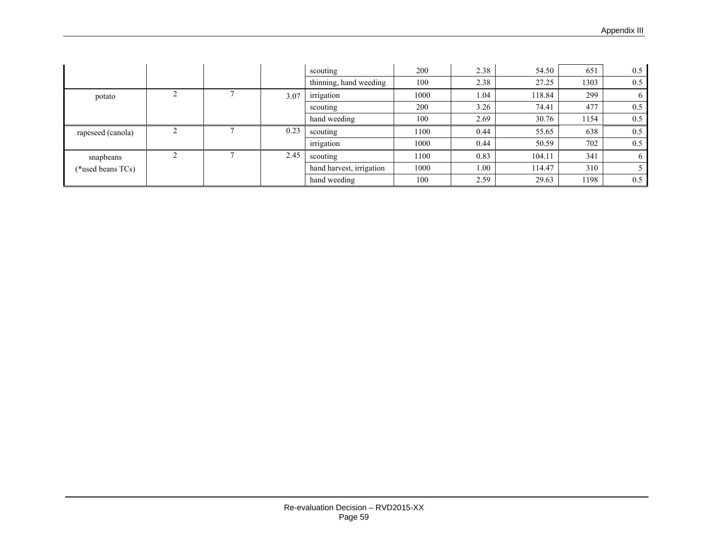|                   |  |      | scouting                 | 200  | 2.38 | 54.50  | 651  | 0.5      |
|-------------------|--|------|--------------------------|------|------|--------|------|----------|
|                   |  |      | thinning, hand weeding   | 100  | 2.38 | 27.25  | 1303 | 0.5      |
| potato            |  | 3.07 | irrigation               | 1000 | 1.04 | 118.84 | 299  | $\sigma$ |
|                   |  |      | scouting                 | 200  | 3.26 | 74.41  | 477  | 0.5      |
|                   |  |      | hand weeding             | 100  | 2.69 | 30.76  | 1154 | 0.5      |
| rapeseed (canola) |  | 0.23 | scouting                 | 1100 | 0.44 | 55.65  | 638  | 0.5      |
|                   |  |      | irrigation               | 1000 | 0.44 | 50.59  | 702  | 0.5      |
| snapbeans         |  | 2.45 | scouting                 | 1100 | 0.83 | 104.11 | 341  | 6        |
| (*used beans TCs) |  |      | hand harvest, irrigation | 1000 | 1.00 | 114.47 | 310  |          |
|                   |  |      | hand weeding             | 100  | 2.59 | 29.63  | 1198 | 0.5      |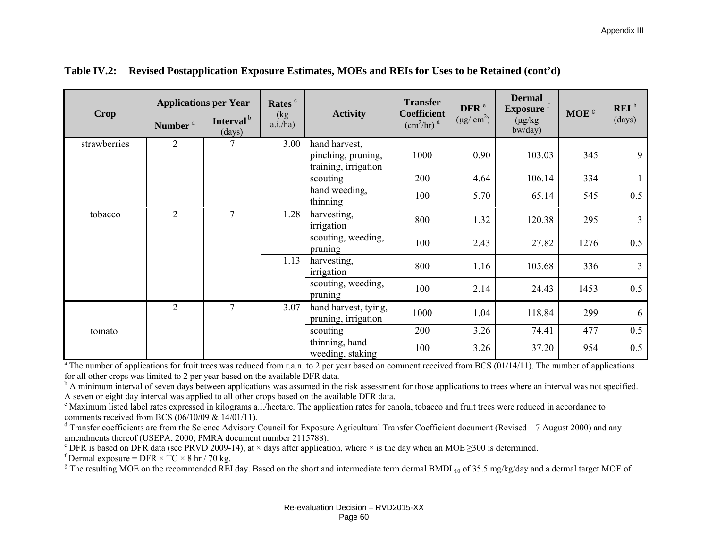| <b>Crop</b>  |                     | <b>Applications per Year</b>    | Rates <sup>c</sup><br>(kg) | <b>Activity</b>                                             | <b>Transfer</b><br><b>Coefficient</b>  | DFR <sup>e</sup> | <b>Dermal</b><br>Exposure <sup>f</sup> | MOE <sup>8</sup> | REI <sup>h</sup> |
|--------------|---------------------|---------------------------------|----------------------------|-------------------------------------------------------------|----------------------------------------|------------------|----------------------------------------|------------------|------------------|
|              | Number <sup>a</sup> | Interval <sup>b</sup><br>(days) | a.i/ha)                    |                                                             | $\text{(cm}^2/\text{hr})$ <sup>d</sup> | $(\mu g/cm^2)$   | $(\mu g/kg)$<br>$b$ w/day $)$          |                  | (days)           |
| strawberries | $\overline{2}$      |                                 | 3.00                       | hand harvest,<br>pinching, pruning,<br>training, irrigation | 1000                                   | 0.90             | 103.03                                 | 345              | 9                |
|              |                     |                                 |                            | scouting                                                    | 200                                    | 4.64             | 106.14                                 | 334              | $\mathbf{1}$     |
|              |                     |                                 |                            | hand weeding,<br>thinning                                   | 100                                    | 5.70             | 65.14                                  | 545              | 0.5              |
| tobacco      | $\overline{2}$      | $\overline{7}$                  | 1.28                       | harvesting,<br>irrigation                                   | 800                                    | 1.32             | 120.38                                 | 295              | $\overline{3}$   |
|              |                     |                                 |                            | scouting, weeding,<br>pruning                               | 100                                    | 2.43             | 27.82                                  | 1276             | 0.5              |
|              |                     |                                 | 1.13                       | harvesting,<br>irrigation                                   | 800                                    | 1.16             | 105.68                                 | 336              | $\overline{3}$   |
|              |                     |                                 |                            | scouting, weeding,<br>pruning                               | 100                                    | 2.14             | 24.43                                  | 1453             | 0.5              |
|              | $\overline{2}$      | $\overline{7}$                  | 3.07                       | hand harvest, tying,<br>pruning, irrigation                 | 1000                                   | 1.04             | 118.84                                 | 299              | 6                |
| tomato       |                     |                                 |                            | scouting                                                    | 200                                    | 3.26             | 74.41                                  | 477              | 0.5              |
|              |                     |                                 |                            | thinning, hand<br>weeding, staking                          | 100                                    | 3.26             | 37.20                                  | 954              | 0.5              |

| Table IV.2: Revised Postapplication Exposure Estimates, MOEs and REIs for Uses to be Retained (cont'd) |  |  |
|--------------------------------------------------------------------------------------------------------|--|--|
|                                                                                                        |  |  |

 $a$ <sup>n</sup> The number of applications for fruit trees was reduced from r.a.n. to 2 per year based on comment received from BCS (01/14/11). The number of applications for all other crops was limited to 2 per year based on the available DFR data.

<sup>b</sup> A minimum interval of seven days between applications was assumed in the risk assessment for those applications to trees where an interval was not specified. A seven or eight day interval was applied to all other crops based on the available DFR data.

c Maximum listed label rates expressed in kilograms a.i./hectare. The application rates for canola, tobacco and fruit trees were reduced in accordance to comments received from BCS (06/10/09 & 14/01/11).

 $d$  Transfer coefficients are from the Science Advisory Council for Exposure Agricultural Transfer Coefficient document (Revised – 7 August 2000) and any amendments thereof (USEPA, 2000; PMRA document number 2115788).

<sup>e</sup> DFR is based on DFR data (see PRVD 2009-14), at  $\times$  days after application, where  $\times$  is the day when an MOE  $\geq$ 300 is determined.

f Dermal exposure = DFR  $\times$  TC  $\times$  8 hr / 70 kg.

<sup>g</sup> The resulting MOE on the recommended REI day. Based on the short and intermediate term dermal BMDL<sub>10</sub> of 35.5 mg/kg/day and a dermal target MOE of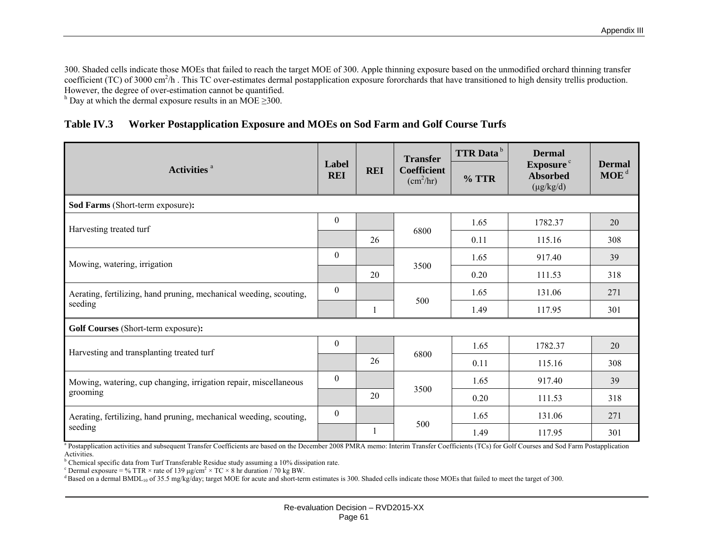300. Shaded cells indicate those MOEs that failed to reach the target MOE of 300. Apple thinning exposure based on the unmodified orchard thinning transfer coefficient (TC) of 3000 cm<sup>2</sup>/h. This TC over-estimates dermal postapplication exposure fororchards that have transitioned to high density trellis production. However, the degree of over-estimation cannot be quantified.

h Day at which the dermal exposure results in an MOE  $\geq$ 300.

|  | Table IV.3 Worker Postapplication Exposure and MOEs on Sod Farm and Golf Course Turfs |
|--|---------------------------------------------------------------------------------------|
|--|---------------------------------------------------------------------------------------|

|                                                                    |                     |            | <b>Transfer</b>                             | <b>TTR</b> Data <sup>b</sup> | <b>Dermal</b>                                       |                                   |
|--------------------------------------------------------------------|---------------------|------------|---------------------------------------------|------------------------------|-----------------------------------------------------|-----------------------------------|
| Activities <sup>a</sup>                                            | Label<br><b>REI</b> | <b>REI</b> | <b>Coefficient</b><br>(cm <sup>2</sup> /hr) | $%$ TTR                      | Exposure <sup>c</sup><br>Absorbed<br>$(\mu g/kg/d)$ | <b>Dermal</b><br>MOE <sup>d</sup> |
| Sod Farms (Short-term exposure):                                   |                     |            |                                             |                              |                                                     |                                   |
| Harvesting treated turf                                            | $\boldsymbol{0}$    |            |                                             | 1.65                         | 1782.37                                             | 20                                |
|                                                                    |                     | 26         | 6800                                        | 0.11                         | 115.16                                              | 308                               |
| Mowing, watering, irrigation                                       | $\mathbf{0}$        |            |                                             | 1.65                         | 917.40                                              | 39                                |
|                                                                    |                     | 20         | 3500                                        | 0.20                         | 111.53                                              | 318                               |
| Aerating, fertilizing, hand pruning, mechanical weeding, scouting, | $\boldsymbol{0}$    |            |                                             | 1.65                         | 131.06                                              | 271                               |
| seeding                                                            |                     | 1          | 500                                         | 1.49                         | 117.95                                              | 301                               |
| Golf Courses (Short-term exposure):                                |                     |            |                                             |                              |                                                     |                                   |
| Harvesting and transplanting treated turf                          | $\mathbf{0}$        |            |                                             | 1.65                         | 1782.37                                             | 20                                |
|                                                                    |                     | 26         | 6800                                        | 0.11                         | 115.16                                              | 308                               |
| Mowing, watering, cup changing, irrigation repair, miscellaneous   | $\theta$            |            |                                             | 1.65                         | 917.40                                              | 39                                |
| grooming                                                           |                     | 20         | 3500                                        | 0.20                         | 111.53                                              | 318                               |
| Aerating, fertilizing, hand pruning, mechanical weeding, scouting, | $\theta$            |            |                                             | 1.65                         | 131.06                                              | 271                               |
| seeding                                                            |                     | 1          | 500                                         | 1.49                         | 117.95                                              | 301                               |

<sup>a</sup> Postapplication activities and subsequent Transfer Coefficients are based on the December 2008 PMRA memo: Interim Transfer Coefficients (TCs) for Golf Courses and Sod Farm Postapplication Activities.

<sup>b</sup> Chemical specific data from Turf Transferable Residue study assuming a 10% dissipation rate.

<sup>c</sup> Dermal exposure = % TTR × rate of 139  $\mu$ g/cm<sup>2</sup> × TC × 8 hr duration  $\frac{7}{0}$  kg BW.

<sup>d</sup> Based on a dermal BMDL<sub>10</sub> of 35.5 mg/kg/day; target MOE for acute and short-term estimates is 300. Shaded cells indicate those MOEs that failed to meet the target of 300.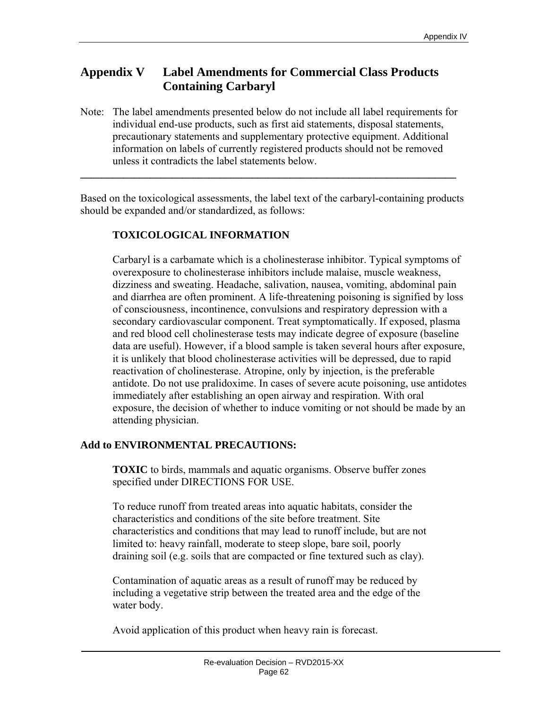# **Appendix V Label Amendments for Commercial Class Products Containing Carbaryl**

Note: The label amendments presented below do not include all label requirements for individual end-use products, such as first aid statements, disposal statements, precautionary statements and supplementary protective equipment. Additional information on labels of currently registered products should not be removed unless it contradicts the label statements below.

**\_\_\_\_\_\_\_\_\_\_\_\_\_\_\_\_\_\_\_\_\_\_\_\_\_\_\_\_\_\_\_\_\_\_\_\_\_\_\_\_\_\_\_\_\_\_\_\_\_\_\_\_\_\_\_\_\_\_\_\_\_\_\_\_\_\_\_\_\_\_** 

Based on the toxicological assessments, the label text of the carbaryl-containing products should be expanded and/or standardized, as follows:

## **TOXICOLOGICAL INFORMATION**

Carbaryl is a carbamate which is a cholinesterase inhibitor. Typical symptoms of overexposure to cholinesterase inhibitors include malaise, muscle weakness, dizziness and sweating. Headache, salivation, nausea, vomiting, abdominal pain and diarrhea are often prominent. A life-threatening poisoning is signified by loss of consciousness, incontinence, convulsions and respiratory depression with a secondary cardiovascular component. Treat symptomatically. If exposed, plasma and red blood cell cholinesterase tests may indicate degree of exposure (baseline data are useful). However, if a blood sample is taken several hours after exposure, it is unlikely that blood cholinesterase activities will be depressed, due to rapid reactivation of cholinesterase. Atropine, only by injection, is the preferable antidote. Do not use pralidoxime. In cases of severe acute poisoning, use antidotes immediately after establishing an open airway and respiration. With oral exposure, the decision of whether to induce vomiting or not should be made by an attending physician.

## **Add to ENVIRONMENTAL PRECAUTIONS:**

**TOXIC** to birds, mammals and aquatic organisms. Observe buffer zones specified under DIRECTIONS FOR USE.

To reduce runoff from treated areas into aquatic habitats, consider the characteristics and conditions of the site before treatment. Site characteristics and conditions that may lead to runoff include, but are not limited to: heavy rainfall, moderate to steep slope, bare soil, poorly draining soil (e.g. soils that are compacted or fine textured such as clay).

Contamination of aquatic areas as a result of runoff may be reduced by including a vegetative strip between the treated area and the edge of the water body.

Avoid application of this product when heavy rain is forecast.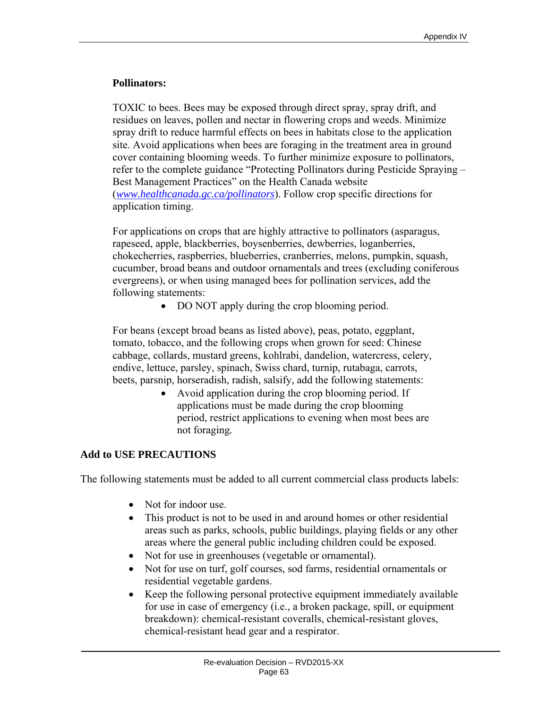## **Pollinators:**

TOXIC to bees. Bees may be exposed through direct spray, spray drift, and residues on leaves, pollen and nectar in flowering crops and weeds. Minimize spray drift to reduce harmful effects on bees in habitats close to the application site. Avoid applications when bees are foraging in the treatment area in ground cover containing blooming weeds. To further minimize exposure to pollinators, refer to the complete guidance "Protecting Pollinators during Pesticide Spraying – Best Management Practices" on the Health Canada website (*www.healthcanada.gc.ca/pollinators*). Follow crop specific directions for application timing.

For applications on crops that are highly attractive to pollinators (asparagus, rapeseed, apple, blackberries, boysenberries, dewberries, loganberries, chokecherries, raspberries, blueberries, cranberries, melons, pumpkin, squash, cucumber, broad beans and outdoor ornamentals and trees (excluding coniferous evergreens), or when using managed bees for pollination services, add the following statements:

• DO NOT apply during the crop blooming period.

For beans (except broad beans as listed above), peas, potato, eggplant, tomato, tobacco, and the following crops when grown for seed: Chinese cabbage, collards, mustard greens, kohlrabi, dandelion, watercress, celery, endive, lettuce, parsley, spinach, Swiss chard, turnip, rutabaga, carrots, beets, parsnip, horseradish, radish, salsify, add the following statements:

 Avoid application during the crop blooming period. If applications must be made during the crop blooming period, restrict applications to evening when most bees are not foraging*.*

## **Add to USE PRECAUTIONS**

The following statements must be added to all current commercial class products labels:

- Not for indoor use.
- This product is not to be used in and around homes or other residential areas such as parks, schools, public buildings, playing fields or any other areas where the general public including children could be exposed.
- Not for use in greenhouses (vegetable or ornamental).
- Not for use on turf, golf courses, sod farms, residential ornamentals or residential vegetable gardens.
- Keep the following personal protective equipment immediately available for use in case of emergency (i.e., a broken package, spill, or equipment breakdown): chemical-resistant coveralls, chemical-resistant gloves, chemical-resistant head gear and a respirator.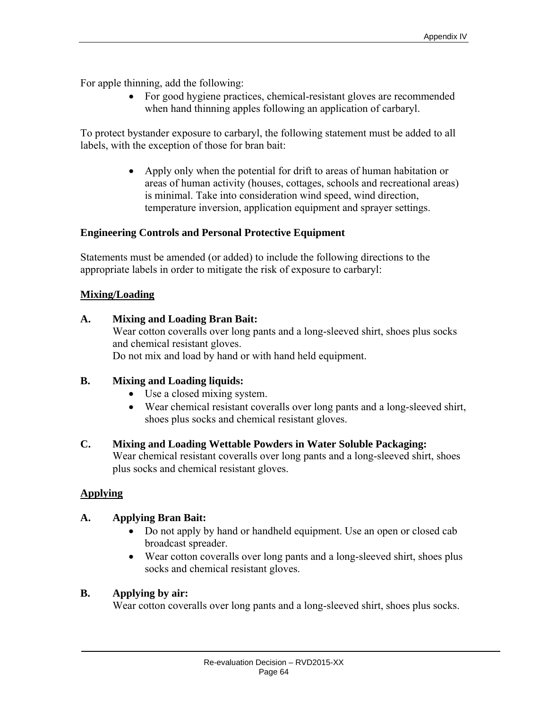For apple thinning, add the following:

 For good hygiene practices, chemical-resistant gloves are recommended when hand thinning apples following an application of carbaryl.

To protect bystander exposure to carbaryl, the following statement must be added to all labels, with the exception of those for bran bait:

> • Apply only when the potential for drift to areas of human habitation or areas of human activity (houses, cottages, schools and recreational areas) is minimal. Take into consideration wind speed, wind direction, temperature inversion, application equipment and sprayer settings.

## **Engineering Controls and Personal Protective Equipment**

Statements must be amended (or added) to include the following directions to the appropriate labels in order to mitigate the risk of exposure to carbaryl:

## **Mixing/Loading**

## **A. Mixing and Loading Bran Bait:**

Wear cotton coveralls over long pants and a long-sleeved shirt, shoes plus socks and chemical resistant gloves. Do not mix and load by hand or with hand held equipment.

## **B. Mixing and Loading liquids:**

- Use a closed mixing system.
- Wear chemical resistant coveralls over long pants and a long-sleeved shirt, shoes plus socks and chemical resistant gloves.

## **C. Mixing and Loading Wettable Powders in Water Soluble Packaging:**

Wear chemical resistant coveralls over long pants and a long-sleeved shirt, shoes plus socks and chemical resistant gloves.

## **Applying**

## **A. Applying Bran Bait:**

- Do not apply by hand or handheld equipment. Use an open or closed cab broadcast spreader.
- Wear cotton coveralls over long pants and a long-sleeved shirt, shoes plus socks and chemical resistant gloves.

## **B. Applying by air:**

Wear cotton coveralls over long pants and a long-sleeved shirt, shoes plus socks.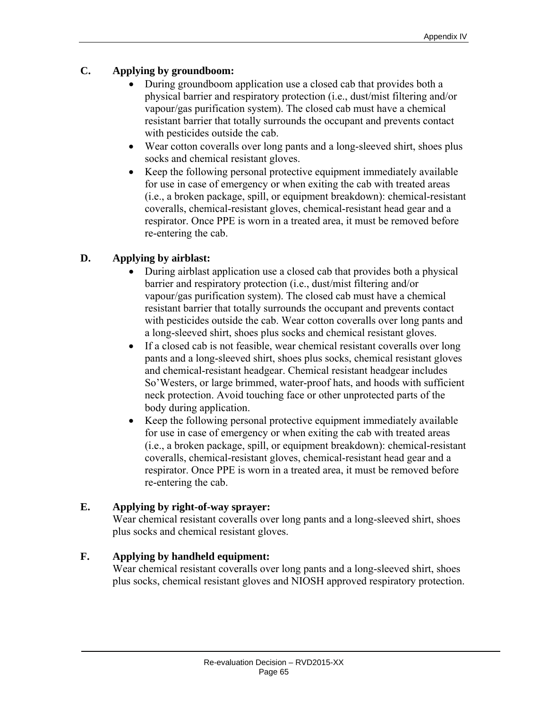# **C. Applying by groundboom:**

- During groundboom application use a closed cab that provides both a physical barrier and respiratory protection (i.e., dust/mist filtering and/or vapour/gas purification system). The closed cab must have a chemical resistant barrier that totally surrounds the occupant and prevents contact with pesticides outside the cab.
- Wear cotton coveralls over long pants and a long-sleeved shirt, shoes plus socks and chemical resistant gloves.
- Keep the following personal protective equipment immediately available for use in case of emergency or when exiting the cab with treated areas (i.e., a broken package, spill, or equipment breakdown): chemical-resistant coveralls, chemical-resistant gloves, chemical-resistant head gear and a respirator. Once PPE is worn in a treated area, it must be removed before re-entering the cab.

## **D. Applying by airblast:**

- During airblast application use a closed cab that provides both a physical barrier and respiratory protection (i.e., dust/mist filtering and/or vapour/gas purification system). The closed cab must have a chemical resistant barrier that totally surrounds the occupant and prevents contact with pesticides outside the cab. Wear cotton coveralls over long pants and a long-sleeved shirt, shoes plus socks and chemical resistant gloves.
- If a closed cab is not feasible, wear chemical resistant coveralls over long pants and a long-sleeved shirt, shoes plus socks, chemical resistant gloves and chemical-resistant headgear. Chemical resistant headgear includes So'Westers, or large brimmed, water-proof hats, and hoods with sufficient neck protection. Avoid touching face or other unprotected parts of the body during application.
- Keep the following personal protective equipment immediately available for use in case of emergency or when exiting the cab with treated areas (i.e., a broken package, spill, or equipment breakdown): chemical-resistant coveralls, chemical-resistant gloves, chemical-resistant head gear and a respirator. Once PPE is worn in a treated area, it must be removed before re-entering the cab.

## **E. Applying by right-of-way sprayer:**

Wear chemical resistant coveralls over long pants and a long-sleeved shirt, shoes plus socks and chemical resistant gloves.

## **F. Applying by handheld equipment:**

Wear chemical resistant coveralls over long pants and a long-sleeved shirt, shoes plus socks, chemical resistant gloves and NIOSH approved respiratory protection.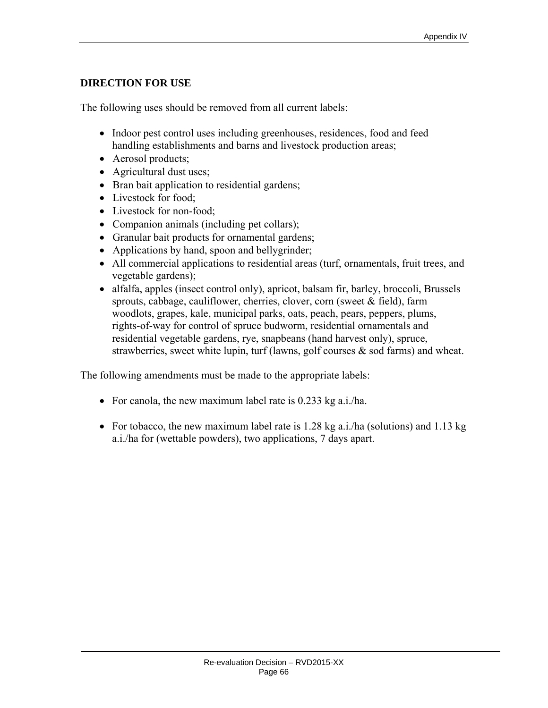## **DIRECTION FOR USE**

The following uses should be removed from all current labels:

- Indoor pest control uses including greenhouses, residences, food and feed handling establishments and barns and livestock production areas;
- Aerosol products;
- Agricultural dust uses;
- Bran bait application to residential gardens;
- Livestock for food:
- Livestock for non-food;
- Companion animals (including pet collars);
- Granular bait products for ornamental gardens;
- Applications by hand, spoon and bellygrinder;
- All commercial applications to residential areas (turf, ornamentals, fruit trees, and vegetable gardens);
- alfalfa, apples (insect control only), apricot, balsam fir, barley, broccoli, Brussels sprouts, cabbage, cauliflower, cherries, clover, corn (sweet & field), farm woodlots, grapes, kale, municipal parks, oats, peach, pears, peppers, plums, rights-of-way for control of spruce budworm, residential ornamentals and residential vegetable gardens, rye, snapbeans (hand harvest only), spruce, strawberries, sweet white lupin, turf (lawns, golf courses  $\&$  sod farms) and wheat.

The following amendments must be made to the appropriate labels:

- For canola, the new maximum label rate is 0.233 kg a.i./ha.
- For tobacco, the new maximum label rate is  $1.28$  kg a.i./ha (solutions) and  $1.13$  kg a.i./ha for (wettable powders), two applications, 7 days apart.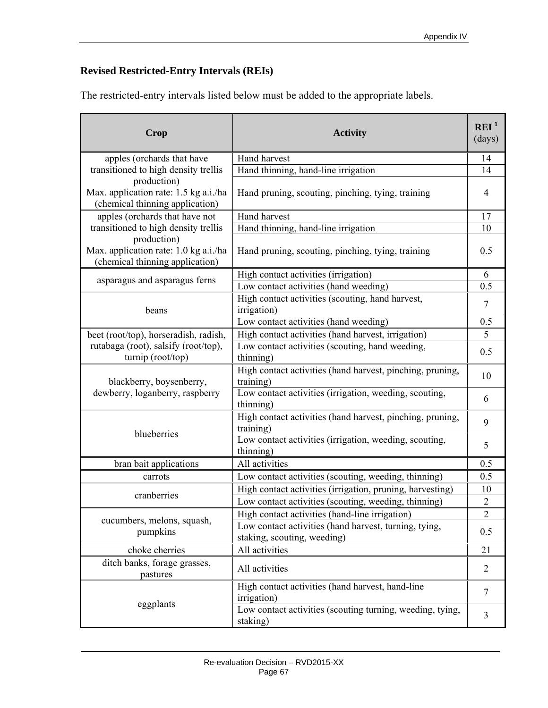# **Revised Restricted-Entry Intervals (REIs)**

The restricted-entry intervals listed below must be added to the appropriate labels.

| Crop                                                                                    | <b>Activity</b>                                                                      | REI <sup>1</sup><br>(days) |
|-----------------------------------------------------------------------------------------|--------------------------------------------------------------------------------------|----------------------------|
| apples (orchards that have                                                              | Hand harvest                                                                         | 14                         |
| transitioned to high density trellis                                                    | Hand thinning, hand-line irrigation                                                  | 14                         |
| production)<br>Max. application rate: 1.5 kg a.i./ha<br>(chemical thinning application) | Hand pruning, scouting, pinching, tying, training                                    | $\overline{4}$             |
| apples (orchards that have not                                                          | Hand harvest                                                                         | 17                         |
| transitioned to high density trellis                                                    | Hand thinning, hand-line irrigation                                                  | 10                         |
| production)<br>Max. application rate: 1.0 kg a.i./ha<br>(chemical thinning application) | Hand pruning, scouting, pinching, tying, training                                    | 0.5                        |
|                                                                                         | High contact activities (irrigation)                                                 | 6                          |
| asparagus and asparagus ferns                                                           | Low contact activities (hand weeding)                                                | 0.5                        |
| beans                                                                                   | High contact activities (scouting, hand harvest,<br>irrigation)                      | $\overline{7}$             |
|                                                                                         | Low contact activities (hand weeding)                                                | 0.5                        |
| beet (root/top), horseradish, radish,                                                   | High contact activities (hand harvest, irrigation)                                   | 5                          |
| rutabaga (root), salsify (root/top),<br>turnip (root/top)                               | Low contact activities (scouting, hand weeding,<br>thinning)                         | 0.5                        |
| blackberry, boysenberry,<br>dewberry, loganberry, raspberry                             | High contact activities (hand harvest, pinching, pruning,<br>training)               | 10                         |
|                                                                                         | Low contact activities (irrigation, weeding, scouting,<br>thinning)                  | 6                          |
| blueberries                                                                             | High contact activities (hand harvest, pinching, pruning,<br>training)               | 9                          |
|                                                                                         | Low contact activities (irrigation, weeding, scouting,<br>thinning)                  | 5                          |
| bran bait applications                                                                  | All activities                                                                       | 0.5                        |
| carrots                                                                                 | Low contact activities (scouting, weeding, thinning)                                 | 0.5                        |
| cranberries                                                                             | High contact activities (irrigation, pruning, harvesting)                            | 10                         |
|                                                                                         | Low contact activities (scouting, weeding, thinning)                                 | $\sqrt{2}$                 |
| cucumbers, melons, squash,                                                              | High contact activities (hand-line irrigation)                                       | $\overline{2}$             |
| pumpkins                                                                                | Low contact activities (hand harvest, turning, tying,<br>staking, scouting, weeding) | 0.5                        |
| choke cherries                                                                          | All activities                                                                       | 21                         |
| ditch banks, forage grasses,<br>pastures                                                | All activities                                                                       | $\overline{2}$             |
|                                                                                         | High contact activities (hand harvest, hand-line<br>irrigation)                      | $\overline{7}$             |
| eggplants                                                                               | Low contact activities (scouting turning, weeding, tying,<br>staking)                | 3                          |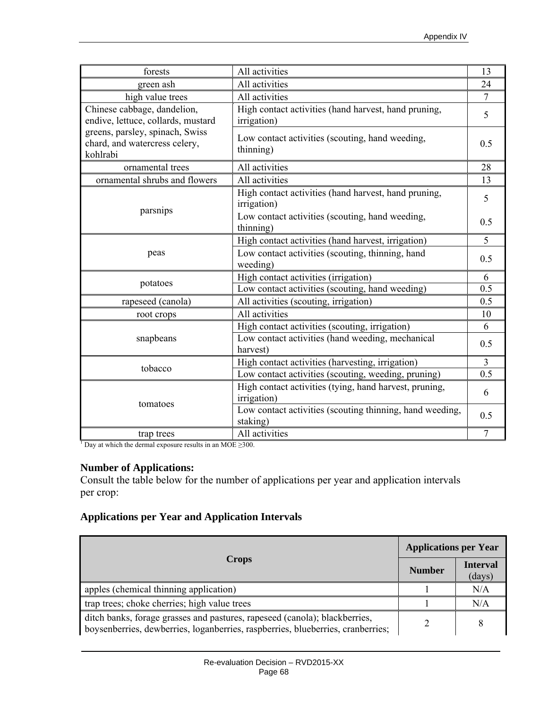| forests                                                                                                                                           | All activities                                                        | 13             |
|---------------------------------------------------------------------------------------------------------------------------------------------------|-----------------------------------------------------------------------|----------------|
| green ash                                                                                                                                         | All activities                                                        | 24             |
| high value trees                                                                                                                                  | All activities                                                        | $\overline{7}$ |
| Chinese cabbage, dandelion,<br>endive, lettuce, collards, mustard<br>greens, parsley, spinach, Swiss<br>chard, and watercress celery,<br>kohlrabi | High contact activities (hand harvest, hand pruning,<br>irrigation)   | 5              |
|                                                                                                                                                   | Low contact activities (scouting, hand weeding,<br>thinning)          | 0.5            |
| ornamental trees                                                                                                                                  | All activities                                                        | 28             |
| ornamental shrubs and flowers                                                                                                                     | All activities                                                        | 13             |
| parsnips                                                                                                                                          | High contact activities (hand harvest, hand pruning,<br>irrigation)   | 5              |
|                                                                                                                                                   | Low contact activities (scouting, hand weeding,<br>thinning)          | 0.5            |
|                                                                                                                                                   | High contact activities (hand harvest, irrigation)                    | 5              |
| peas                                                                                                                                              | Low contact activities (scouting, thinning, hand<br>weeding)          | 0.5            |
|                                                                                                                                                   | High contact activities (irrigation)                                  | 6              |
| potatoes                                                                                                                                          | Low contact activities (scouting, hand weeding)                       | 0.5            |
| rapeseed (canola)                                                                                                                                 | All activities (scouting, irrigation)                                 | 0.5            |
| root crops                                                                                                                                        | All activities                                                        | 10             |
| snapbeans                                                                                                                                         | High contact activities (scouting, irrigation)                        | 6              |
|                                                                                                                                                   | Low contact activities (hand weeding, mechanical<br>harvest)          | 0.5            |
|                                                                                                                                                   | High contact activities (harvesting, irrigation)                      | $\overline{3}$ |
| tobacco                                                                                                                                           | Low contact activities (scouting, weeding, pruning)                   | 0.5            |
| tomatoes                                                                                                                                          | High contact activities (tying, hand harvest, pruning,<br>irrigation) | 6              |
|                                                                                                                                                   | Low contact activities (scouting thinning, hand weeding,<br>staking)  | 0.5            |
| trap trees                                                                                                                                        | All activities                                                        | $\overline{7}$ |
| <sup>1</sup> Day at which the dermal exposure results in an MOE $\geq$ 300.                                                                       |                                                                       |                |

## **Number of Applications:**

Consult the table below for the number of applications per year and application intervals per crop:

## **Applications per Year and Application Intervals**

| <b>Crops</b>                                                                                                                                                  |  | <b>Applications per Year</b> |  |
|---------------------------------------------------------------------------------------------------------------------------------------------------------------|--|------------------------------|--|
|                                                                                                                                                               |  | <b>Interval</b><br>(days)    |  |
| apples (chemical thinning application)                                                                                                                        |  | N/A                          |  |
| trap trees; choke cherries; high value trees                                                                                                                  |  | N/A                          |  |
| ditch banks, forage grasses and pastures, rapeseed (canola); blackberries,<br>boysenberries, dewberries, loganberries, raspberries, blueberries, cranberries; |  | 8                            |  |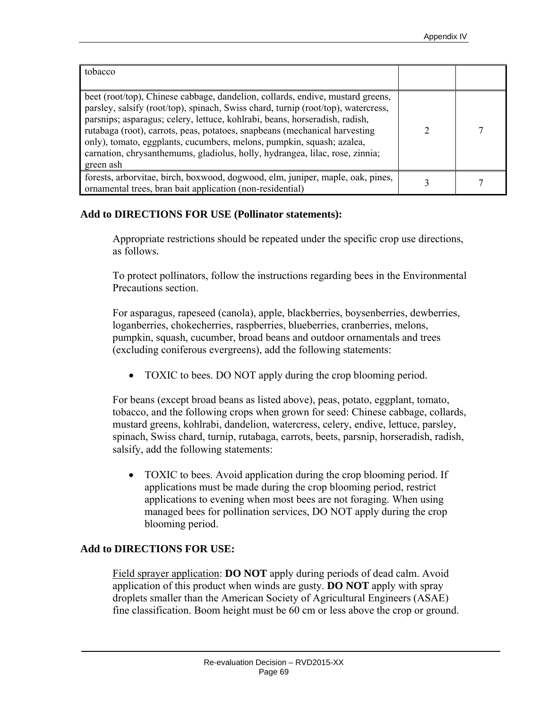| tobacco                                                                                                                                                                                                                                                                                                                                                                                                                                                                                                |  |
|--------------------------------------------------------------------------------------------------------------------------------------------------------------------------------------------------------------------------------------------------------------------------------------------------------------------------------------------------------------------------------------------------------------------------------------------------------------------------------------------------------|--|
| beet (root/top), Chinese cabbage, dandelion, collards, endive, mustard greens,<br>parsley, salsify (root/top), spinach, Swiss chard, turnip (root/top), watercress,<br>parsnips; asparagus; celery, lettuce, kohlrabi, beans, horseradish, radish,<br>rutabaga (root), carrots, peas, potatoes, snapbeans (mechanical harvesting<br>only), tomato, eggplants, cucumbers, melons, pumpkin, squash; azalea,<br>carnation, chrysanthemums, gladiolus, holly, hydrangea, lilac, rose, zinnia;<br>green ash |  |
| forests, arborvitae, birch, boxwood, dogwood, elm, juniper, maple, oak, pines,<br>ornamental trees, bran bait application (non-residential)                                                                                                                                                                                                                                                                                                                                                            |  |

## **Add to DIRECTIONS FOR USE (Pollinator statements):**

Appropriate restrictions should be repeated under the specific crop use directions, as follows*.* 

To protect pollinators, follow the instructions regarding bees in the Environmental Precautions section.

For asparagus, rapeseed (canola), apple, blackberries, boysenberries, dewberries, loganberries, chokecherries, raspberries, blueberries, cranberries, melons, pumpkin, squash, cucumber, broad beans and outdoor ornamentals and trees (excluding coniferous evergreens), add the following statements:

• TOXIC to bees. DO NOT apply during the crop blooming period.

For beans (except broad beans as listed above), peas, potato, eggplant, tomato, tobacco, and the following crops when grown for seed: Chinese cabbage, collards, mustard greens, kohlrabi, dandelion, watercress, celery, endive, lettuce, parsley, spinach, Swiss chard, turnip, rutabaga, carrots, beets, parsnip, horseradish, radish, salsify, add the following statements:

• TOXIC to bees. Avoid application during the crop blooming period. If applications must be made during the crop blooming period, restrict applications to evening when most bees are not foraging. When using managed bees for pollination services, DO NOT apply during the crop blooming period.

## **Add to DIRECTIONS FOR USE:**

Field sprayer application: **DO NOT** apply during periods of dead calm. Avoid application of this product when winds are gusty. **DO NOT** apply with spray droplets smaller than the American Society of Agricultural Engineers (ASAE) fine classification. Boom height must be 60 cm or less above the crop or ground.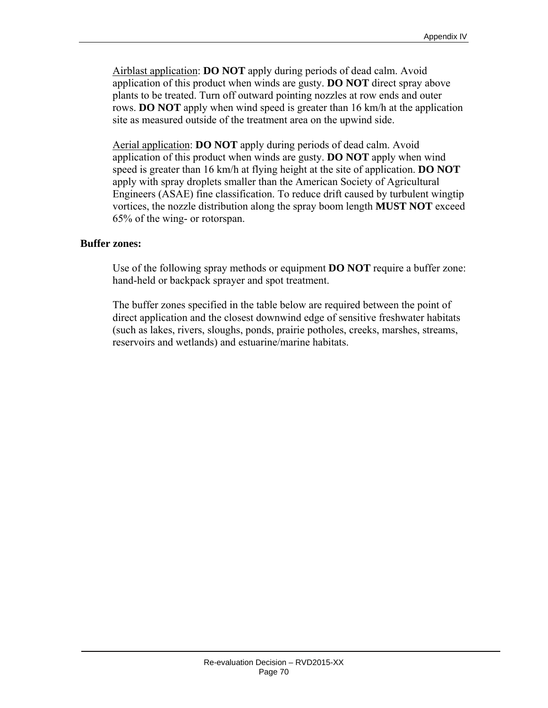Airblast application: **DO NOT** apply during periods of dead calm. Avoid application of this product when winds are gusty. **DO NOT** direct spray above plants to be treated. Turn off outward pointing nozzles at row ends and outer rows. **DO NOT** apply when wind speed is greater than 16 km/h at the application site as measured outside of the treatment area on the upwind side.

 Aerial application: **DO NOT** apply during periods of dead calm. Avoid application of this product when winds are gusty. **DO NOT** apply when wind speed is greater than 16 km/h at flying height at the site of application. **DO NOT** apply with spray droplets smaller than the American Society of Agricultural Engineers (ASAE) fine classification. To reduce drift caused by turbulent wingtip vortices, the nozzle distribution along the spray boom length **MUST NOT** exceed 65% of the wing- or rotorspan.

#### **Buffer zones:**

Use of the following spray methods or equipment **DO NOT** require a buffer zone: hand-held or backpack sprayer and spot treatment.

The buffer zones specified in the table below are required between the point of direct application and the closest downwind edge of sensitive freshwater habitats (such as lakes, rivers, sloughs, ponds, prairie potholes, creeks, marshes, streams, reservoirs and wetlands) and estuarine/marine habitats.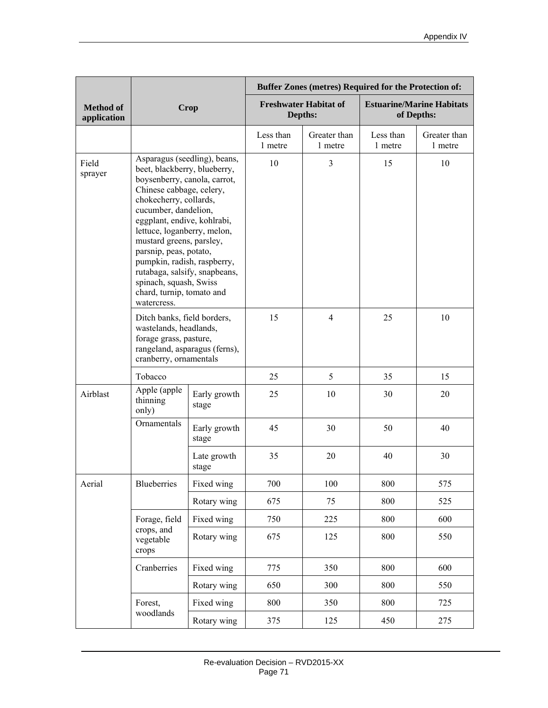|                                 | Crop                                                                                                                                                                                                                                                                                                                                                                                                                                 |                       | <b>Buffer Zones (metres) Required for the Protection of:</b> |                         |                                                |                         |
|---------------------------------|--------------------------------------------------------------------------------------------------------------------------------------------------------------------------------------------------------------------------------------------------------------------------------------------------------------------------------------------------------------------------------------------------------------------------------------|-----------------------|--------------------------------------------------------------|-------------------------|------------------------------------------------|-------------------------|
| <b>Method of</b><br>application |                                                                                                                                                                                                                                                                                                                                                                                                                                      |                       | <b>Freshwater Habitat of</b><br>Depths:                      |                         | <b>Estuarine/Marine Habitats</b><br>of Depths: |                         |
|                                 |                                                                                                                                                                                                                                                                                                                                                                                                                                      |                       | Less than<br>1 metre                                         | Greater than<br>1 metre | Less than<br>1 metre                           | Greater than<br>1 metre |
| Field<br>sprayer                | Asparagus (seedling), beans,<br>beet, blackberry, blueberry,<br>boysenberry, canola, carrot,<br>Chinese cabbage, celery,<br>chokecherry, collards,<br>cucumber, dandelion,<br>eggplant, endive, kohlrabi,<br>lettuce, loganberry, melon,<br>mustard greens, parsley,<br>parsnip, peas, potato,<br>pumpkin, radish, raspberry,<br>rutabaga, salsify, snapbeans,<br>spinach, squash, Swiss<br>chard, turnip, tomato and<br>watercress. |                       | 10                                                           | $\overline{3}$          | 15                                             | 10                      |
|                                 | Ditch banks, field borders,<br>wastelands, headlands,<br>forage grass, pasture,<br>rangeland, asparagus (ferns),<br>cranberry, ornamentals                                                                                                                                                                                                                                                                                           |                       | 15                                                           | $\overline{4}$          | 25                                             | 10                      |
| Tobacco                         |                                                                                                                                                                                                                                                                                                                                                                                                                                      |                       | 25                                                           | 5                       | 35                                             | 15                      |
| Airblast                        | Apple (apple<br>thinning<br>only)                                                                                                                                                                                                                                                                                                                                                                                                    | Early growth<br>stage | 25                                                           | 10                      | 30                                             | 20                      |
|                                 | Ornamentals                                                                                                                                                                                                                                                                                                                                                                                                                          | Early growth<br>stage | 45                                                           | 30                      | 50                                             | 40                      |
|                                 |                                                                                                                                                                                                                                                                                                                                                                                                                                      | Late growth<br>stage  | 35                                                           | 20                      | 40                                             | 30                      |
| Aerial                          | Blueberries                                                                                                                                                                                                                                                                                                                                                                                                                          | Fixed wing            | 700                                                          | 100                     | 800                                            | 575                     |
|                                 |                                                                                                                                                                                                                                                                                                                                                                                                                                      | Rotary wing           | 675                                                          | 75                      | 800                                            | 525                     |
|                                 | Forage, field<br>crops, and<br>vegetable<br>crops                                                                                                                                                                                                                                                                                                                                                                                    | Fixed wing            | 750                                                          | 225                     | 800                                            | 600                     |
|                                 |                                                                                                                                                                                                                                                                                                                                                                                                                                      | Rotary wing           | 675                                                          | 125                     | 800                                            | 550                     |
|                                 | Cranberries                                                                                                                                                                                                                                                                                                                                                                                                                          | Fixed wing            | 775                                                          | 350                     | 800                                            | 600                     |
|                                 |                                                                                                                                                                                                                                                                                                                                                                                                                                      | Rotary wing           | 650                                                          | 300                     | 800                                            | 550                     |
| Forest,<br>woodlands            |                                                                                                                                                                                                                                                                                                                                                                                                                                      | Fixed wing            | 800                                                          | 350                     | 800                                            | 725                     |
|                                 |                                                                                                                                                                                                                                                                                                                                                                                                                                      | Rotary wing           | 375                                                          | 125                     | 450                                            | 275                     |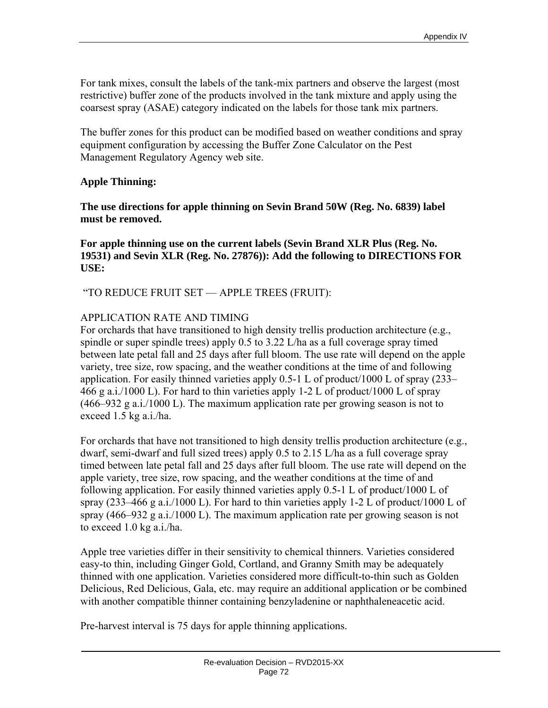For tank mixes, consult the labels of the tank-mix partners and observe the largest (most restrictive) buffer zone of the products involved in the tank mixture and apply using the coarsest spray (ASAE) category indicated on the labels for those tank mix partners.

The buffer zones for this product can be modified based on weather conditions and spray equipment configuration by accessing the Buffer Zone Calculator on the Pest Management Regulatory Agency web site.

# **Apple Thinning:**

**The use directions for apple thinning on Sevin Brand 50W (Reg. No. 6839) label must be removed.** 

**For apple thinning use on the current labels (Sevin Brand XLR Plus (Reg. No. 19531) and Sevin XLR (Reg. No. 27876)): Add the following to DIRECTIONS FOR USE:** 

"TO REDUCE FRUIT SET — APPLE TREES (FRUIT):

# APPLICATION RATE AND TIMING

For orchards that have transitioned to high density trellis production architecture (e.g., spindle or super spindle trees) apply 0.5 to 3.22 L/ha as a full coverage spray timed between late petal fall and 25 days after full bloom. The use rate will depend on the apple variety, tree size, row spacing, and the weather conditions at the time of and following application. For easily thinned varieties apply 0.5-1 L of product/1000 L of spray (233– 466 g a.i./1000 L). For hard to thin varieties apply 1-2 L of product/1000 L of spray (466–932 g a.i./1000 L). The maximum application rate per growing season is not to exceed 1.5 kg a.i./ha.

For orchards that have not transitioned to high density trellis production architecture (e.g., dwarf, semi-dwarf and full sized trees) apply 0.5 to 2.15 L/ha as a full coverage spray timed between late petal fall and 25 days after full bloom. The use rate will depend on the apple variety, tree size, row spacing, and the weather conditions at the time of and following application. For easily thinned varieties apply 0.5-1 L of product/1000 L of spray (233–466 g a.i./1000 L). For hard to thin varieties apply 1-2 L of product/1000 L of spray (466–932 g a.i./1000 L). The maximum application rate per growing season is not to exceed 1.0 kg a.i./ha.

Apple tree varieties differ in their sensitivity to chemical thinners. Varieties considered easy-to thin, including Ginger Gold, Cortland, and Granny Smith may be adequately thinned with one application. Varieties considered more difficult-to-thin such as Golden Delicious, Red Delicious, Gala, etc. may require an additional application or be combined with another compatible thinner containing benzyladenine or naphthaleneacetic acid.

Pre-harvest interval is 75 days for apple thinning applications.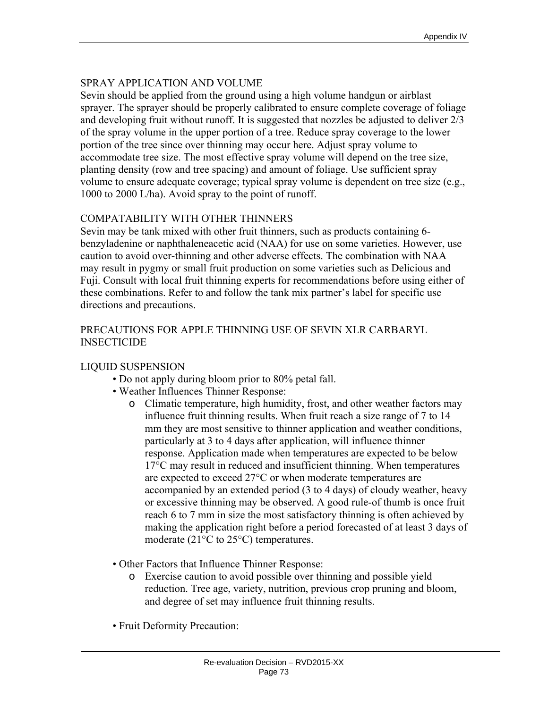# SPRAY APPLICATION AND VOLUME

Sevin should be applied from the ground using a high volume handgun or airblast sprayer. The sprayer should be properly calibrated to ensure complete coverage of foliage and developing fruit without runoff. It is suggested that nozzles be adjusted to deliver 2/3 of the spray volume in the upper portion of a tree. Reduce spray coverage to the lower portion of the tree since over thinning may occur here. Adjust spray volume to accommodate tree size. The most effective spray volume will depend on the tree size, planting density (row and tree spacing) and amount of foliage. Use sufficient spray volume to ensure adequate coverage; typical spray volume is dependent on tree size (e.g., 1000 to 2000 L/ha). Avoid spray to the point of runoff.

# COMPATABILITY WITH OTHER THINNERS

Sevin may be tank mixed with other fruit thinners, such as products containing 6 benzyladenine or naphthaleneacetic acid (NAA) for use on some varieties. However, use caution to avoid over-thinning and other adverse effects. The combination with NAA may result in pygmy or small fruit production on some varieties such as Delicious and Fuji. Consult with local fruit thinning experts for recommendations before using either of these combinations. Refer to and follow the tank mix partner's label for specific use directions and precautions.

# PRECAUTIONS FOR APPLE THINNING USE OF SEVIN XLR CARBARYL **INSECTICIDE**

# LIQUID SUSPENSION

- Do not apply during bloom prior to 80% petal fall.
- Weather Influences Thinner Response:
	- o Climatic temperature, high humidity, frost, and other weather factors may influence fruit thinning results. When fruit reach a size range of 7 to 14 mm they are most sensitive to thinner application and weather conditions, particularly at 3 to 4 days after application, will influence thinner response. Application made when temperatures are expected to be below 17°C may result in reduced and insufficient thinning. When temperatures are expected to exceed 27°C or when moderate temperatures are accompanied by an extended period (3 to 4 days) of cloudy weather, heavy or excessive thinning may be observed. A good rule-of thumb is once fruit reach 6 to 7 mm in size the most satisfactory thinning is often achieved by making the application right before a period forecasted of at least 3 days of moderate (21°C to 25°C) temperatures.
- Other Factors that Influence Thinner Response:
	- o Exercise caution to avoid possible over thinning and possible yield reduction. Tree age, variety, nutrition, previous crop pruning and bloom, and degree of set may influence fruit thinning results.
- Fruit Deformity Precaution: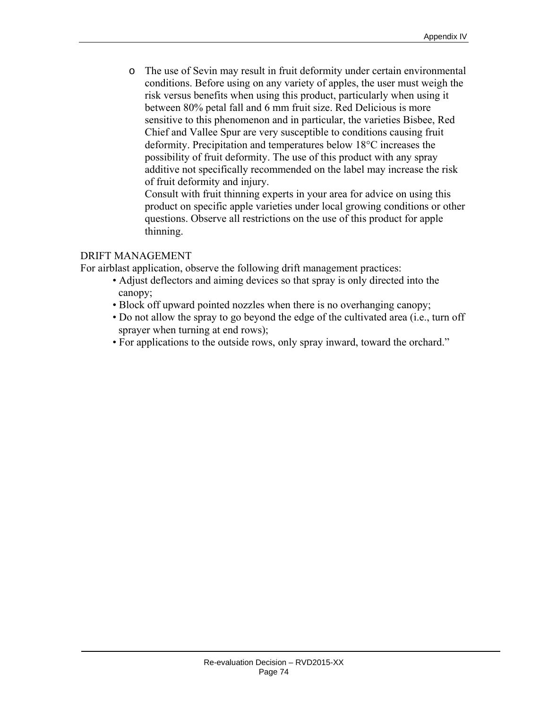o The use of Sevin may result in fruit deformity under certain environmental conditions. Before using on any variety of apples, the user must weigh the risk versus benefits when using this product, particularly when using it between 80% petal fall and 6 mm fruit size. Red Delicious is more sensitive to this phenomenon and in particular, the varieties Bisbee, Red Chief and Vallee Spur are very susceptible to conditions causing fruit deformity. Precipitation and temperatures below 18°C increases the possibility of fruit deformity. The use of this product with any spray additive not specifically recommended on the label may increase the risk of fruit deformity and injury.

Consult with fruit thinning experts in your area for advice on using this product on specific apple varieties under local growing conditions or other questions. Observe all restrictions on the use of this product for apple thinning.

### DRIFT MANAGEMENT

For airblast application, observe the following drift management practices:

- Adjust deflectors and aiming devices so that spray is only directed into the canopy;
- Block off upward pointed nozzles when there is no overhanging canopy;
- Do not allow the spray to go beyond the edge of the cultivated area (i.e., turn off sprayer when turning at end rows);
- For applications to the outside rows, only spray inward, toward the orchard."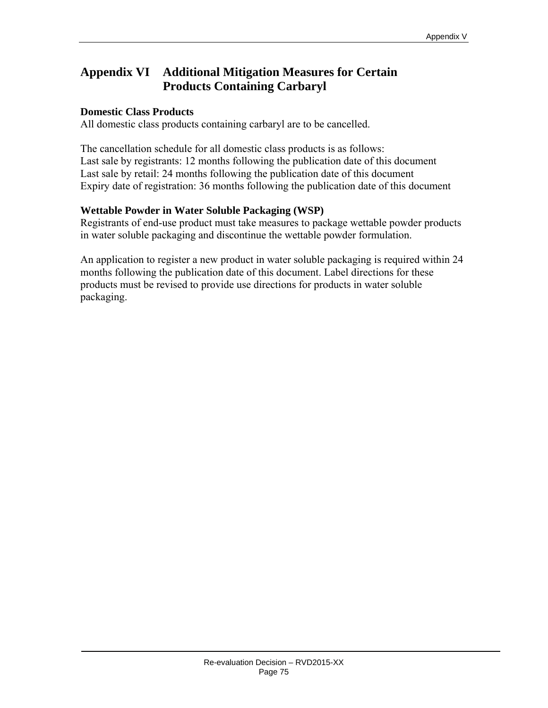# **Appendix VI Additional Mitigation Measures for Certain Products Containing Carbaryl**

## **Domestic Class Products**

All domestic class products containing carbaryl are to be cancelled.

The cancellation schedule for all domestic class products is as follows: Last sale by registrants: 12 months following the publication date of this document Last sale by retail: 24 months following the publication date of this document Expiry date of registration: 36 months following the publication date of this document

### **Wettable Powder in Water Soluble Packaging (WSP)**

Registrants of end-use product must take measures to package wettable powder products in water soluble packaging and discontinue the wettable powder formulation.

An application to register a new product in water soluble packaging is required within 24 months following the publication date of this document. Label directions for these products must be revised to provide use directions for products in water soluble packaging.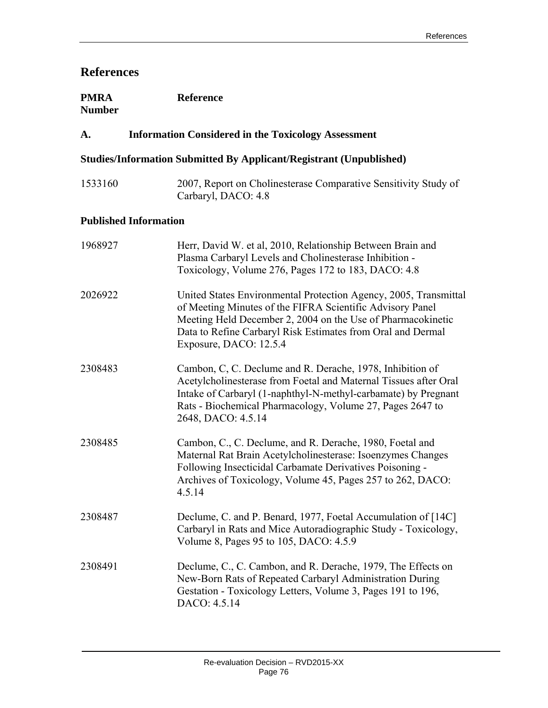# **References**

| <b>PMRA</b>   | <b>Reference</b> |
|---------------|------------------|
| <b>Number</b> |                  |

# **A. Information Considered in the Toxicology Assessment**

## **Studies/Information Submitted By Applicant/Registrant (Unpublished)**

1533160 2007, Report on Cholinesterase Comparative Sensitivity Study of Carbaryl, DACO: 4.8

#### **Published Information**

| 1968927 | Herr, David W. et al, 2010, Relationship Between Brain and<br>Plasma Carbaryl Levels and Cholinesterase Inhibition -<br>Toxicology, Volume 276, Pages 172 to 183, DACO: 4.8                                                                                                           |
|---------|---------------------------------------------------------------------------------------------------------------------------------------------------------------------------------------------------------------------------------------------------------------------------------------|
| 2026922 | United States Environmental Protection Agency, 2005, Transmittal<br>of Meeting Minutes of the FIFRA Scientific Advisory Panel<br>Meeting Held December 2, 2004 on the Use of Pharmacokinetic<br>Data to Refine Carbaryl Risk Estimates from Oral and Dermal<br>Exposure, DACO: 12.5.4 |
| 2308483 | Cambon, C, C. Declume and R. Derache, 1978, Inhibition of<br>Acetylcholinesterase from Foetal and Maternal Tissues after Oral<br>Intake of Carbaryl (1-naphthyl-N-methyl-carbamate) by Pregnant<br>Rats - Biochemical Pharmacology, Volume 27, Pages 2647 to<br>2648, DACO: 4.5.14    |
| 2308485 | Cambon, C., C. Declume, and R. Derache, 1980, Foetal and<br>Maternal Rat Brain Acetylcholinesterase: Isoenzymes Changes<br>Following Insecticidal Carbamate Derivatives Poisoning -<br>Archives of Toxicology, Volume 45, Pages 257 to 262, DACO:<br>4.5.14                           |
| 2308487 | Declume, C. and P. Benard, 1977, Foetal Accumulation of [14C]<br>Carbaryl in Rats and Mice Autoradiographic Study - Toxicology,<br>Volume 8, Pages 95 to 105, DACO: 4.5.9                                                                                                             |
| 2308491 | Declume, C., C. Cambon, and R. Derache, 1979, The Effects on<br>New-Born Rats of Repeated Carbaryl Administration During<br>Gestation - Toxicology Letters, Volume 3, Pages 191 to 196,<br>DACO: 4.5.14                                                                               |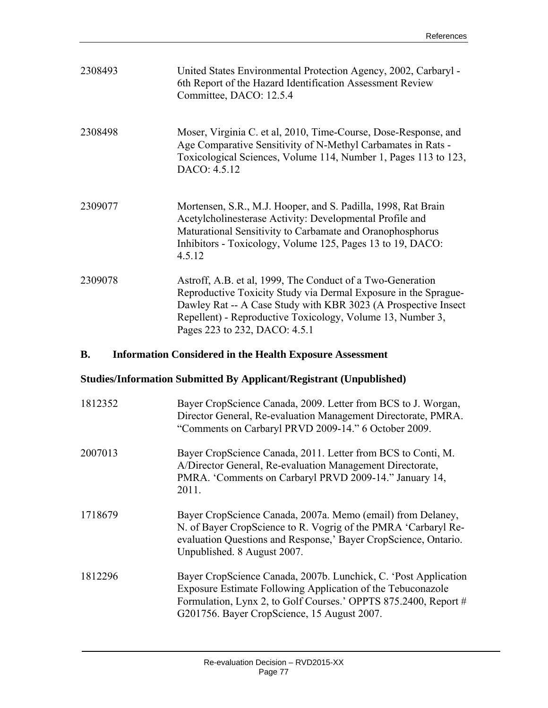| 2308493   | United States Environmental Protection Agency, 2002, Carbaryl -<br>6th Report of the Hazard Identification Assessment Review<br>Committee, DACO: 12.5.4                                                                                                                                        |
|-----------|------------------------------------------------------------------------------------------------------------------------------------------------------------------------------------------------------------------------------------------------------------------------------------------------|
| 2308498   | Moser, Virginia C. et al, 2010, Time-Course, Dose-Response, and<br>Age Comparative Sensitivity of N-Methyl Carbamates in Rats -<br>Toxicological Sciences, Volume 114, Number 1, Pages 113 to 123,<br>DACO: 4.5.12                                                                             |
| 2309077   | Mortensen, S.R., M.J. Hooper, and S. Padilla, 1998, Rat Brain<br>Acetylcholinesterase Activity: Developmental Profile and<br>Maturational Sensitivity to Carbamate and Oranophosphorus<br>Inhibitors - Toxicology, Volume 125, Pages 13 to 19, DACO:<br>4.5.12                                 |
| 2309078   | Astroff, A.B. et al, 1999, The Conduct of a Two-Generation<br>Reproductive Toxicity Study via Dermal Exposure in the Sprague-<br>Dawley Rat -- A Case Study with KBR 3023 (A Prospective Insect<br>Repellent) - Reproductive Toxicology, Volume 13, Number 3,<br>Pages 223 to 232, DACO: 4.5.1 |
| <b>B.</b> | <b>Information Considered in the Health Exposure Assessment</b>                                                                                                                                                                                                                                |
|           | <b>Studies/Information Submitted By Applicant/Registrant (Unpublished)</b>                                                                                                                                                                                                                     |
| 1812352   | Bayer CropScience Canada, 2009. Letter from BCS to J. Worgan,<br>Director General, Re-evaluation Management Directorate, PMRA.<br>"Comments on Carbaryl PRVD 2009-14." 6 October 2009.                                                                                                         |
| 2007013   | Bayer CropScience Canada, 2011. Letter from BCS to Conti, M.<br>A/Director General, Re-evaluation Management Directorate,<br>PMRA. 'Comments on Carbaryl PRVD 2009-14." January 14,<br>2011.                                                                                                   |
| 1718679   | Bayer CropScience Canada, 2007a. Memo (email) from Delaney,<br>N. of Bayer CropScience to R. Vogrig of the PMRA 'Carbaryl Re-<br>evaluation Questions and Response,' Bayer CropScience, Ontario.<br>Unpublished. 8 August 2007.                                                                |
| 1812296   | Bayer CropScience Canada, 2007b. Lunchick, C. 'Post Application                                                                                                                                                                                                                                |

G201756. Bayer CropScience, 15 August 2007.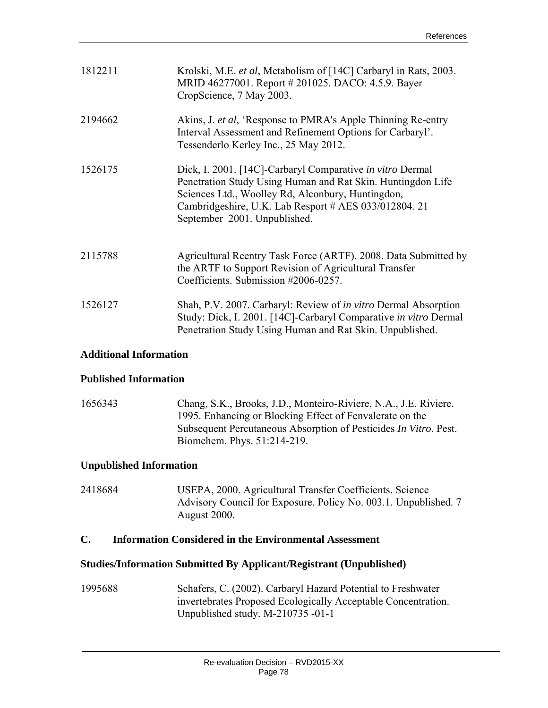| 1812211 | Krolski, M.E. et al, Metabolism of [14C] Carbaryl in Rats, 2003.<br>MRID 46277001. Report # 201025. DACO: 4.5.9. Bayer<br>CropScience, 7 May 2003.                                                                                                                     |
|---------|------------------------------------------------------------------------------------------------------------------------------------------------------------------------------------------------------------------------------------------------------------------------|
| 2194662 | Akins, J. et al, 'Response to PMRA's Apple Thinning Re-entry<br>Interval Assessment and Refinement Options for Carbaryl'.<br>Tessenderlo Kerley Inc., 25 May 2012.                                                                                                     |
| 1526175 | Dick, I. 2001. [14C]-Carbaryl Comparative in vitro Dermal<br>Penetration Study Using Human and Rat Skin. Huntingdon Life<br>Sciences Ltd., Woolley Rd, Alconbury, Huntingdon,<br>Cambridgeshire, U.K. Lab Resport # AES 033/012804. 21<br>September 2001. Unpublished. |
| 2115788 | Agricultural Reentry Task Force (ARTF). 2008. Data Submitted by<br>the ARTF to Support Revision of Agricultural Transfer<br>Coefficients. Submission #2006-0257.                                                                                                       |
| 1526127 | Shah, P.V. 2007. Carbaryl: Review of <i>in vitro</i> Dermal Absorption<br>Study: Dick, I. 2001. [14C]-Carbaryl Comparative in vitro Dermal<br>Penetration Study Using Human and Rat Skin. Unpublished.                                                                 |

## **Additional Information**

#### **Published Information**

1656343 Chang, S.K., Brooks, J.D., Monteiro-Riviere, N.A., J.E. Riviere. 1995. Enhancing or Blocking Effect of Fenvalerate on the Subsequent Percutaneous Absorption of Pesticides *In Vitro*. Pest. Biomchem. Phys. 51:214-219.

## **Unpublished Information**

2418684 USEPA, 2000. Agricultural Transfer Coefficients. Science Advisory Council for Exposure. Policy No. 003.1. Unpublished. 7 August 2000.

## **C. Information Considered in the Environmental Assessment**

#### **Studies/Information Submitted By Applicant/Registrant (Unpublished)**

1995688 Schafers, C. (2002). Carbaryl Hazard Potential to Freshwater invertebrates Proposed Ecologically Acceptable Concentration. Unpublished study. M-210735 -01-1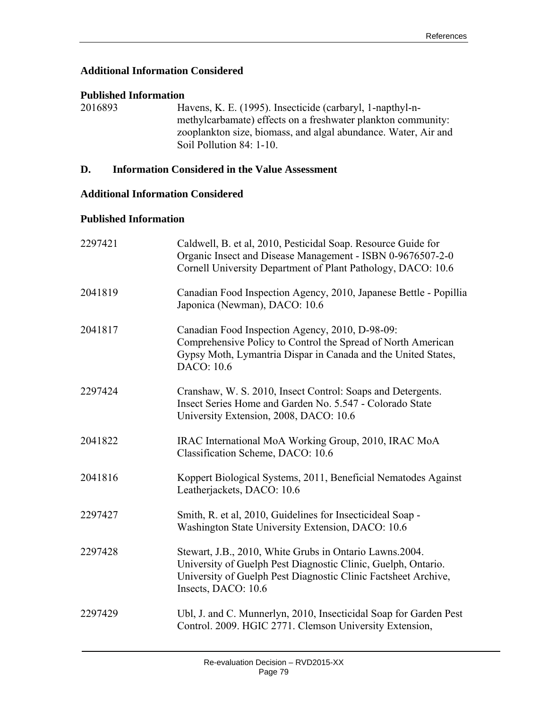## **Additional Information Considered**

### **Published Information**

2016893 Havens, K. E. (1995). Insecticide (carbaryl, 1-napthyl-nmethylcarbamate) effects on a freshwater plankton community: zooplankton size, biomass, and algal abundance. Water, Air and Soil Pollution 84: 1-10.

## **D. Information Considered in the Value Assessment**

## **Additional Information Considered**

## **Published Information**

| 2297421 | Caldwell, B. et al, 2010, Pesticidal Soap. Resource Guide for<br>Organic Insect and Disease Management - ISBN 0-9676507-2-0<br>Cornell University Department of Plant Pathology, DACO: 10.6                       |
|---------|-------------------------------------------------------------------------------------------------------------------------------------------------------------------------------------------------------------------|
| 2041819 | Canadian Food Inspection Agency, 2010, Japanese Bettle - Popillia<br>Japonica (Newman), DACO: 10.6                                                                                                                |
| 2041817 | Canadian Food Inspection Agency, 2010, D-98-09:<br>Comprehensive Policy to Control the Spread of North American<br>Gypsy Moth, Lymantria Dispar in Canada and the United States,<br>DACO: 10.6                    |
| 2297424 | Cranshaw, W. S. 2010, Insect Control: Soaps and Detergents.<br>Insect Series Home and Garden No. 5.547 - Colorado State<br>University Extension, 2008, DACO: 10.6                                                 |
| 2041822 | IRAC International MoA Working Group, 2010, IRAC MoA<br>Classification Scheme, DACO: 10.6                                                                                                                         |
| 2041816 | Koppert Biological Systems, 2011, Beneficial Nematodes Against<br>Leatherjackets, DACO: 10.6                                                                                                                      |
| 2297427 | Smith, R. et al, 2010, Guidelines for Insecticideal Soap -<br>Washington State University Extension, DACO: 10.6                                                                                                   |
| 2297428 | Stewart, J.B., 2010, White Grubs in Ontario Lawns.2004.<br>University of Guelph Pest Diagnostic Clinic, Guelph, Ontario.<br>University of Guelph Pest Diagnostic Clinic Factsheet Archive,<br>Insects, DACO: 10.6 |
| 2297429 | Ubl, J. and C. Munnerlyn, 2010, Insecticidal Soap for Garden Pest<br>Control. 2009. HGIC 2771. Clemson University Extension,                                                                                      |